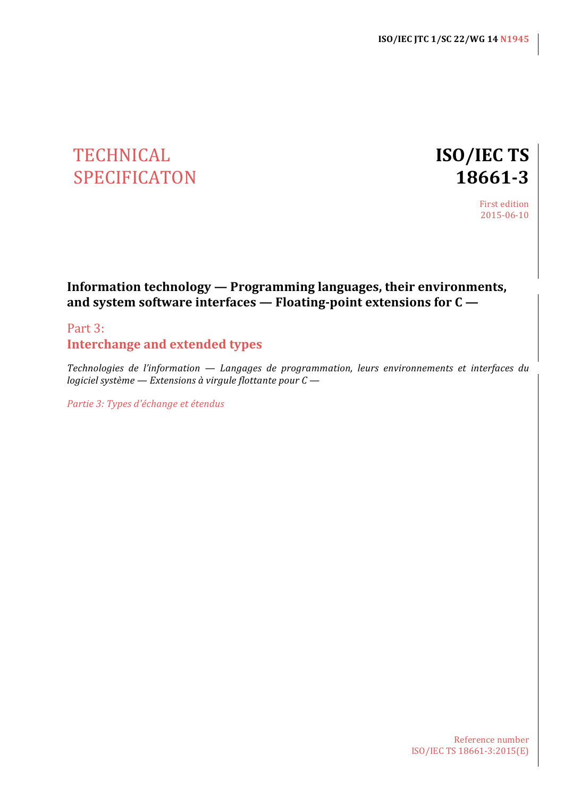# TECHNICAL **ISO/IEC TS** SPECIFICATON **18661-3**

First edition 2015-06-10

# **Information technology — Programming languages, their environments,** and system software interfaces — Floating-point extensions for  $C -$

# Part 3: **Interchange and extended types**

*Technologies de l'information* — *Langages de programmation, leurs environnements et interfaces du logiciel système* — *Extensions* à virgule flottante pour  $C$  —

*Partie 3: Types d'échange et étendus*

Reference number ISO/IEC TS 18661-3:2015(E)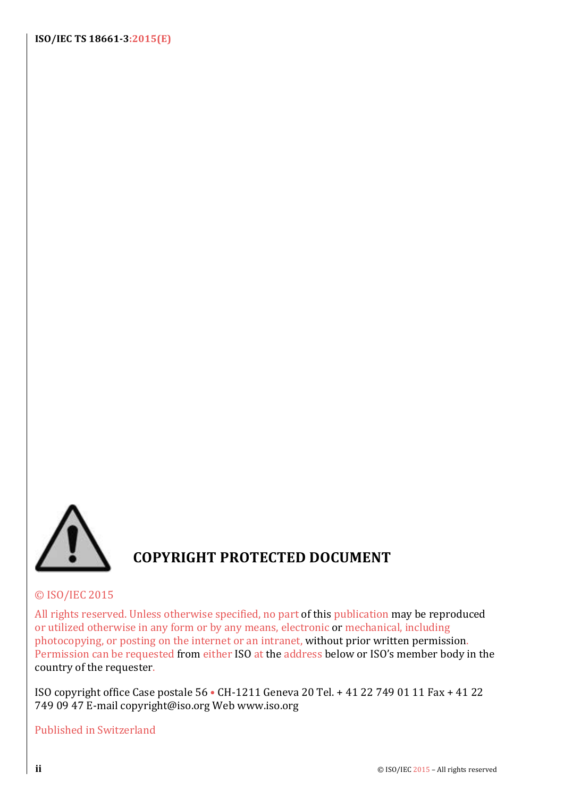**ISO/IEC TS 18661-3:2015(E)**



# **COPYRIGHT PROTECTED DOCUMENT**

# © ISO/IEC 2015

All rights reserved. Unless otherwise specified, no part of this publication may be reproduced or utilized otherwise in any form or by any means, electronic or mechanical, including photocopying, or posting on the internet or an intranet, without prior written permission. Permission can be requested from either ISO at the address below or ISO's member body in the country of the requester.

ISO copyright office Case postale 56 • CH-1211 Geneva 20 Tel. + 41 22 749 01 11 Fax + 41 22 749 09 47 E-mail copyright@iso.org Web www.iso.org

# Published in Switzerland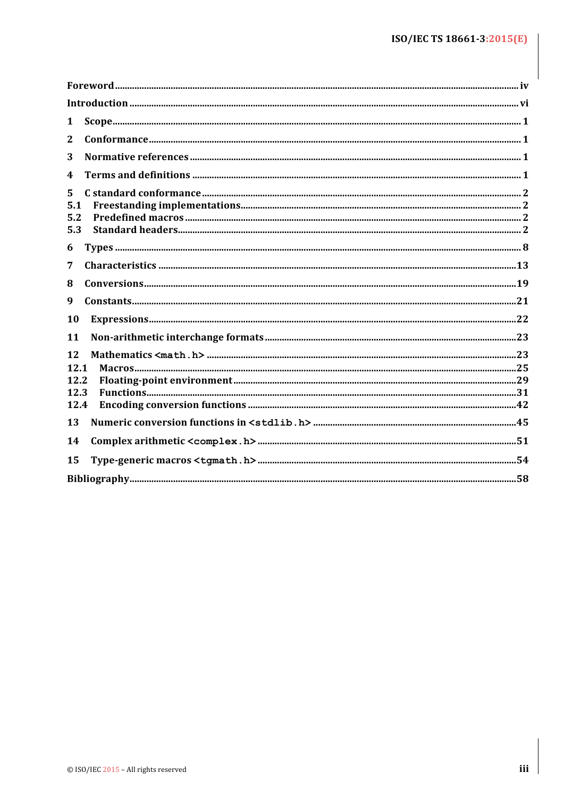| 1          |  |
|------------|--|
| 2          |  |
| 3          |  |
| 4          |  |
| 5          |  |
| 5.1<br>5.2 |  |
| 5.3        |  |
| 6          |  |
| 7          |  |
| 8          |  |
| 9          |  |
| 10         |  |
| 11         |  |
| 12         |  |
| 12.1       |  |
| 12.2       |  |
| 12.3       |  |
| 12.4       |  |
| 13         |  |
| 14         |  |
| 15         |  |
|            |  |
|            |  |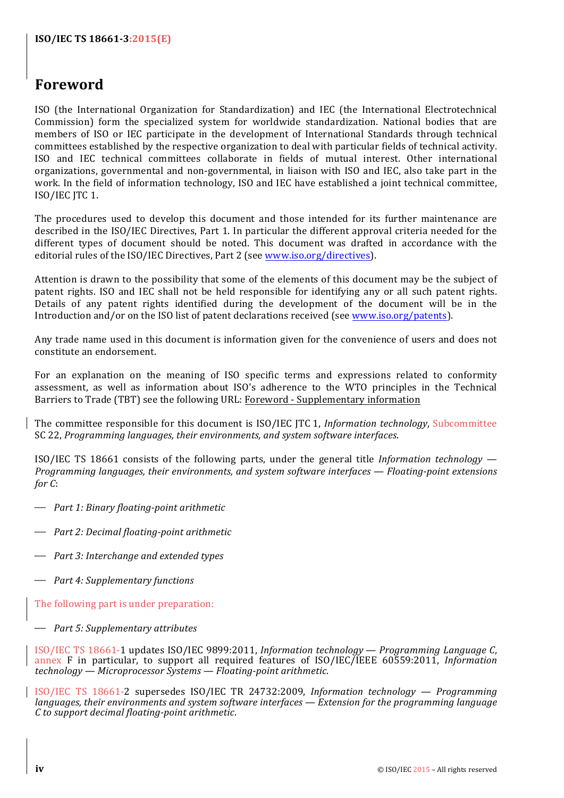# **Foreword**

ISO (the International Organization for Standardization) and IEC (the International Electrotechnical Commission) form the specialized system for worldwide standardization. National bodies that are members of ISO or IEC participate in the development of International Standards through technical committees established by the respective organization to deal with particular fields of technical activity. ISO and IEC technical committees collaborate in fields of mutual interest. Other international organizations, governmental and non-governmental, in liaison with ISO and IEC, also take part in the work. In the field of information technology, ISO and IEC have established a joint technical committee, ISO/IEC JTC 1.

The procedures used to develop this document and those intended for its further maintenance are described in the ISO/IEC Directives, Part 1. In particular the different approval criteria needed for the different types of document should be noted. This document was drafted in accordance with the editorial rules of the ISO/IEC Directives, Part 2 (see www.iso.org/directives).

Attention is drawn to the possibility that some of the elements of this document may be the subject of patent rights. ISO and IEC shall not be held responsible for identifying any or all such patent rights. Details of any patent rights identified during the development of the document will be in the Introduction and/or on the ISO list of patent declarations received (see www.iso.org/patents).

Any trade name used in this document is information given for the convenience of users and does not constitute an endorsement.

For an explanation on the meaning of ISO specific terms and expressions related to conformity assessment, as well as information about ISO's adherence to the WTO principles in the Technical Barriers to Trade (TBT) see the following URL: Foreword - Supplementary information

The committee responsible for this document is ISO/IEC JTC 1, *Information technology*, Subcommittee SC 22, *Programming languages, their environments, and system software interfaces.* 

ISO/IEC TS 18661 consists of the following parts, under the general title *Information technology — Programming languages, their environments, and system software interfaces — Floating-point extensions for C*:

- ⎯ *Part 1: Binary floating-point arithmetic*
- $\rightarrow$  *Part 2: Decimal floating-point arithmetic*
- $\rightarrow$  *Part 3: Interchange and extended types*
- ⎯ *Part 4: Supplementary functions*

The following part is under preparation:

⎯ *Part 5: Supplementary attributes*

ISO/IEC TS 18661-1 updates ISO/IEC 9899:2011, *Information technology — Programming Language C*, annex F in particular, to support all required features of ISO/IEC/IEEE 60559:2011, *Information technology — Microprocessor Systems — Floating-point arithmetic*.

ISO/IEC TS 18661-2 supersedes ISO/IEC TR 24732:2009, *Information technology — Programming languages, their environments and system software interfaces — Extension for the programming language C to support decimal floating-point arithmetic*.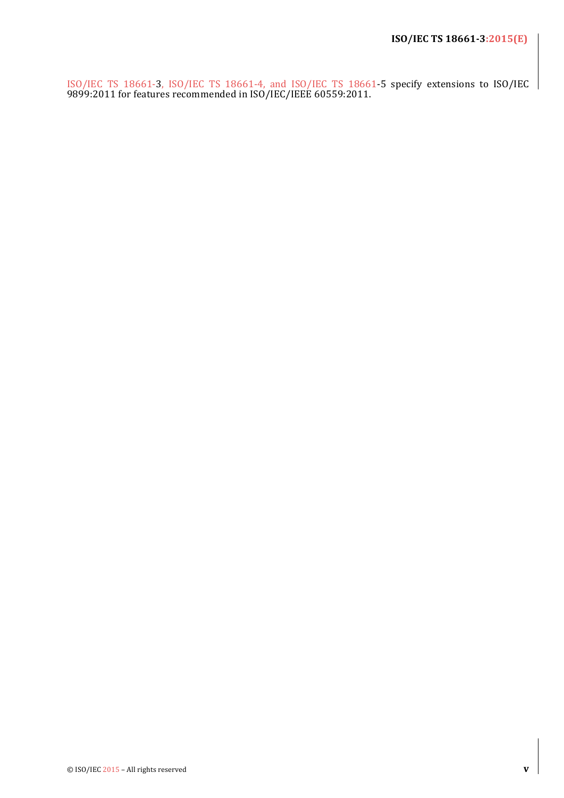ISO/IEC TS 18661-3, ISO/IEC TS 18661-4, and ISO/IEC TS 18661-5 specify extensions to ISO/IEC 9899:2011 for features recommended in ISO/IEC/IEEE 60559:2011.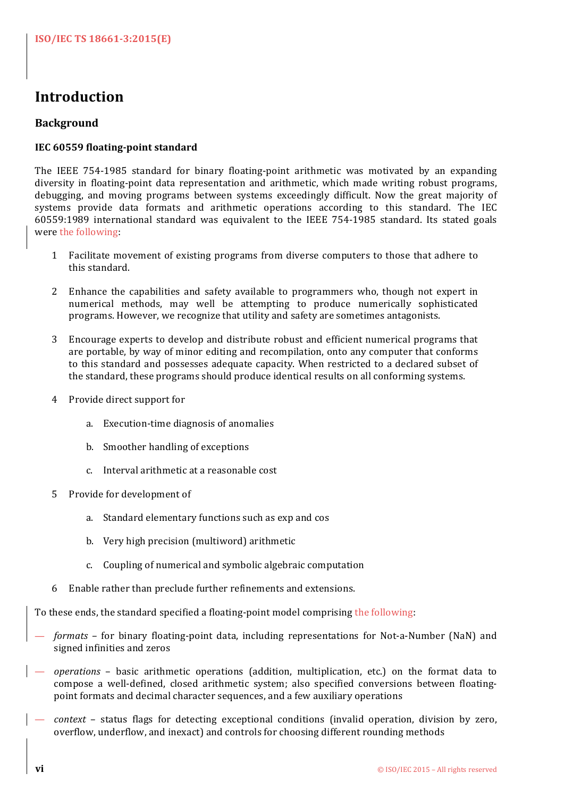# **Introduction**

# **Background**

# **IEC 60559 floating-point standard**

The IEEE 754-1985 standard for binary floating-point arithmetic was motivated by an expanding diversity in floating-point data representation and arithmetic, which made writing robust programs, debugging, and moving programs between systems exceedingly difficult. Now the great majority of systems provide data formats and arithmetic operations according to this standard. The IEC 60559:1989 international standard was equivalent to the IEEE 754-1985 standard. Its stated goals were the following:

- 1 Facilitate movement of existing programs from diverse computers to those that adhere to this standard.
- 2 Enhance the capabilities and safety available to programmers who, though not expert in numerical methods, may well be attempting to produce numerically sophisticated programs. However, we recognize that utility and safety are sometimes antagonists.
- 3 Encourage experts to develop and distribute robust and efficient numerical programs that are portable, by way of minor editing and recompilation, onto any computer that conforms to this standard and possesses adequate capacity. When restricted to a declared subset of the standard, these programs should produce identical results on all conforming systems.
- 4 Provide direct support for
	- a. Execution-time diagnosis of anomalies
	- b. Smoother handling of exceptions
	- c. Interval arithmetic at a reasonable cost
- 5 Provide for development of
	- a. Standard elementary functions such as exp and cos
	- b. Very high precision (multiword) arithmetic
	- c. Coupling of numerical and symbolic algebraic computation
- 6 Enable rather than preclude further refinements and extensions.

To these ends, the standard specified a floating-point model comprising the following:

- formats for binary floating-point data, including representations for Not-a-Number (NaN) and signed infinities and zeros
- *operations* basic arithmetic operations (addition, multiplication, etc.) on the format data to compose a well-defined, closed arithmetic system; also specified conversions between floatingpoint formats and decimal character sequences, and a few auxiliary operations
- *context* status flags for detecting exceptional conditions (invalid operation, division by zero, overflow, underflow, and inexact) and controls for choosing different rounding methods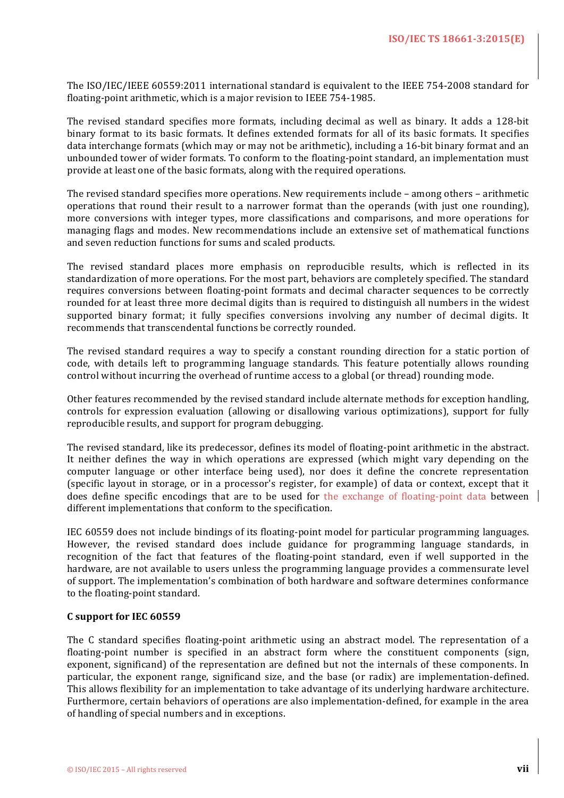The ISO/IEC/IEEE 60559:2011 international standard is equivalent to the IEEE 754-2008 standard for floating-point arithmetic, which is a major revision to IEEE 754-1985.

The revised standard specifies more formats, including decimal as well as binary. It adds a 128-bit binary format to its basic formats. It defines extended formats for all of its basic formats. It specifies data interchange formats (which may or may not be arithmetic), including a 16-bit binary format and an unbounded tower of wider formats. To conform to the floating-point standard, an implementation must provide at least one of the basic formats, along with the required operations.

The revised standard specifies more operations. New requirements include  $-$  among others  $-$  arithmetic operations that round their result to a narrower format than the operands (with just one rounding), more conversions with integer types, more classifications and comparisons, and more operations for managing flags and modes. New recommendations include an extensive set of mathematical functions and seven reduction functions for sums and scaled products.

The revised standard places more emphasis on reproducible results, which is reflected in its standardization of more operations. For the most part, behaviors are completely specified. The standard requires conversions between floating-point formats and decimal character sequences to be correctly rounded for at least three more decimal digits than is required to distinguish all numbers in the widest supported binary format; it fully specifies conversions involving any number of decimal digits. It recommends that transcendental functions be correctly rounded.

The revised standard requires a way to specify a constant rounding direction for a static portion of code, with details left to programming language standards. This feature potentially allows rounding control without incurring the overhead of runtime access to a global (or thread) rounding mode.

Other features recommended by the revised standard include alternate methods for exception handling, controls for expression evaluation (allowing or disallowing various optimizations), support for fully reproducible results, and support for program debugging.

The revised standard, like its predecessor, defines its model of floating-point arithmetic in the abstract. It neither defines the way in which operations are expressed (which might vary depending on the computer language or other interface being used), nor does it define the concrete representation (specific layout in storage, or in a processor's register, for example) of data or context, except that it does define specific encodings that are to be used for the exchange of floating-point data between  $\parallel$ different implementations that conform to the specification.

IEC 60559 does not include bindings of its floating-point model for particular programming languages. However, the revised standard does include guidance for programming language standards, in recognition of the fact that features of the floating-point standard, even if well supported in the hardware, are not available to users unless the programming language provides a commensurate level of support. The implementation's combination of both hardware and software determines conformance to the floating-point standard.

#### **C support for IEC 60559**

The C standard specifies floating-point arithmetic using an abstract model. The representation of a floating-point number is specified in an abstract form where the constituent components (sign, exponent, significand) of the representation are defined but not the internals of these components. In particular, the exponent range, significand size, and the base (or radix) are implementation-defined. This allows flexibility for an implementation to take advantage of its underlying hardware architecture. Furthermore, certain behaviors of operations are also implementation-defined, for example in the area of handling of special numbers and in exceptions.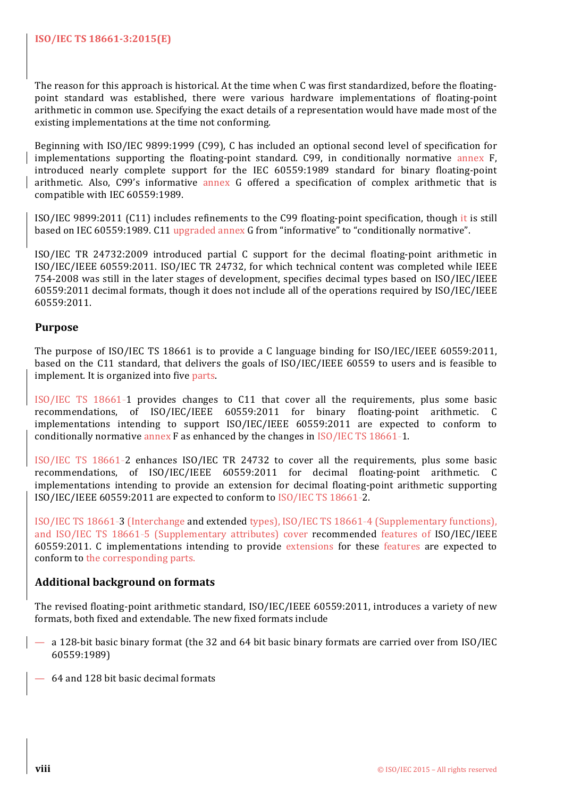The reason for this approach is historical. At the time when C was first standardized, before the floatingpoint standard was established, there were various hardware implementations of floating-point arithmetic in common use. Specifying the exact details of a representation would have made most of the existing implementations at the time not conforming.

Beginning with ISO/IEC 9899:1999 (C99), C has included an optional second level of specification for implementations supporting the floating-point standard. C99, in conditionally normative annex F, introduced nearly complete support for the IEC 60559:1989 standard for binary floating-point arithmetic. Also, C99's informative annex G offered a specification of complex arithmetic that is compatible with IEC 60559:1989.

ISO/IEC 9899:2011 (C11) includes refinements to the C99 floating-point specification, though it is still based on IEC 60559:1989. C11 upgraded annex G from "informative" to "conditionally normative".

ISO/IEC TR 24732:2009 introduced partial C support for the decimal floating-point arithmetic in ISO/IEC/IEEE 60559:2011. ISO/IEC TR 24732, for which technical content was completed while IEEE 754-2008 was still in the later stages of development, specifies decimal types based on ISO/IEC/IEEE 60559:2011 decimal formats, though it does not include all of the operations required by ISO/IEC/IEEE 60559:2011.

# **Purpose**

The purpose of  $ISO/IEC$  TS 18661 is to provide a C language binding for  $ISO/IEC/IEEE$  60559:2011, based on the C11 standard, that delivers the goals of ISO/IEC/IEEE 60559 to users and is feasible to implement. It is organized into five parts.

ISO/IEC TS 18661-1 provides changes to C11 that cover all the requirements, plus some basic recommendations, of ISO/IEC/IEEE 60559:2011 for binary floating-point arithmetic. C implementations intending to support ISO/IEC/IEEE 60559:2011 are expected to conform to conditionally normative annex F as enhanced by the changes in  $ISO/IEC$  TS 18661-1.

ISO/IEC TS 18661-2 enhances ISO/IEC TR 24732 to cover all the requirements, plus some basic recommendations, of ISO/IEC/IEEE 60559:2011 for decimal floating-point arithmetic. C implementations intending to provide an extension for decimal floating-point arithmetic supporting ISO/IEC/IEEE 60559:2011 are expected to conform to ISO/IEC TS 18661-2.

ISO/IEC TS 18661-3 (Interchange and extended types), ISO/IEC TS 18661-4 (Supplementary functions), and ISO/IEC TS 18661-5 (Supplementary attributes) cover recommended features of ISO/IEC/IEEE 60559:2011. C implementations intending to provide extensions for these features are expected to conform to the corresponding parts.

# **Additional background on formats**

The revised floating-point arithmetic standard, ISO/IEC/IEEE 60559:2011, introduces a variety of new formats, both fixed and extendable. The new fixed formats include

- a 128-bit basic binary format (the 32 and 64 bit basic binary formats are carried over from ISO/IEC 60559:1989)
- 64 and 128 bit basic decimal formats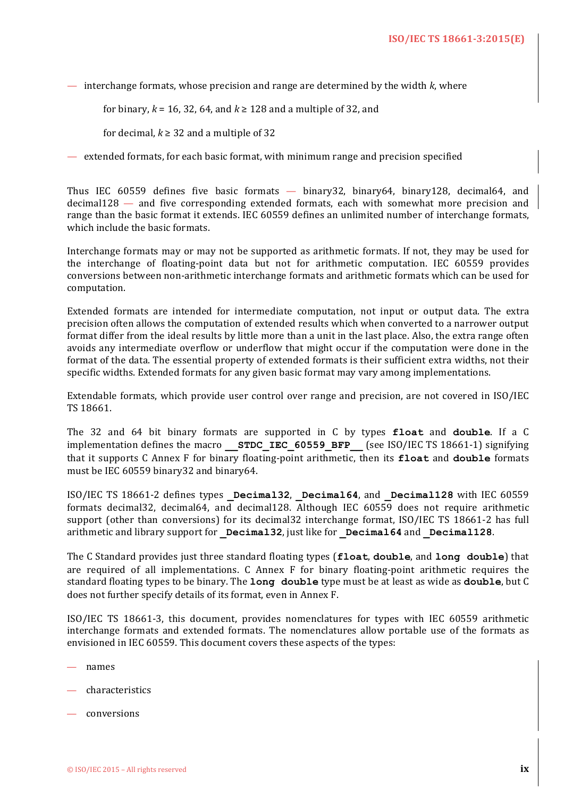— interchange formats, whose precision and range are determined by the width  $k$ , where

for binary,  $k = 16, 32, 64$ , and  $k \ge 128$  and a multiple of 32, and

for decimal,  $k \geq 32$  and a multiple of 32

— extended formats, for each basic format, with minimum range and precision specified

Thus IEC  $60559$  defines five basic formats  $-$  binary32, binary64, binary128, decimal64, and  $\alpha$  decimal128  $-$  and five corresponding extended formats, each with somewhat more precision and range than the basic format it extends. IEC 60559 defines an unlimited number of interchange formats, which include the basic formats.

Interchange formats may or may not be supported as arithmetic formats. If not, they may be used for the interchange of floating-point data but not for arithmetic computation. IEC 60559 provides conversions between non-arithmetic interchange formats and arithmetic formats which can be used for computation.

Extended formats are intended for intermediate computation, not input or output data. The extra precision often allows the computation of extended results which when converted to a narrower output format differ from the ideal results by little more than a unit in the last place. Also, the extra range often avoids any intermediate overflow or underflow that might occur if the computation were done in the format of the data. The essential property of extended formats is their sufficient extra widths, not their specific widths. Extended formats for any given basic format may vary among implementations.

Extendable formats, which provide user control over range and precision, are not covered in ISO/IEC TS 18661.

The 32 and 64 bit binary formats are supported in C by types **float** and **double**. If a C implementation defines the macro **STDC IEC 60559 BFP** (see ISO/IEC TS 18661-1) signifying that it supports C Annex F for binary floating-point arithmetic, then its **float** and **double** formats must be IEC 60559 binary32 and binary64.

ISO/IEC TS 18661-2 defines types **\_Decimal32**, **\_Decimal64**, and **\_Decimal128** with IEC 60559 formats decimal32, decimal64, and decimal128. Although IEC 60559 does not require arithmetic support (other than conversions) for its decimal32 interchange format, ISO/IEC TS 18661-2 has full arithmetic and library support for **Decimal32**, just like for **Decimal64** and **Decimal128**.

The C Standard provides just three standard floating types (**float**, **double**, and **long double**) that are required of all implementations. C Annex  $F$  for binary floating-point arithmetic requires the standard floating types to be binary. The **long double** type must be at least as wide as **double**, but C does not further specify details of its format, even in Annex F.

ISO/IEC TS 18661-3, this document, provides nomenclatures for types with IEC 60559 arithmetic interchange formats and extended formats. The nomenclatures allow portable use of the formats as envisioned in IEC 60559. This document covers these aspects of the types:

- names
- characteristics
- conversions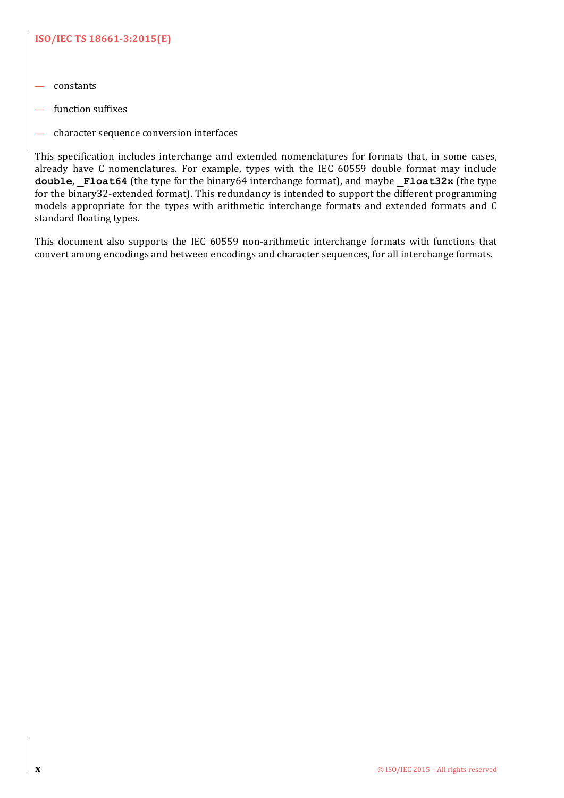# **ISO/IEC TS 18661-3:2015(E)**

- constants
- function suffixes
- character sequence conversion interfaces

This specification includes interchange and extended nomenclatures for formats that, in some cases, already have C nomenclatures. For example, types with the IEC 60559 double format may include double, Float64 (the type for the binary64 interchange format), and maybe **Float32x** (the type for the binary32-extended format). This redundancy is intended to support the different programming models appropriate for the types with arithmetic interchange formats and extended formats and C standard floating types.

This document also supports the IEC 60559 non-arithmetic interchange formats with functions that convert among encodings and between encodings and character sequences, for all interchange formats.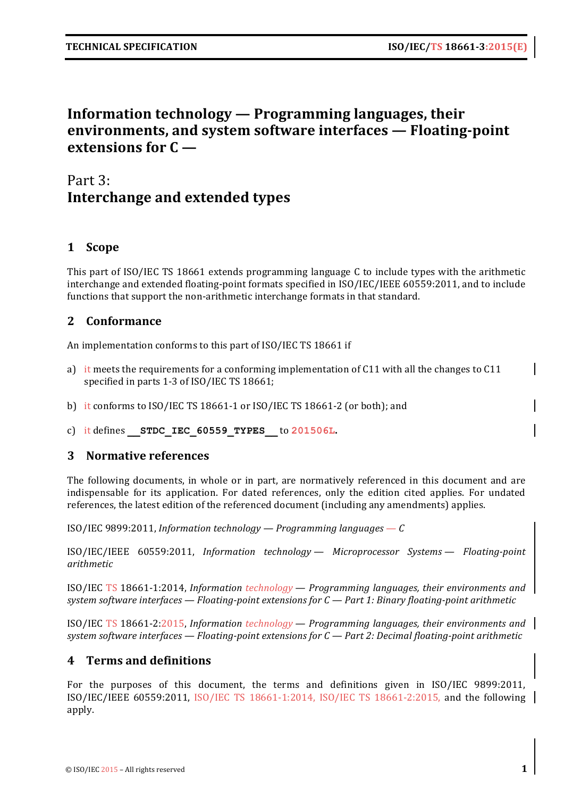# **Information technology — Programming languages, their environments, and system software interfaces — Floating-point extensions for C —**

# Part 3: **Interchange and extended types**

# **1 Scope**

This part of ISO/IEC TS 18661 extends programming language C to include types with the arithmetic interchange and extended floating-point formats specified in ISO/IEC/IEEE 60559:2011, and to include functions that support the non-arithmetic interchange formats in that standard.

# **2 Conformance**

An implementation conforms to this part of ISO/IEC TS 18661 if

- a) it meets the requirements for a conforming implementation of  $C11$  with all the changes to  $C11$ specified in parts 1-3 of ISO/IEC TS 18661;
- b) it conforms to ISO/IEC TS 18661-1 or ISO/IEC TS 18661-2 (or both); and
- c) it defines **\_\_STDC\_IEC\_60559\_TYPES\_\_** to **201506L.**

# **3** Normative references

The following documents, in whole or in part, are normatively referenced in this document and are indispensable for its application. For dated references, only the edition cited applies. For undated references, the latest edition of the referenced document (including any amendments) applies.

ISO/IEC 9899:2011, *Information technology* — *Programming languages* — *C* 

ISO/IEC/IEEE 60559:2011, *Information technology — Microprocessor Systems — Floating-point arithmetic*

ISO/IEC TS 18661-1:2014, *Information technology — Programming languages, their environments and system software interfaces — Floating-point extensions for C — Part 1: Binary floating-point arithmetic*

ISO/IEC TS 18661-2:2015, *Information technology — Programming languages, their environments and system software interfaces — Floating-point extensions for C — Part 2: Decimal floating-point arithmetic*

# **4 Terms and definitions**

For the purposes of this document, the terms and definitions given in ISO/IEC 9899:2011, ISO/IEC/IEEE 60559:2011, ISO/IEC TS 18661-1:2014, ISO/IEC TS 18661-2:2015, and the following apply.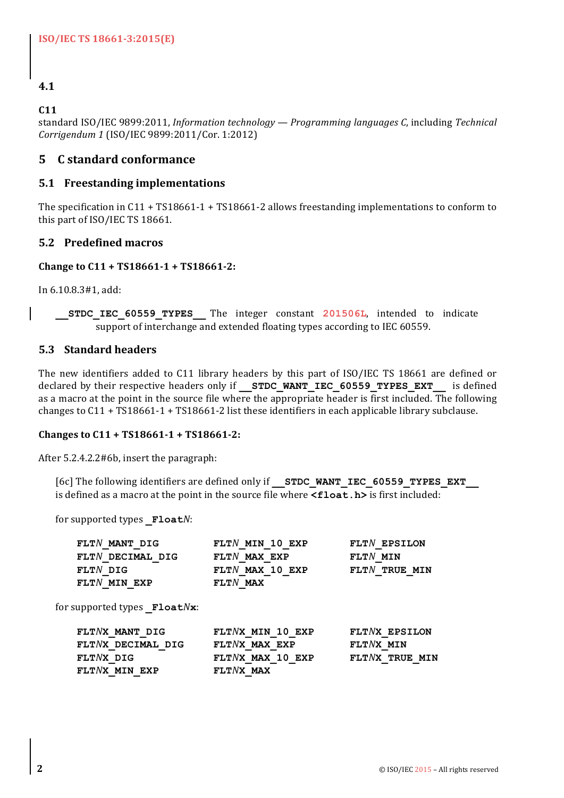# **4.1**

# **C11**

```
standard ISO/IEC 9899:2011, Information technology — Programming languages C, including Technical
Corrigendum	1 (ISO/IEC	9899:2011/Cor.	1:2012)
```
# **5 C standard conformance**

# **5.1 Freestanding implementations**

The specification in C11 + TS18661-1 + TS18661-2 allows freestanding implementations to conform to this part of ISO/IEC TS 18661.

# **5.2 Predefined macros**

# **Change to C11 + TS18661-1 + TS18661-2:**

In 6.10.8.3#1, add:

**\_\_STDC\_IEC\_60559\_TYPES\_\_** The integer constant **201506L**, intended to indicate support of interchange and extended floating types according to IEC 60559.

# **5.3 Standard headers**

The new identifiers added to C11 library headers by this part of ISO/IEC TS 18661 are defined or declared by their respective headers only if **STDC WANT IEC 60559 TYPES EXT** is defined as a macro at the point in the source file where the appropriate header is first included. The following changes to  $C11 + TS18661-1 + TS18661-2$  list these identifiers in each applicable library subclause.

# Changes to C11 + TS18661-1 + TS18661-2:

After 5.2.4.2.2#6b, insert the paragraph:

[6c] The following identifiers are defined only if **STDC WANT IEC 60559 TYPES EXT** is defined as a macro at the point in the source file where  $\leq$ **float.** h> is first included:

for supported types **Float***N*:

| FLTN MANT DIG                       | $FLTN$ MIN 10 EXP | FLTN EPSILON  |
|-------------------------------------|-------------------|---------------|
| FLTN DECIMAL DIG                    | FLTN MAX EXP      | $FLTN$ MIN    |
| FLTN DIG                            | FLTN MAX 10 EXP   | FLTN TRUE MIN |
| FLTN MIN EXP                        | $FLTN$ MAX        |               |
| for supported types $F$ loat $Nx$ : |                   |               |
| FLTNX MANT DIG                      | FLTNX MIN 10 EXP  | FLTNX EPSILON |

| FLTNX MANT DIG    | FLTNX MIN 10 EXP | FLTNX EPSILON  |
|-------------------|------------------|----------------|
| FLTNX DECIMAL DIG | FLTNX MAX EXP    | $FLTNX$ MIN    |
| $FLTNX$ DIG       | FLTNX MAX 10 EXP | FLTNX TRUE MIN |
| FLTNX MIN EXP     | $FLTNX$ MAX      |                |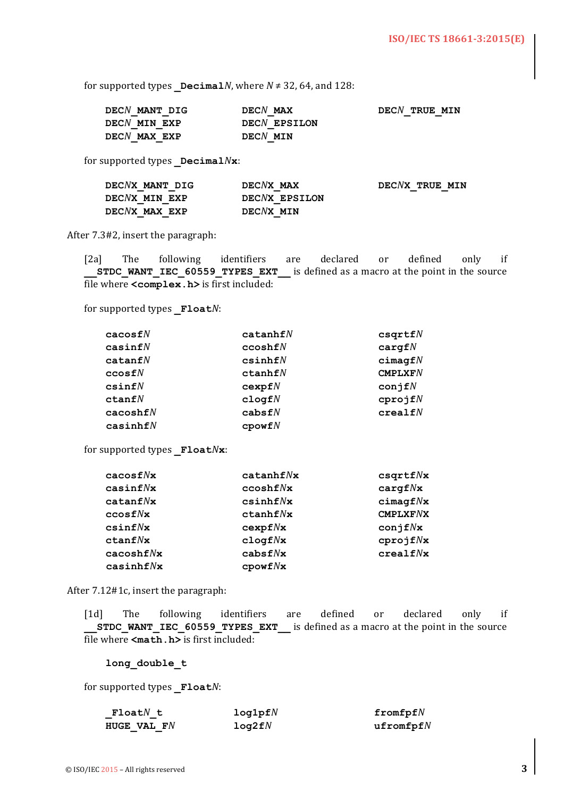for supported types  $DecimalN$ , where  $N \neq 32$ , 64, and 128:

| DECN MANT DIG    | $DECN$ MAX   | DECN TRUE MIN |
|------------------|--------------|---------------|
| DECN MIN EXP     | DECN EPSILON |               |
| $DECN$ MAX $EXP$ | DECN MIN     |               |

for supported types **Decimal***N***x**:

| DECNX MANT DIG | DECNX MAX     | DECNX TRUE MIN |
|----------------|---------------|----------------|
| DECNX MIN EXP  | DECNX EPSILON |                |
| DECNX MAX EXP  | DECNX MIN     |                |

After 7.3#2, insert the paragraph:

[2a] The following identifiers are declared or defined only if **STDC\_WANT\_IEC\_60559\_TYPES\_EXT\_\_** is defined as a macro at the point in the source file where **<complex.h>** is first included:

for supported types **Float***N*:

| $\mathtt{cacos} \mathtt{f}N$ | catanhfN           | csqrtfN             |
|------------------------------|--------------------|---------------------|
| $\mathtt{casinf}N$           | ccosh fN           | $\texttt{cargf} N$  |
| $\mathtt{catanf}N$           | csinhfN            | $c$ imaqf $N$       |
| ${\tt ccosf} N$              | ctanhfN            | CMPLXFN             |
| csinfN                       | cexpfN             | conj $fN$           |
| ctanfN                       | $c$ logf $N$       | cprojfN             |
| $\mathtt{cacoshf}N$          | cabsfN             | $\texttt{crealf} N$ |
| $\mathtt{casinhf} N$         | $\mathsf{cpowf} N$ |                     |

for supported types **Float**Nx:

| cacos f/Nx      | catanhf/Nx                   | $\texttt{csqrt}N\textbf{x}$   |
|-----------------|------------------------------|-------------------------------|
| $\cosinf/Nx$    | ccosh f Nx                   | $\texttt{cargf} N\textbf{x}$  |
| catanf/Nx       | csinhf                       | $c$ imaqf $N$ x               |
| ccosf/Nx        | ctanhf/Nx                    | $CMPLXF$ <i>N</i> $X$         |
| csinf/Nx        | cexpf/Nx                     | $\texttt{conjf}N\texttt{x}$   |
| ctanf/Nx        | $\texttt{clogf}N\textbf{x}$  | cprojf Nx                     |
| $\cscosh f N$ x | cabsf Nx                     | $\mathtt{crealf} N\mathtt{x}$ |
| casinhf Nx      | $\mathbf{cpowf} N\mathbf{x}$ |                               |

After 7.12#1c, insert the paragraph:

[1d] The following identifiers are defined or declared only if **STDC WANT IEC 60559 TYPES EXT** is defined as a macro at the point in the source file where  $\leq$ **math.h**> is first included:

**long\_double\_t**

for supported types **Float***N*:

| $\texttt{FloadN}\texttt{t}$ | log1pfN | fromfpf $N$  |
|-----------------------------|---------|--------------|
| HUGE VAL F $\it N$          | log2fN  | ufromfpf $N$ |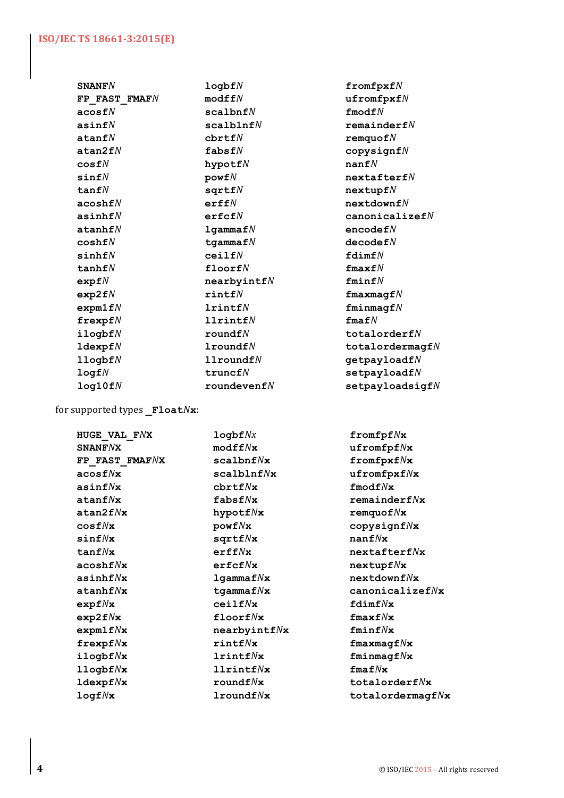#### **ISO/IEC TS 18661-3:2015(E)**

**SNANF***N* **logbf***N* **fromfpxf***N* **FP\_FAST\_FMAF***N* **modff***N* **ufromfpxf***N* **acosf***N* **scalbnf***N* **fmodf***N* **asinf***N* **scalblnf***N* **remainderf***N* **atanf***N* **cbrtf***N* **remquof***N* **atan2f***N* **fabsf***N* **copysignf***N* **cosf***N* **hypotf***N* **nanf***N* **sinf***N* **powf***N* **nextafterf***N* **tanf***N* **sqrtf***N* **nextupf***N* **acoshf***N* **erff***N* **nextdownf***N* **asinhf***N* **erfcf***N* **canonicalizef***N* **atanhf***N* **lgammaf***N* **encodef***N* **coshf***N* **tgammaf***N* **decodef***N* **sinhf***N* **ceilf***N* **fdimf***N* **tanhf***N* **floorf***N* **fmaxf***N* **expf***N* **nearbyintf***N* **fminf***N* **exp2f***N* **rintf***N* **fmaxmagf***N* **expm1f***N* **lrintf***N* **fminmagf***N* **frexpf***N* **llrintf***N* **fmaf***N* **ilogbf***N* **roundf***N* **totalorderf***N* **ldexpf***N* **lroundf***N* **totalordermagf***N* **llogbf***N* **llroundf***N* **getpayloadf***N* **logf***N* **truncf***N* **setpayloadf***N* **log10f***N* **roundevenf***N* **setpayloadsigf***N*

for supported types **Float***N***x**:

**HUGE\_VAL\_F***N***X logbf***Nx* **fromfpf***N***x SNANF***N***X modff***N***x ufromfpf***N***x FP\_FAST\_FMAF***N***X scalbnf***N***x fromfpxf***N***x acosf***N***x scalblnf***N***x ufromfpxf***N***x asinf***N***x cbrtf***N***x fmodf***N***x atanf***N***x fabsf***N***x remainderf***N***x atan2f***N***x hypotf***N***x remquof***N***x cosf***N***x powf***N***x copysignf***N***x sinf***N***x sqrtf***N***x nanf***N***x tanf***N***x erff***N***x nextafterf***N***x acoshf***N***x erfcf***N***x nextupf***N***x asinhf***N***x lgammaf***N***x nextdownf***N***x atanhf***N***x tgammaf***N***x canonicalizef***N***x expf***N***x ceilf***N***x fdimf***N***x exp2f***N***x floorf***N***x fmaxf***N***x expm1f***N***x nearbyintf***N***x fminf***N***x frexpf***N***x rintf***N***x fmaxmagf***N***x ilogbf***N***x lrintf***N***x fminmagf***N***x llogbf***N***x llrintf***N***x fmaf***N***x ldexpf***N***x roundf***N***x totalorderf***N***x logf***N***x lroundf***N***x totalordermagf***N***x**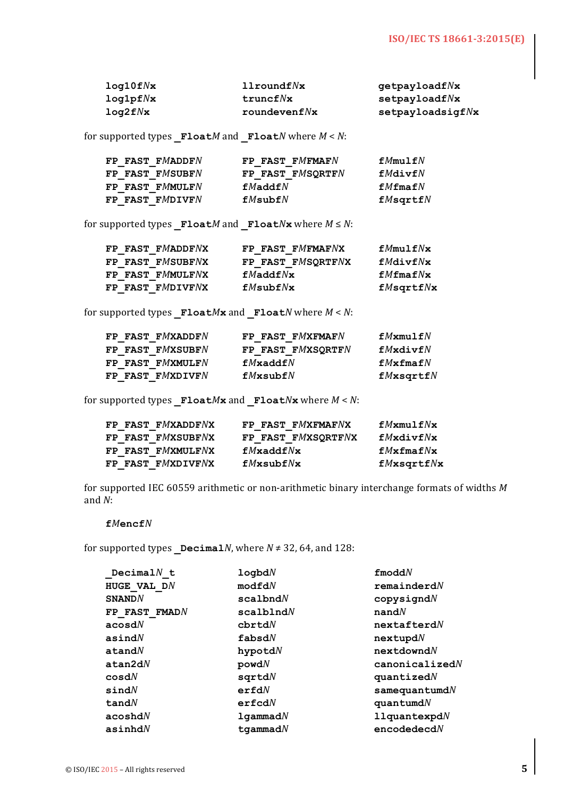| $log10f$ $N$ $\times$ | $11$ round $f N x$ | getpayloadfNx          |
|-----------------------|--------------------|------------------------|
| log1pf/x              | truncf/Nx          | $\texttt{setpayloadf}$ |
| log2f/x               | roundevenf $N$ x   | setpayloadsigf/Nx      |

for supported types  $\mathbf{Fload}\mathbf{M}$  and  $\mathbf{Fload}\mathbf{N}$  where  $M < N$ :

| FP FAST FMADDFN | FP FAST FMFMAFN  | $fM$ mulf $N$                 |
|-----------------|------------------|-------------------------------|
| FP FAST FMSUBFN | FP FAST FMSORTFN | $f$ <i>M</i> div $f$ <i>N</i> |
| FP FAST FMMULFN | fMaddfN          | $fMf$ ma $fN$                 |
| FP FAST FMDIVFN | fMsubfN          | $fM$ sqrt $fN$                |

for supported types  $\textbf{Fload}M$  and  $\textbf{Fload}N$ **x** where  $M \leq N$ :

|  | FP FAST FMADDFNX | FP FAST FMFMAFNX  | fMmu1fNx           |
|--|------------------|-------------------|--------------------|
|  | FP FAST FMSUBFNX | FP FAST FMSORTFNX | $f$ <i>MdivfNx</i> |
|  | FP FAST FMMULFNX | fMaddfNx          | $fM$ fma $fN$ x    |
|  | FP FAST FMDIVFNX | fMsubf/Nx         | $fM$ sqrt $fN$ x   |

for supported types  $F$ loat $M$ **x** and  $F$ loat $N$  where  $M < N$ :

| FP FAST FMXADDFN | FP FAST FMXFMAFN  | fMxmu1fN        |
|------------------|-------------------|-----------------|
| FP FAST FMXSUBFN | FP FAST FMXSORTFN | $f$ Mxdiv $f$ N |
| FP FAST FMXMULFN | $fM$ xadd $fN$    | fMxfmafN        |
| FP FAST FMXDIVFN | $fM$ xsub $fN$    | fMxsqrt         |

for supported types  $\mathbf{Fload}M\mathbf{x}$  and  $\mathbf{Fload}N\mathbf{x}$  where  $M < N$ :

| FP FAST FMXADDFNX | FP FAST FMXFMAFNX  | fMxmu1fNx         |
|-------------------|--------------------|-------------------|
| FP FAST FMXSUBFNX | FP FAST FMXSORTFNX | $f$ Mxdiv $f$ Nx  |
| FP FAST FMXMULFNX | fMxaddfNx          | fMxfmafNx         |
| FP FAST FMXDIVFNX | $fM$ xsub $fN$ x   | $fM$ xsqrt $fN$ x |

for supported IEC 60559 arithmetic or non-arithmetic binary interchange formats of widths M and *N*: 

#### **f***M***encf***N*

for supported types  $Decima1N$ , where  $N \neq 32$ , 64, and 128:

| logbdN          | $f$ modd $N$           |
|-----------------|------------------------|
| $\text{modfd}N$ | remainederdN           |
| scalbndN        | $copy$ signd $N$       |
| scalblndN       | $n$ and $N$            |
| chrtdN          | nextafterdN            |
| fabsdN          | nextupdN               |
| $h$ ypotd $N$   | nextdowndN             |
| powdN           | canonicalizedN         |
| sqrtM           | quantized <sub>N</sub> |
| erfdN           | $s$ amequantumd $N$    |
| erfcdN          | quantumdN              |
| $1$ qammad $N$  | $11$ quantexpd $N$     |
| tgammad $N$     | encodedecdN            |
|                 |                        |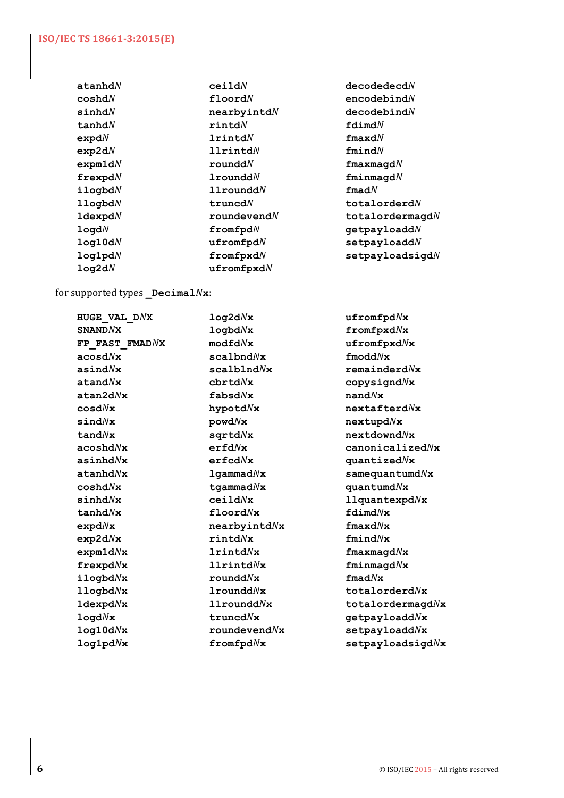| cei1dN                 | decodedecdN                 |
|------------------------|-----------------------------|
| $\texttt{floord}$      | encodebindN                 |
| nearbyintdN            | decodebindN                 |
| $\texttt{rind}N$       | $\texttt{fdimd}N$           |
| $1$ rintd $N$          | $\texttt{fmaxd}$            |
| $11$ rintd $N$         | fmindN                      |
| rounddN                | $\verb fmaxmagd $           |
| $1$ roundd $N$         | fminmandN                   |
| $11$ roundd $N$        | $\pmb{\quad \text{find}} N$ |
| truncdN                | $\mathtt{totalorderd}N$     |
| $rounde$ vend $N$      | $\texttt{totalordermagd}$   |
| $from \texttt{fpd}{}N$ | getpayloaddN                |
| $u$ fromfpd $N$        | setpayloaddN                |
| $from f and f$         | setpayloadsigdN             |
| $u$ fromfpxd $N$       |                             |
|                        |                             |

for supported types **\_Decimal***N***x**:

| HUGE VAL DNX                   | log2d/x                   | ufromf                 |
|--------------------------------|---------------------------|------------------------|
| <b>SNANDNX</b>                 | logbdNx                   | fromfp                 |
| FP FAST FMADNX                 | $\text{modfd}N\mathbf{x}$ | ufromf                 |
| $\mathsf{acosd} N \mathbf{x}$  | $scal$ hd $N$ x           | $f$ modd $N$           |
| asind $N$ x                    | scalbIndNx                | remain                 |
| atand $N$ x                    | chrtdNx                   | copysi                 |
| atan2d/x                       | fabsdNx                   | $\mathbf{n}$ and $N$ x |
| $cos d N$ x                    | hypotd $Nx$               | nextaf                 |
| sindNx                         | powd/Nx                   | nextup                 |
| $t$ and $N$ x                  | $sqrt{Mx}$                | nextdo                 |
| acoshd $N\mathbf{x}$           | erfdNx                    | canoni                 |
| asinhd $N$ x                   | erfcdNx                   | quanti                 |
| atanhd $N$ x                   | $1$ qammad $N$ x          | samequ                 |
| ${\tt coshd} N {\tt x}$        | $t$ gammad $N$ x          | quantu                 |
| sinh dNx                       | ceil1d/Nx                 | llquan                 |
| tanhdNx                        | $\texttt{floord}$         | $\texttt{fdimd}$       |
| expd $N$ x                     | $n$ earbyintd $N$ x       | fmaxd $N$              |
| exp2dNx                        | rintdNx                   | fmindN                 |
| $\mathtt{expm1d} N \mathtt{x}$ | $1$ rintd $N$ x           | fmaxma                 |
| ${\tt frexpd}$                 | $11$ rintd $Nx$           | fminma                 |
| $i$ logbd $N$ x                | rounddNx                  | $\pmb{\pmod{Nx}}$      |
| $11$ ogbd $N$ x                | $1$ roundd $Nx$           | totalo                 |
| $1$ dexpd $N$ x                | $11$ roundd $Nx$          | totalo                 |
| log d/Nx                       | truncdNx                  | getpay                 |
| log10d/x                       | $\texttt{roundevend} N$ x | setpay                 |
| log1pdNx                       | $from \texttt{fpd}N$ x    | setpay                 |
|                                |                           |                        |

 $u$ fromfpd $N$ **x SNAND***N***X logbd***N***x fromfpxd***N***x**  $\texttt{ufromfpxd}$ **acosd***N***x scalbnd***N***x fmodd***N***x asind***N***x scalblnd***N***x remainderd***N***x**  $c$ copysignd $N$ **x atan2d***N***x fabsd***N***x nand***N***x cosd***N***x hypotd***N***x nextafterd***N***x sind***N***x powd***N***x nextupd***N***x tand***N***x sqrtd***N***x nextdownd***N***x acoshd***N***x erfd***N***x canonicalized***N***x asinhd***N***x erfcd***N***x quantized***N***x atanhd***N***x lgammad***N***x samequantumd***N***x coshd***N***x tgammad***N***x quantumd***N***x sinhd***N***x ceild***N***x llquantexpd***N***x fdimd** $N$ **x expd***N***x nearbyintd***N***x fmaxd***N***x exp2d***N***x rintd***N***x fmind***N***x expm1d***N***x lrintd***N***x fmaxmagd***N***x frexpd***N***x llrintd***N***x fminmagd***N***x llogbd***N***x lroundd***N***x totalorderd***N***x ldexpd***N***x llroundd***N***x totalordermagd***N***x logd***N***x truncd***N***x getpayloadd***N***x**  $setpayloadd/Nx$ **log1pd***N***x fromfpd***N***x setpayloadsigd***N***x**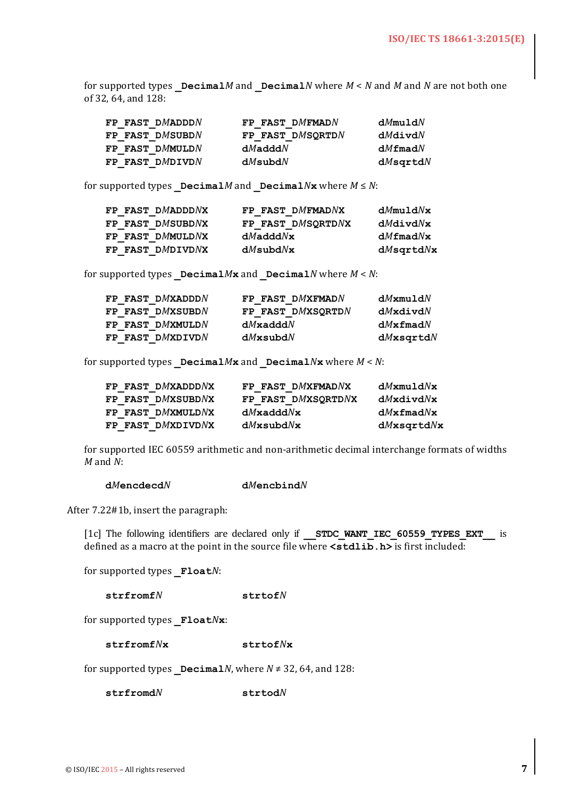for supported types  $Decima1M$  and  $Decima1N$  where  $M < N$  and M and N are not both one of 32, 64, and 128:

| FP FAST DMADDDN | FP FAST DMFMADN  | dMmuldN        |
|-----------------|------------------|----------------|
| FP FAST DMSUBDN | FP FAST DMSORTDN | $dM$ divd $N$  |
| FP FAST DMMULDN | $dM$ add $dN$    | $dM$ fmad $N$  |
| FP FAST DMDIVDN | $dM$ subd $N$    | $dM$ sqrtd $N$ |

for supported types  $DecimalM$  and  $DecimalN$ **x** where  $M \le N$ :

| FP FAST DMADDDNX | FP FAST DMFMADNX  | dMmuldNx         |
|------------------|-------------------|------------------|
| FP FAST DMSUBDNX | FP FAST DMSQRTDNX | $dM$ divd $N$ x  |
| FP FAST DMMULDNX | $dM$ add $dN$ x   | $dM$ fmad $N$ x  |
| FP FAST DMDIVDNX | $dM$ subd $N$ x   | $dM$ sqrtd $N$ x |

for supported types  $DecimalMx$  and  $DecimalN$  where  $M < N$ :

| FP FAST DMXADDDN | FP FAST DMXFMADN  | $dM$ xmuld $N$  |
|------------------|-------------------|-----------------|
| FP FAST DMXSUBDN | FP FAST DMXSORTDN | $dM$ xdivd $N$  |
| FP FAST DMXMULDN | $dM$ xadd $dN$    | $dMx$ fmad $N$  |
| FP FAST DMXDIVDN | $dM$ xsubd $N$    | $dM$ xsqrtd $N$ |

for supported types  $DecimalMx$  and  $DecimalNx$  where  $M < N$ :

| FP FAST DMXADDDNX | FP FAST DMXFMADNX  | $dM$ xmuld $N$ x  |
|-------------------|--------------------|-------------------|
| FP FAST DMXSUBDNX | FP FAST DMXSORTDNX | $dM$ xdivd $N$ x  |
| FP FAST DMXMULDNX | $dM$ xadd $dN$ x   | $dM$ xfmad $N$ x  |
| FP FAST DMXDIVDNX | $dM$ xsubd $N$ x   | $dM$ xsqrtd $N$ x |

for supported IEC 60559 arithmetic and non-arithmetic decimal interchange formats of widths *M* and *N*: 

#### **d***M***encdecd***N* **d***M***encbind***N*

After 7.22#1b, insert the paragraph:

[1c] The following identifiers are declared only if **STDC WANT IEC 60559 TYPES EXT** is defined as a macro at the point in the source file where  $\leq$  stdlib.h> is first included:

for supported types **Float***N*:

**strfromf***N* **strtof***N*

for supported types **\_Float***N***x**:

**strfromf***N***x strtof***N***x**

for supported types  $DecimalN$ , where  $N \neq 32$ , 64, and 128:

**strfromd***N* **strtod***N*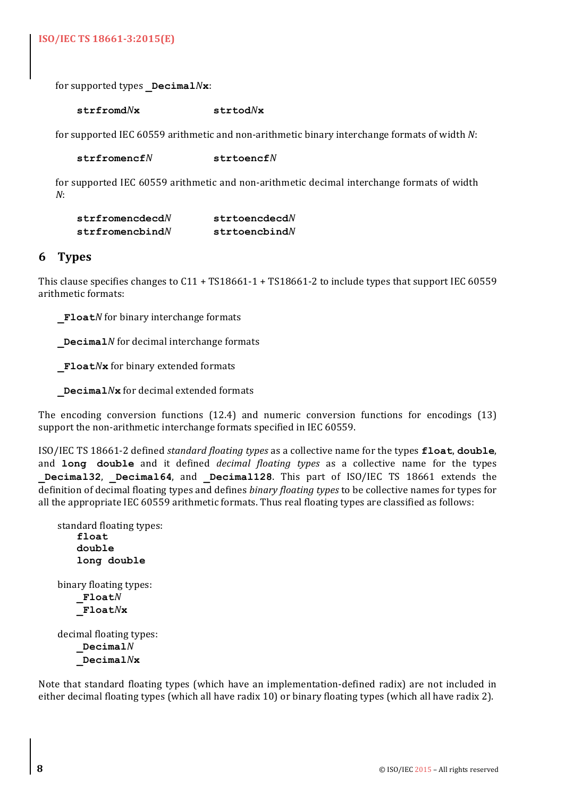**ISO/IEC TS 18661-3:2015(E)**

for supported types **Decimal***N***x**:

**strfromd***N***x strtod***N***x**

for supported IEC 60559 arithmetic and non-arithmetic binary interchange formats of width N:

**strfromencf***N* **strtoencf***N*

for supported IEC 60559 arithmetic and non-arithmetic decimal interchange formats of width *N*: 

| strfromencedecdN                        | strtoencdecd $N$         |
|-----------------------------------------|--------------------------|
| $\texttt{strfrom}$ enc $\texttt{bindN}$ | $\texttt{strtoenchind}N$ |

# **6 Types**

This clause specifies changes to  $C_11 + T_186661 - 1 + T_186661 - 2$  to include types that support IEC 60559 arithmetic formats:

**Float***N* for binary interchange formats

**Decimal***N* for decimal interchange formats

**Float***N***x** for binary extended formats

**Decimal***N***x** for decimal extended formats

The encoding conversion functions  $(12.4)$  and numeric conversion functions for encodings  $(13)$ support the non-arithmetic interchange formats specified in IEC 60559.

ISO/IEC TS 18661-2 defined *standard floating types* as a collective name for the types **float**, **double**, and **long double** and it defined *decimal floating types* as a collective name for the types **Decimal32, Decimal64, and Decimal128.** This part of ISO/IEC TS 18661 extends the definition of decimal floating types and defines *binary floating types* to be collective names for types for all the appropriate IEC 60559 arithmetic formats. Thus real floating types are classified as follows:

```
standard floating types:
    float
    double
    long double
binary floating types:
    _FloatN
   _FloatNx
decimal floating types:
    _DecimalN
```
**\_Decimal***N***x**

Note that standard floating types (which have an implementation-defined radix) are not included in either decimal floating types (which all have radix 10) or binary floating types (which all have radix 2).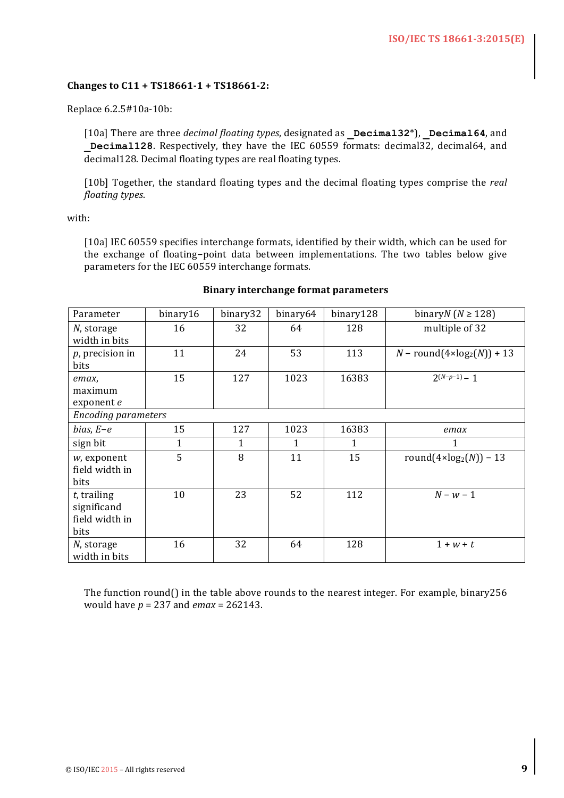### **Changes to C11 + TS18661-1 + TS18661-2:**

Replace 6.2.5#10a-10b:

[10a] There are three *decimal floating types*, designated as **Decimal32**\*), **Decimal64**, and **Decimal128**. Respectively, they have the IEC 60559 formats: decimal32, decimal64, and decimal128. Decimal floating types are real floating types.

[10b] Together, the standard floating types and the decimal floating types comprise the *real floating types*.

with:

[10a] IEC 60559 specifies interchange formats, identified by their width, which can be used for the exchange of floating-point data between implementations. The two tables below give parameters for the IEC 60559 interchange formats.

| Parameter                                               | binary16 | binary32 | binary64 | binary128 | binary $(N \ge 128)$                     |
|---------------------------------------------------------|----------|----------|----------|-----------|------------------------------------------|
| N, storage<br>width in bits                             | 16       | 32       | 64       | 128       | multiple of 32                           |
| $p$ , precision in<br>bits                              | 11       | 24       | 53       | 113       | $N$ – round(4×log <sub>2</sub> (N)) + 13 |
| emax,<br>maximum<br>exponent e                          | 15       | 127      | 1023     | 16383     | $2(N-p-1) - 1$                           |
| <b>Encoding parameters</b>                              |          |          |          |           |                                          |
| $bias, E-e$                                             | 15       | 127      | 1023     | 16383     | emax                                     |
| sign bit                                                | 1        | 1        | 1        | 1         | 1                                        |
| $w$ , exponent<br>field width in<br>bits                | 5        | 8        | 11       | 15        | round $(4 \times \log_2(N)) - 13$        |
| $t$ , trailing<br>significand<br>field width in<br>bits | 10       | 23       | 52       | 112       | $N - w - 1$                              |
| N, storage<br>width in bits                             | 16       | 32       | 64       | 128       | $1 + w + t$                              |

#### **Binary interchange format parameters**

The function round() in the table above rounds to the nearest integer. For example, binary256 would have  $p = 237$  and  $emax = 262143$ .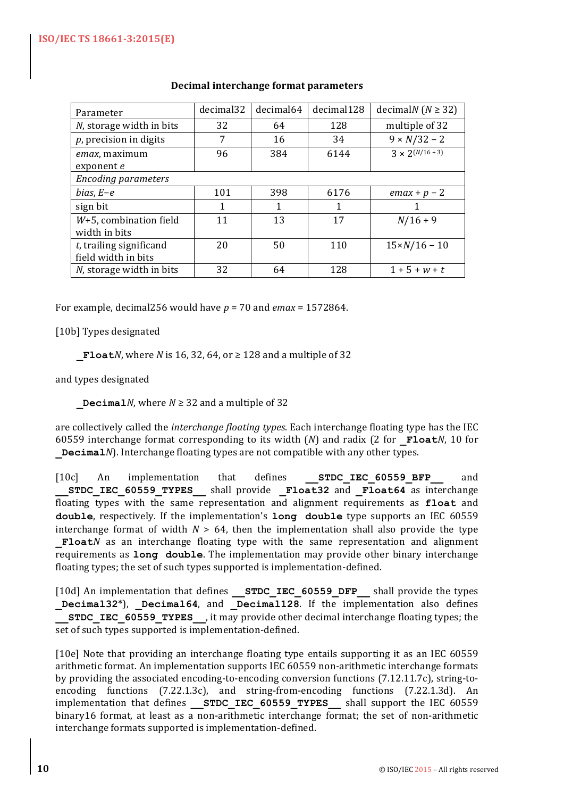| Parameter                                         | decimal32 | decimal64 | decimal128 | decimal $(N \geq 32)$ |
|---------------------------------------------------|-----------|-----------|------------|-----------------------|
| N, storage width in bits                          | 32        | 64        | 128        | multiple of 32        |
| $p$ , precision in digits                         | 7         | 16        | 34         | $9 \times N/32 - 2$   |
| emax, maximum<br>exponent e                       | 96        | 384       | 6144       | $3 \times 2(N/16+3)$  |
| <b>Encoding parameters</b>                        |           |           |            |                       |
| bias, $E-e$                                       | 101       | 398       | 6176       | $emax + p - 2$        |
| sign bit                                          | 1         | 1         | 1          |                       |
| $W+5$ , combination field<br>width in bits        | 11        | 13        | 17         | $N/16 + 9$            |
| $t$ , trailing significand<br>field width in bits | 20        | 50        | 110        | $15 \times N/16 - 10$ |
| N, storage width in bits                          | 32        | 64        | 128        | $1 + 5 + w + t$       |

# **Decimal interchange format parameters**

For example, decimal256 would have  $p = 70$  and  $emax = 1572864$ .

[10b] Types designated

**Float***N*, where *N* is 16, 32, 64, or  $\geq$  128 and a multiple of 32

and types designated

**Decimal***N*, where  $N \geq 32$  and a multiple of 32

are collectively called the *interchange floating types*. Each interchange floating type has the IEC 60559 interchange format corresponding to its width (*N*) and radix (2 for **Float***N*, 10 for **Decimal***N*). Interchange floating types are not compatible with any other types.

[10c] An implementation that defines **STDC IEC 60559 BFP** and STDC IEC 60559 TYPES shall provide Float32 and Float64 as interchange floating types with the same representation and alignment requirements as **float** and **double**, respectively. If the implementation's **long** double type supports an IEC 60559 interchange format of width  $N > 64$ , then the implementation shall also provide the type **Float***N* as an interchange floating type with the same representation and alignment requirements as **long** double. The implementation may provide other binary interchange floating types; the set of such types supported is implementation-defined.

[10d] An implementation that defines **STDC\_IEC\_60559\_DFP** shall provide the types Decimal32<sup>\*</sup>), Decimal64, and Decimal128. If the implementation also defines **STDC\_IEC\_60559\_TYPES\_\_,** it may provide other decimal interchange floating types; the set of such types supported is implementation-defined.

[10e] Note that providing an interchange floating type entails supporting it as an IEC 60559 arithmetic format. An implementation supports IEC 60559 non-arithmetic interchange formats by providing the associated encoding-to-encoding conversion functions  $(7.12.11.7c)$ , string-toencoding functions  $(7.22.1.3c)$ , and string-from-encoding functions  $(7.22.1.3d)$ . An implementation that defines **\_\_STDC\_IEC\_60559\_TYPES** \_\_ shall support the IEC 60559 binary16 format, at least as a non-arithmetic interchange format; the set of non-arithmetic interchange formats supported is implementation-defined.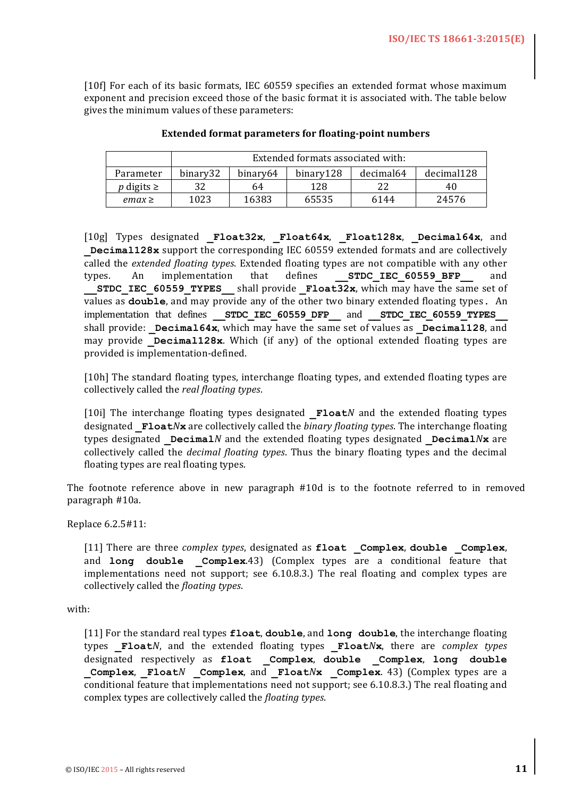[10f] For each of its basic formats, IEC 60559 specifies an extended format whose maximum exponent and precision exceed those of the basic format it is associated with. The table below gives the minimum values of these parameters:

|                       | Extended formats associated with: |          |           |           |            |  |
|-----------------------|-----------------------------------|----------|-----------|-----------|------------|--|
| Parameter             | binary32                          | binary64 | binary128 | decimal64 | decimal128 |  |
| <i>p</i> digits $\ge$ | 32                                | 64       | 128       | 22        | 40         |  |
| $emax \geq$           | 1023                              | 16383    | 65535     | 6144      | 24576      |  |

#### **Extended format parameters for floating-point numbers**

[10g] Types designated **\_Float32x**, **\_Float64x**, **\_Float128x**, **\_Decimal64x**, and **Decimal128x** support the corresponding IEC 60559 extended formats and are collectively called the *extended floating types*. Extended floating types are not compatible with any other types. An implementation that defines **STDC IEC 60559 BFP** and **STDC IEC 60559 TYPES** shall provide **Float32x**, which may have the same set of values as **double**, and may provide any of the other two binary extended floating types. An implementation that defines **STDC IEC 60559 DFP** and **STDC IEC 60559 TYPES** shall provide: **Decimal64x**, which may have the same set of values as **Decimal128**, and may provide **Decimal128x**. Which (if any) of the optional extended floating types are provided is implementation-defined.

[10h] The standard floating types, interchange floating types, and extended floating types are collectively called the *real floating types*.

[10i] The interchange floating types designated **Float***N* and the extended floating types designated **Float***N***x** are collectively called the *binary floating types*. The interchange floating types designated **Decimal***N* and the extended floating types designated **Decimal***N***x** are collectively called the *decimal floating types*. Thus the binary floating types and the decimal floating types are real floating types.

The footnote reference above in new paragraph  $#10d$  is to the footnote referred to in removed paragraph #10a.

Replace 6.2.5#11:

[11] There are three *complex types*, designated as float \_Complex, double \_Complex, and **long double** \_Complex.43) (Complex types are a conditional feature that implementations need not support; see  $6.10.8.3$ .) The real floating and complex types are collectively called the *floating types*. 

with:

[11] For the standard real types **float**, **double**, and **long double**, the interchange floating types **Float***N*, and the extended floating types **Float***N***x**, there are *complex types* designated respectively as **float \_Complex**, **double \_Complex**, **long double Complex, Float***N* **Complex**, and **Float***N***<b>x Complex**. 43) (Complex types are a conditional feature that implementations need not support; see 6.10.8.3.) The real floating and complex types are collectively called the *floating types*.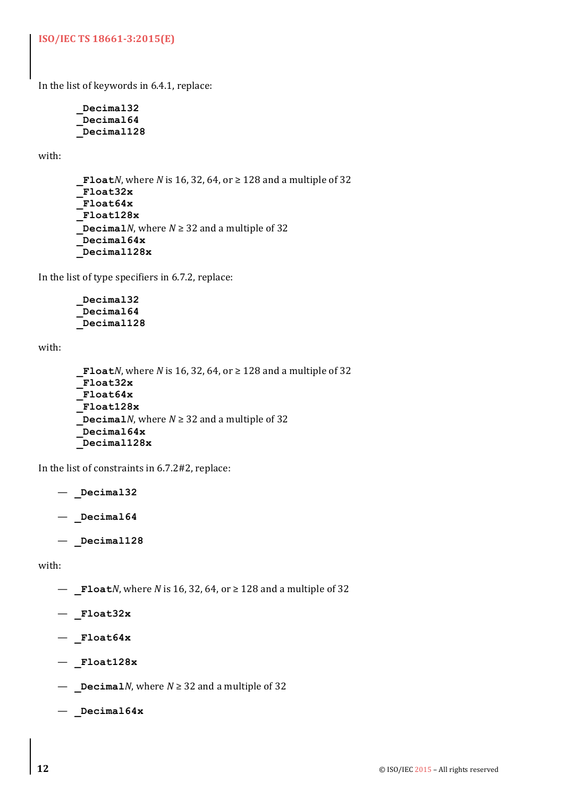**ISO/IEC TS 18661-3:2015(E)**

In the list of keywords in  $6.4.1$ , replace:

**\_Decimal32 \_Decimal64 \_Decimal128**

with:

```
_FloatN, where N is 16, 32, 64, or \geq 128 and a multiple of 32
 _Float32x
_Float64x
_Float128x
\DeltaDecimalN, where N \ge 32 and a multiple of 32
 _Decimal64x
_Decimal128x
```
In the list of type specifiers in  $6.7.2$ , replace:

```
_Decimal32
_Decimal64
_Decimal128
```
with:

```
_FloatN, where N is 16, 32, 64, or ≥ 128 and a multiple of 32
_Float32x
_Float64x
_Float128x
 DecimalN, where N \geq 32 and a multiple of 32
_Decimal64x
_Decimal128x
```
In the list of constraints in  $6.7.2#2$ , replace:

- **\_Decimal32**
- **\_Decimal64**
- **\_Decimal128**

with:

- **Float***N*, where *N* is 16, 32, 64, or ≥ 128 and a multiple of 32
- **\_Float32x**
- **\_Float64x**
- **\_Float128x**
- **\_Decimal***N*, where *N* ≥ 32 and a multiple of 32
- **\_Decimal64x**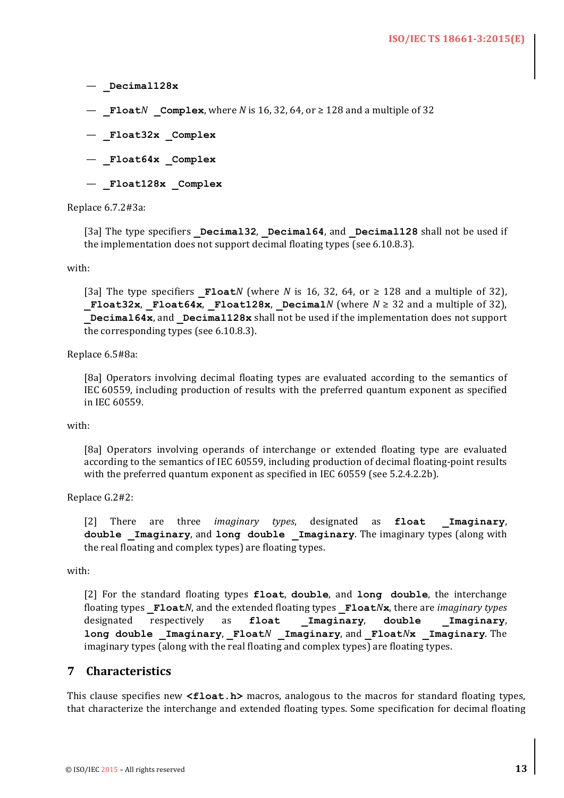— **\_Decimal128x**

 $−$  **Float***N* **Complex**, where *N* is 16, 32, 64, or  $≥$  128 and a multiple of 32

- **\_Float32x \_Complex**
- **\_Float64x \_Complex**
- **\_Float128x \_Complex**

#### Replace 6.7.2#3a:

[3a] The type specifiers **Decimal32**, **Decimal64**, and **Decimal128** shall not be used if the implementation does not support decimal floating types (see 6.10.8.3).

with:

[3a] The type specifiers **Float***N* (where *N* is 16, 32, 64, or  $\geq$  128 and a multiple of 32), **Float32x**, **Float64x**, **Float128x**, **Decimal***N* (where  $N \geq 32$  and a multiple of 32), **Decimal64x**, and **Decimal128x** shall not be used if the implementation does not support the corresponding types (see  $6.10.8.3$ ).

Replace 6.5#8a:

[8a] Operators involving decimal floating types are evaluated according to the semantics of IEC 60559, including production of results with the preferred quantum exponent as specified in IEC 60559.

#### with:

[8a] Operators involving operands of interchange or extended floating type are evaluated according to the semantics of IEC 60559, including production of decimal floating-point results with the preferred quantum exponent as specified in IEC 60559 (see 5.2.4.2.2b).

Replace G.2#2:

[2] There are three *imaginary types*, designated as **float Imaginary**, double **Imaginary**, and long double Imaginary. The imaginary types (along with the real floating and complex types) are floating types.

with:

[2] For the standard floating types **float**, **double**, and **long double**, the interchange floating types **Float***N*, and the extended floating types Float*Nx*, there are *imaginary types* designated respectively as **float \_Imaginary**, **double \_Imaginary**, **long double \_Imaginary**, **\_Float***N* **\_Imaginary**, and **\_Float***N***x \_Imaginary**. The imaginary types (along with the real floating and complex types) are floating types.

# **7 Characteristics**

This clause specifies new **<float.h>** macros, analogous to the macros for standard floating types, that characterize the interchange and extended floating types. Some specification for decimal floating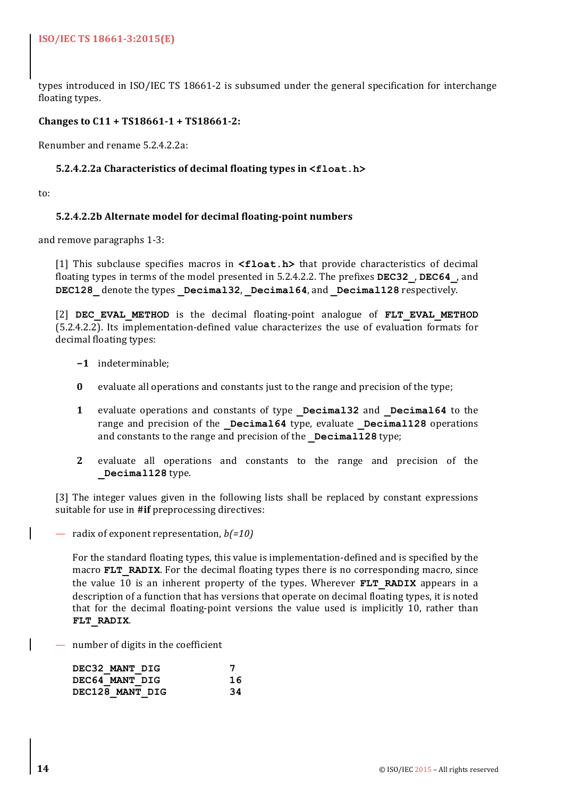types introduced in ISO/IEC TS 18661-2 is subsumed under the general specification for interchange floating types.

# **Changes to C11 + TS18661-1 + TS18661-2:**

Renumber and rename 5.2.4.2.2a:

#### **5.2.4.2.2a Characteristics of decimal floating types in <float.h>**

to:

### **5.2.4.2.2b Alternate model for decimal floating-point numbers**

and remove paragraphs 1-3:

[1] This subclause specifies macros in **<float.h>** that provide characteristics of decimal floating types in terms of the model presented in 5.2.4.2.2. The prefixes **DEC32**, **DEC64**, and **DEC128** denote the types **Decimal32**, **Decimal64**, and **Decimal128** respectively.

[2] **DEC EVAL METHOD** is the decimal floating-point analogue of **FLT EVAL METHOD**  $(5.2.4.2.2)$ . Its implementation-defined value characterizes the use of evaluation formats for decimal floating types:

- **−1** indeterminable;
- **0** evaluate all operations and constants just to the range and precision of the type;
- **1** evaluate operations and constants of type **Decimal32** and **Decimal64** to the range and precision of the **Decimal64** type, evaluate **Decimal128** operations and constants to the range and precision of the **Decimal128** type;
- **2** evaluate all operations and constants to the range and precision of the **\_Decimal128** type.

[3] The integer values given in the following lists shall be replaced by constant expressions suitable for use in #if preprocessing directives:

— radix of exponent representation, *b*(=10)

For the standard floating types, this value is implementation-defined and is specified by the macro **FLT** RADIX. For the decimal floating types there is no corresponding macro, since the value 10 is an inherent property of the types. Wherever **FLT RADIX** appears in a description of a function that has versions that operate on decimal floating types, it is noted that for the decimal floating-point versions the value used is implicitly 10, rather than **FLT\_RADIX**.

 $-$  number of digits in the coefficient

| DEC32 MANT DIG  |    |
|-----------------|----|
| DEC64 MANT DIG  | 16 |
| DEC128 MANT DIG | 34 |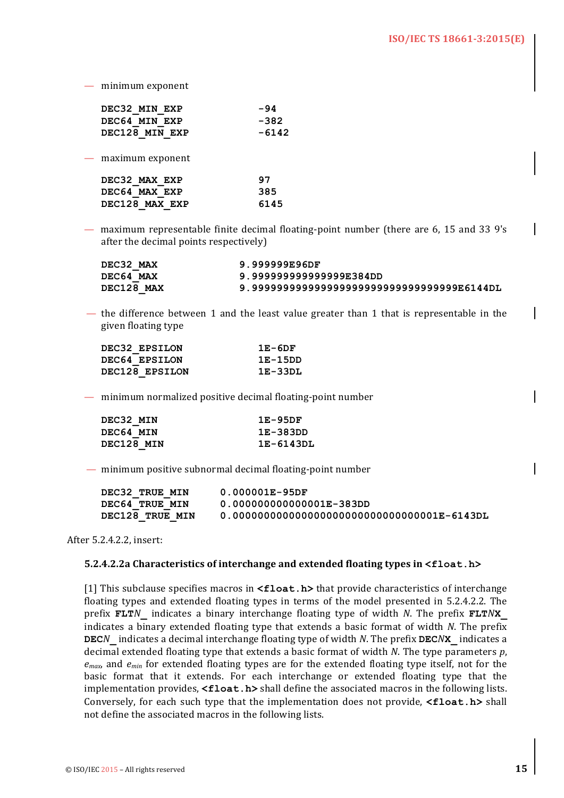$-$  minimum exponent

| -94   |
|-------|
| -382  |
| -6142 |
|       |

 $-$  maximum exponent

| DEC32 MAX EXP  | 97   |
|----------------|------|
| DEC64 MAX EXP  | 385  |
| DEC128 MAX EXP | 6145 |

— maximum representable finite decimal floating-point number (there are  $6, 15$  and  $33$  9's after the decimal points respectively)

| DEC32 MAX  | 9.999999E96DF                            |
|------------|------------------------------------------|
| DEC64 MAX  | 9.999999999999999E384DD                  |
| DEC128 MAX | 9.9999999999999999999999999999999E6144DL |

— the difference between 1 and the least value greater than 1 that is representable in the given floating type

| DEC32 EPSILON  | $1E-6DF$  |
|----------------|-----------|
| DEC64 EPSILON  | 1E-15DD   |
| DEC128 EPSILON | $1E-33DL$ |

 $-$  minimum normalized positive decimal floating-point number

| DEC32 MIN  | $1E-95DF$ |
|------------|-----------|
| DEC64 MIN  | 1E-383DD  |
| DEC128 MIN | 1E-6143DL |

 $-$  minimum positive subnormal decimal floating-point number

| DEC32 TRUE MIN        | $0.000001E - 95DF$                            |
|-----------------------|-----------------------------------------------|
| <b>DEC64 TRUE MIN</b> | 0.000000000000001E-383DD                      |
| DEC128 TRUE MIN       | $0.000000000000000000000000000000001E-6143DL$ |

After 5.2.4.2.2, insert:

#### **5.2.4.2.2a Characteristics of interchange and extended floating types in <float.h>**

[1] This subclause specifies macros in  $\leq$ **float.h>** that provide characteristics of interchange floating types and extended floating types in terms of the model presented in 5.2.4.2.2. The prefix **FLT***N* indicates a binary interchange floating type of width *N*. The prefix **FLT***N***X** indicates a binary extended floating type that extends a basic format of width *N*. The prefix **DEC***N* indicates a decimal interchange floating type of width *N*. The prefix **DEC***N***X** indicates a decimal extended floating type that extends a basic format of width *N*. The type parameters *p*,  $e_{max}$ , and  $e_{min}$  for extended floating types are for the extended floating type itself, not for the basic format that it extends. For each interchange or extended floating type that the implementation provides, <float.h> shall define the associated macros in the following lists. Conversely, for each such type that the implementation does not provide, **<float.h>** shall not define the associated macros in the following lists.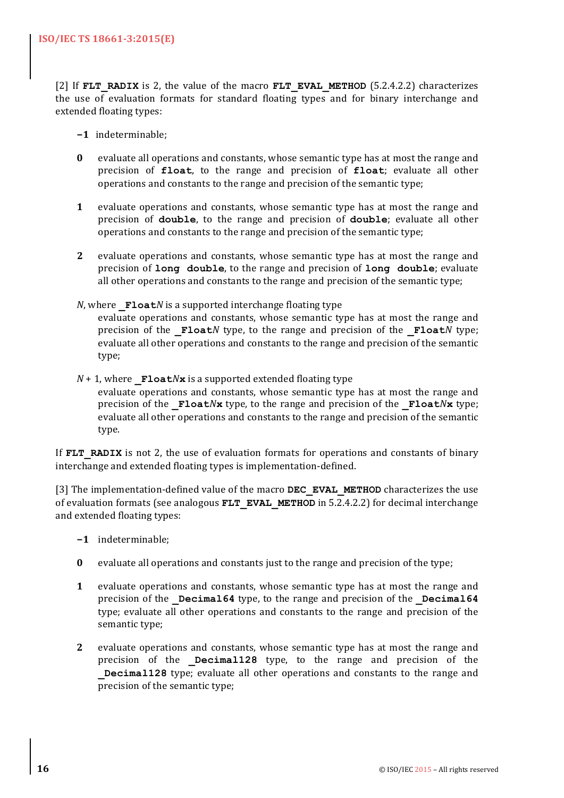[2] If **FLT** RADIX is 2, the value of the macro **FLT** EVAL METHOD (5.2.4.2.2) characterizes the use of evaluation formats for standard floating types and for binary interchange and extended floating types:

- **−1** indeterminable;
- **0** evaluate all operations and constants, whose semantic type has at most the range and precision of float, to the range and precision of float; evaluate all other operations and constants to the range and precision of the semantic type;
- **1** evaluate operations and constants, whose semantic type has at most the range and precision of **double**, to the range and precision of **double**; evaluate all other operations and constants to the range and precision of the semantic type;
- **2** evaluate operations and constants, whose semantic type has at most the range and precision of long double, to the range and precision of long double; evaluate all other operations and constants to the range and precision of the semantic type;
- *N*, where **Float***N* is a supported interchange floating type evaluate operations and constants, whose semantic type has at most the range and precision of the **Float***N* type, to the range and precision of the **Float***N* type; evaluate all other operations and constants to the range and precision of the semantic type;
- $N + 1$ , where  $\mathbf{F1}$ **oat** $N$ **x** is a supported extended floating type evaluate operations and constants, whose semantic type has at most the range and precision of the  $\textbf{Fload}N\textbf{x}$  type, to the range and precision of the  $\textbf{Fload}N\textbf{x}$  type; evaluate all other operations and constants to the range and precision of the semantic type.

If **FLT** RADIX is not 2, the use of evaluation formats for operations and constants of binary interchange and extended floating types is implementation-defined.

[3] The implementation-defined value of the macro **DEC EVAL METHOD** characterizes the use of evaluation formats (see analogous **FLT\_EVAL\_METHOD** in  $5.2.4.2.2$ ) for decimal interchange and extended floating types:

- **−1** indeterminable;
- **0** evaluate all operations and constants just to the range and precision of the type;
- **1** evaluate operations and constants, whose semantic type has at most the range and precision of the **Decimal64** type, to the range and precision of the **Decimal64** type; evaluate all other operations and constants to the range and precision of the semantic type;
- **2** evaluate operations and constants, whose semantic type has at most the range and precision of the **Decimal128** type, to the range and precision of the **Decimal128** type; evaluate all other operations and constants to the range and precision of the semantic type;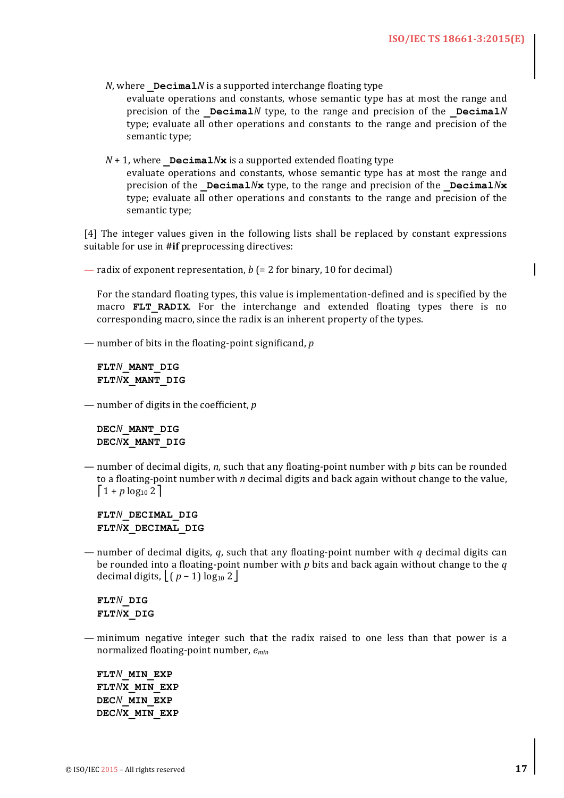$N$ , where  $Decima1N$  is a supported interchange floating type

evaluate operations and constants, whose semantic type has at most the range and precision of the Decimal*N* type, to the range and precision of the Decimal*N* type; evaluate all other operations and constants to the range and precision of the semantic type;

 $N + 1$ , where **Decimal** $N$ **x** is a supported extended floating type evaluate operations and constants, whose semantic type has at most the range and precision of the **Decimal** $N$ **x** type, to the range and precision of the **Decimal** $N$ **x** type; evaluate all other operations and constants to the range and precision of the semantic type;

[4] The integer values given in the following lists shall be replaced by constant expressions suitable for use in #if preprocessing directives:

— radix of exponent representation,  $b$  (= 2 for binary, 10 for decimal)

For the standard floating types, this value is implementation-defined and is specified by the macro **FLT RADIX**. For the interchange and extended floating types there is no corresponding macro, since the radix is an inherent property of the types.

— number of bits in the floating-point significand, *p* 

**FLT***N***\_MANT\_DIG FLT***N***X\_MANT\_DIG** 

— number of digits in the coefficient, *p* 

**DEC***N***\_MANT\_DIG DEC***N***X\_MANT\_DIG** 

 $-$  number of decimal digits, *n*, such that any floating-point number with *p* bits can be rounded to a floating-point number with *n* decimal digits and back again without change to the value,  $1 + p \log_{10} 2$ 

**FLT***N***\_DECIMAL\_DIG FLT***N***X\_DECIMAL\_DIG** 

— number of decimal digits,  $q$ , such that any floating-point number with  $q$  decimal digits can be rounded into a floating-point number with  $p$  bits and back again without change to the  $q$ decimal digits,  $\left( p - 1 \right) \log_{10} 2 \left( p - 1 \right)$ 

**FLT***N***\_DIG FLT***N***X\_DIG** 

 $-$  minimum negative integer such that the radix raised to one less than that power is a normalized floating-point number, *emin*

 **FLT***N***\_MIN\_EXP FLT***N***X\_MIN\_EXP DEC***N***\_MIN\_EXP DEC***N***X\_MIN\_EXP**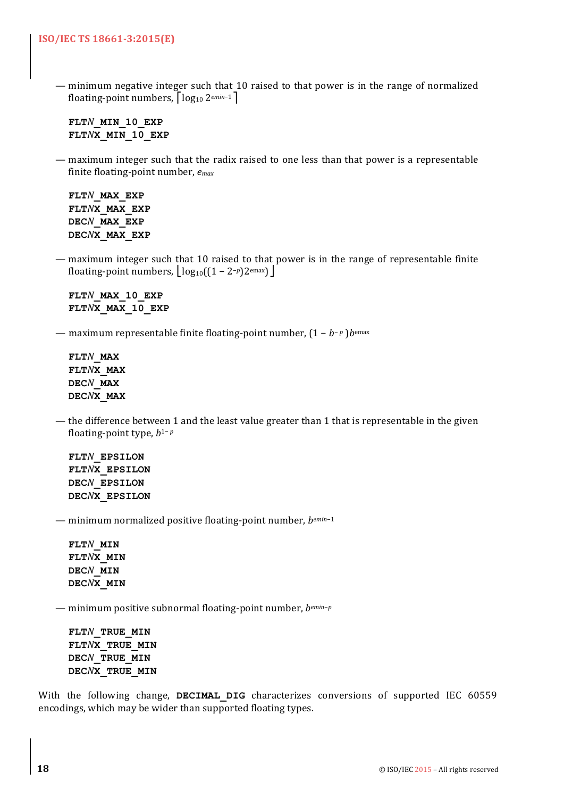— minimum negative integer such that 10 raised to that power is in the range of normalized floating-point numbers, ⎡log10 2*emin*−1⎤

**FLT***N***\_MIN\_10\_EXP FLT***N***X\_MIN\_10\_EXP** 

— maximum integer such that the radix raised to one less than that power is a representable finite floating-point number,  $e_{max}$ 

**FLT***N***\_MAX\_EXP FLT***N***X\_MAX\_EXP DEC***N***\_MAX\_EXP DEC***N***X\_MAX\_EXP**

— maximum integer such that 10 raised to that power is in the range of representable finite floating-point numbers,  $\log_{10}((1-2^{-p})2^{\text{emax}})$ 

**FLT***N***\_MAX\_10\_EXP FLT***N***X\_MAX\_10\_EXP**

— maximum representable finite floating-point number,  $(1 - b^{-p})$ *b*<sup>emax</sup>

**FLT***N***\_MAX FLT***N***X\_MAX DEC***N***\_MAX DEC***N***X\_MAX**

— the difference between 1 and the least value greater than 1 that is representable in the given floating-point type,  $b$ <sup>1−</sup> $p$ </sup>

**FLT***N***\_EPSILON FLT***N***X\_EPSILON DEC***N***\_EPSILON DEC***N***X\_EPSILON**

— minimum normalized positive floating-point number, *bemin*<sup>-1</sup>

**FLT***N***\_MIN FLT***N***X\_MIN DEC***N***\_MIN DEC***N***X\_MIN**

— minimum positive subnormal floating-point number, *bemin-p* 

**FLT***N***\_TRUE\_MIN FLT***N***X\_TRUE\_MIN DEC***N***\_TRUE\_MIN DEC***N***X\_TRUE\_MIN**

With the following change, **DECIMAL DIG** characterizes conversions of supported IEC 60559 encodings, which may be wider than supported floating types.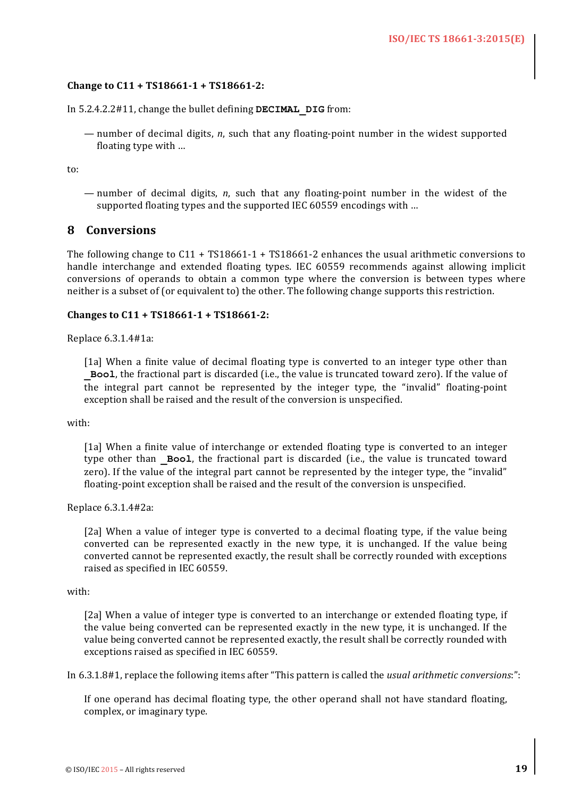#### Change to C11 + TS18661-1 + TS18661-2:

In 5.2.4.2.2#11, change the bullet defining **DECIMAL** DIG from:

— number of decimal digits, *n*, such that any floating-point number in the widest supported floating type with  $\ldots$ 

to:

— number of decimal digits, *n*, such that any floating-point number in the widest of the supported floating types and the supported IEC 60559 encodings with ...

### **8 Conversions**

The following change to  $C11 + TS18661-1 + TS18661-2$  enhances the usual arithmetic conversions to handle interchange and extended floating types. IEC 60559 recommends against allowing implicit conversions of operands to obtain a common type where the conversion is between types where neither is a subset of (or equivalent to) the other. The following change supports this restriction.

#### **Changes to C11 + TS18661-1 + TS18661-2:**

Replace 6.3.1.4#1a:

[1a] When a finite value of decimal floating type is converted to an integer type other than **Bool**, the fractional part is discarded (i.e., the value is truncated toward zero). If the value of the integral part cannot be represented by the integer type, the "invalid" floating-point exception shall be raised and the result of the conversion is unspecified.

with:

[1a] When a finite value of interchange or extended floating type is converted to an integer type other than **Bool**, the fractional part is discarded (i.e., the value is truncated toward zero). If the value of the integral part cannot be represented by the integer type, the "invalid" floating-point exception shall be raised and the result of the conversion is unspecified.

Replace 6.3.1.4#2a:

[2a] When a value of integer type is converted to a decimal floating type, if the value being converted can be represented exactly in the new type, it is unchanged. If the value being converted cannot be represented exactly, the result shall be correctly rounded with exceptions raised as specified in IEC 60559.

#### with:

[2a] When a value of integer type is converted to an interchange or extended floating type, if the value being converted can be represented exactly in the new type, it is unchanged. If the value being converted cannot be represented exactly, the result shall be correctly rounded with exceptions raised as specified in IEC 60559.

In 6.3.1.8#1, replace the following items after "This pattern is called the *usual arithmetic conversions*:":

If one operand has decimal floating type, the other operand shall not have standard floating, complex, or imaginary type.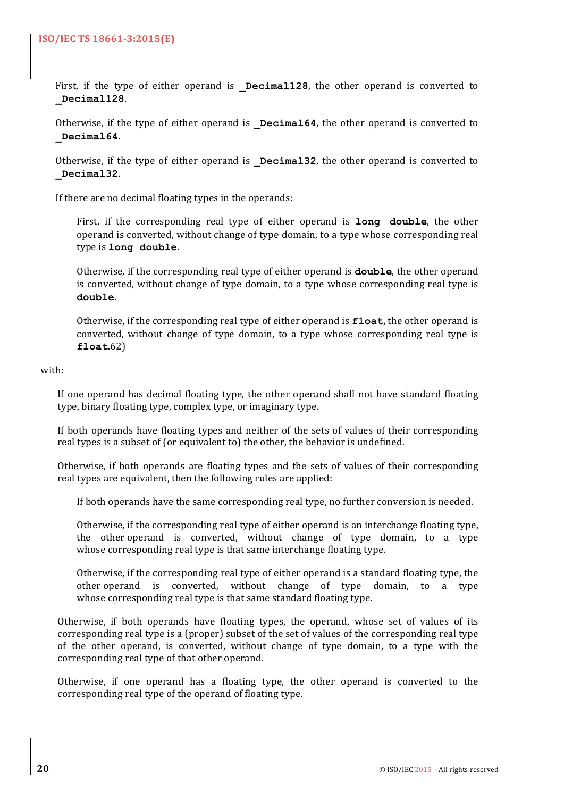First, if the type of either operand is **Decimal128**, the other operand is converted to **\_Decimal128**.

Otherwise, if the type of either operand is **Decimal64**, the other operand is converted to **\_Decimal64**.

Otherwise, if the type of either operand is **Decimal32**, the other operand is converted to **\_Decimal32**.

If there are no decimal floating types in the operands:

First, if the corresponding real type of either operand is **long double**, the other operand is converted, without change of type domain, to a type whose corresponding real type is **long** double.

Otherwise, if the corresponding real type of either operand is **double**, the other operand is converted, without change of type domain, to a type whose corresponding real type is **double**.

Otherwise, if the corresponding real type of either operand is **float**, the other operand is converted, without change of type domain, to a type whose corresponding real type is **float**.62)

#### with:

If one operand has decimal floating type, the other operand shall not have standard floating type, binary floating type, complex type, or imaginary type.

If both operands have floating types and neither of the sets of values of their corresponding real types is a subset of (or equivalent to) the other, the behavior is undefined.

Otherwise, if both operands are floating types and the sets of values of their corresponding real types are equivalent, then the following rules are applied:

If both operands have the same corresponding real type, no further conversion is needed.

Otherwise, if the corresponding real type of either operand is an interchange floating type, the other operand is converted, without change of type domain, to a type whose corresponding real type is that same interchange floating type.

Otherwise, if the corresponding real type of either operand is a standard floating type, the other operand is converted, without change of type domain, to a type whose corresponding real type is that same standard floating type.

Otherwise, if both operands have floating types, the operand, whose set of values of its corresponding real type is a (proper) subset of the set of values of the corresponding real type of the other operand, is converted, without change of type domain, to a type with the corresponding real type of that other operand.

Otherwise, if one operand has a floating type, the other operand is converted to the corresponding real type of the operand of floating type.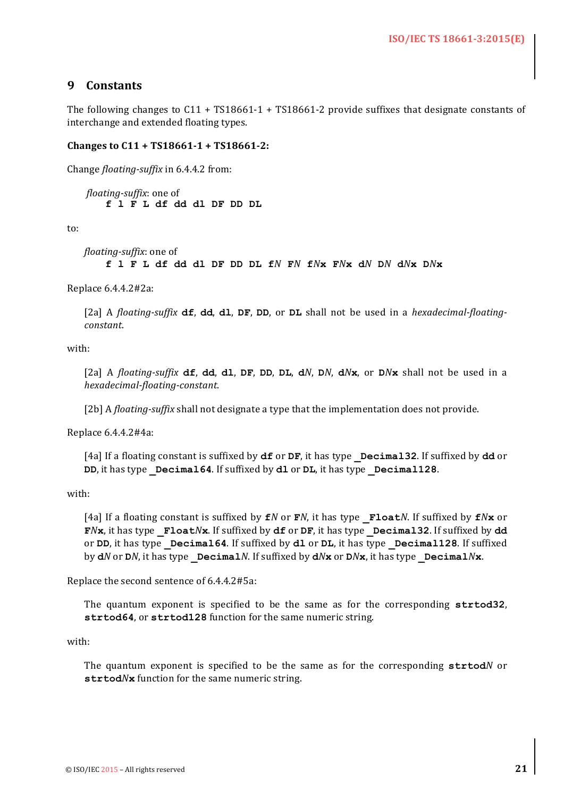# **9 Constants**

The following changes to  $C11 + TS18661-1 + TS18661-2$  provide suffixes that designate constants of interchange and extended floating types.

#### **Changes to C11 + TS18661-1 + TS18661-2:**

Change *floating-suffix* in 6.4.4.2 from:

*floating-suffix*: one of **f l F L df dd dl DF DD DL**

to:

```
floating-suffix: one of
    f l F L df dd dl DF DD DL fN FN fNx FNx dN DN dNx DNx
```
Replace 6.4.4.2#2a:

[2a] A *floating-suffix* **df**, **dd**, **dl**, **DF**, **DD**, or **DL** shall not be used in a *hexadecimal-floatingconstant*.

with:

[2a] A floating-suffix  $df$ , dd, dl, DF, DD, DL, dN, DN, dNx, or DNx shall not be used in a *hexadecimal-floating-constant*.

[2b] A *floating-suffix* shall not designate a type that the implementation does not provide.

Replace 6.4.4.2#4a:

[4a] If a floating constant is suffixed by **df** or **DF**, it has type **Decimal32**. If suffixed by **dd** or **DD**, it has type **Decimal64**. If suffixed by **dl** or **DL**, it has type **Decimal128**.

with:

[4a] If a floating constant is suffixed by  $fN$  or  $fN$ , it has type  $fN \circ fN$ . If suffixed by  $fN \times r$  or **F***N***x**, it has type **\_Float***N***x**. If suffixed by **df** or **DF**, it has type **\_Decimal32**. If suffixed by **dd** or DD, it has type Decimal64. If suffixed by dl or DL, it has type Decimal128. If suffixed by **d***N* or **D***N*, it has type **\_Decimal***N*. If suffixed by **d***N***x** or **D***N***x**, it has type **\_Decimal***N***x**.

Replace the second sentence of 6.4.4.2#5a:

The quantum exponent is specified to be the same as for the corresponding strtod32, strtod64, or strtod128 function for the same numeric string.

with:

The quantum exponent is specified to be the same as for the corresponding strtodN or strtod/ $N$ **x** function for the same numeric string.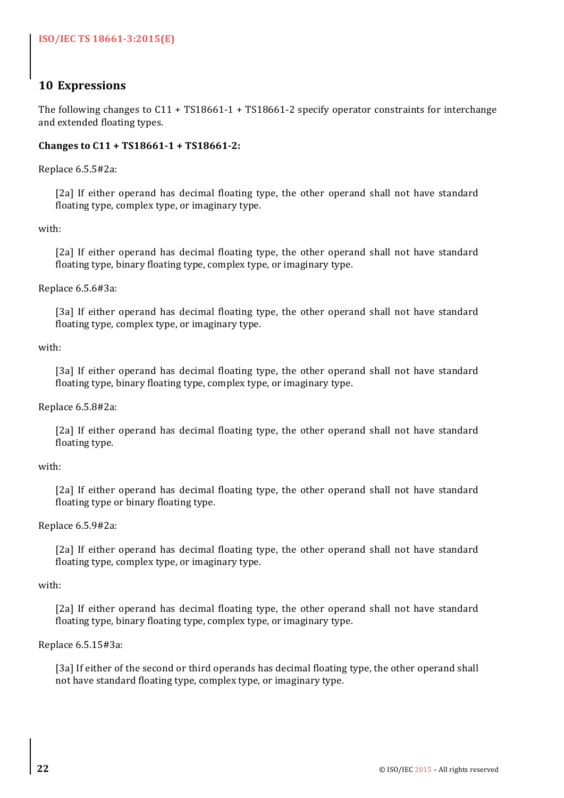# **10 Expressions**

The following changes to  $C11 + TS18661-1 + TS18661-2$  specify operator constraints for interchange and extended floating types.

### **Changes to C11 + TS18661-1 + TS18661-2:**

Replace 6.5.5#2a:

[2a] If either operand has decimal floating type, the other operand shall not have standard floating type, complex type, or imaginary type.

with:

[2a] If either operand has decimal floating type, the other operand shall not have standard floating type, binary floating type, complex type, or imaginary type.

### Replace 6.5.6#3a:

[3a] If either operand has decimal floating type, the other operand shall not have standard floating type, complex type, or imaginary type.

with:

[3a] If either operand has decimal floating type, the other operand shall not have standard floating type, binary floating type, complex type, or imaginary type.

#### Replace 6.5.8#2a:

[2a] If either operand has decimal floating type, the other operand shall not have standard floating type.

#### with:

[2a] If either operand has decimal floating type, the other operand shall not have standard floating type or binary floating type.

#### Replace 6.5.9#2a:

[2a] If either operand has decimal floating type, the other operand shall not have standard floating type, complex type, or imaginary type.

#### with:

[2a] If either operand has decimal floating type, the other operand shall not have standard floating type, binary floating type, complex type, or imaginary type.

#### Replace 6.5.15#3a:

[3a] If either of the second or third operands has decimal floating type, the other operand shall not have standard floating type, complex type, or imaginary type.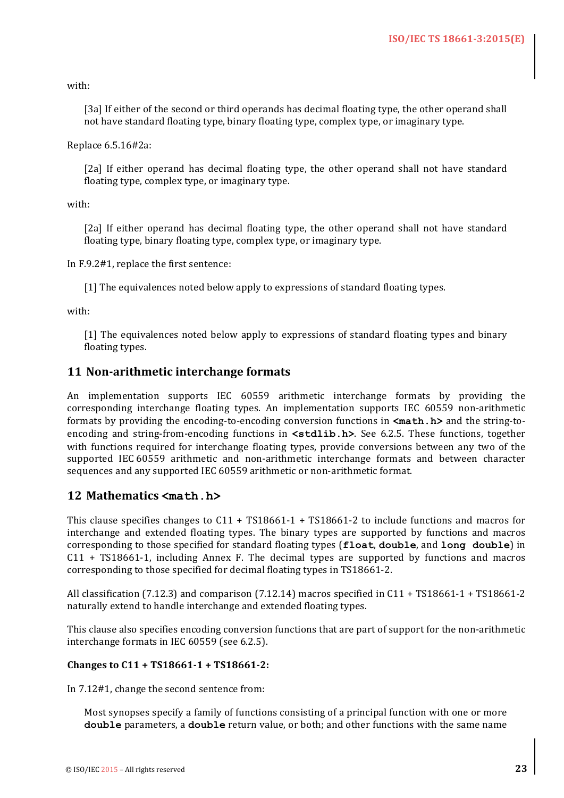with:

[3a] If either of the second or third operands has decimal floating type, the other operand shall not have standard floating type, binary floating type, complex type, or imaginary type.

Replace 6.5.16#2a:

[2a] If either operand has decimal floating type, the other operand shall not have standard floating type, complex type, or imaginary type.

with:

[2a] If either operand has decimal floating type, the other operand shall not have standard floating type, binary floating type, complex type, or imaginary type.

In  $F.9.2#1$ , replace the first sentence:

[1] The equivalences noted below apply to expressions of standard floating types.

with:

[1] The equivalences noted below apply to expressions of standard floating types and binary floating types.

# **11 Non-arithmetic interchange formats**

An implementation supports IEC 60559 arithmetic interchange formats by providing the corresponding interchange floating types. An implementation supports IEC 60559 non-arithmetic formats by providing the encoding-to-encoding conversion functions in  $\text{ $math.h$ }$  and the string-toencoding and string-from-encoding functions in  $\text{stdlib.h}$ . See 6.2.5. These functions, together with functions required for interchange floating types, provide conversions between any two of the supported IEC 60559 arithmetic and non-arithmetic interchange formats and between character sequences and any supported IEC 60559 arithmetic or non-arithmetic format.

# **12 Mathematics <math.h>**

This clause specifies changes to  $C11 + TS18661-1 + TS18661-2$  to include functions and macros for interchange and extended floating types. The binary types are supported by functions and macros corresponding to those specified for standard floating types (**float**, **double**, and **long double**) in  $C11 + TS18661-1$ , including Annex F. The decimal types are supported by functions and macros corresponding to those specified for decimal floating types in TS18661-2.

All classification  $(7.12.3)$  and comparison  $(7.12.14)$  macros specified in  $C11 + TS18661-1 + TS18661-2$ naturally extend to handle interchange and extended floating types.

This clause also specifies encoding conversion functions that are part of support for the non-arithmetic interchange formats in IEC 60559 (see 6.2.5).

#### **Changes to C11 + TS18661-1 + TS18661-2:**

In 7.12#1, change the second sentence from:

Most synopses specify a family of functions consisting of a principal function with one or more **double** parameters, a **double** return value, or both; and other functions with the same name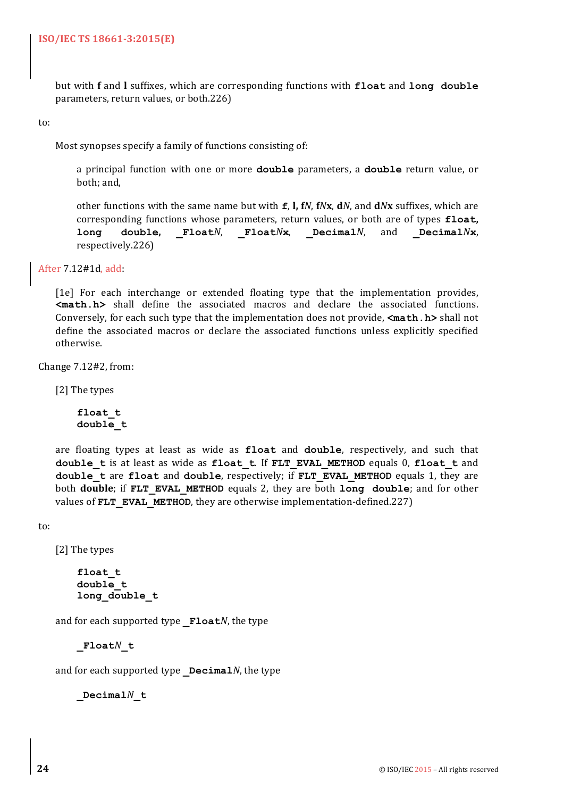but with **f** and *l* suffixes, which are corresponding functions with **float** and **long** double parameters, return values, or both.226)

to:

Most synopses specify a family of functions consisting of:

a principal function with one or more **double** parameters, a **double** return value, or both: and,

other functions with the same name but with **f**, **l**, **f***N*, **f***N***x**, **d***N*<sub></sub>, and **d***N***x** suffixes, which are corresponding functions whose parameters, return values, or both are of types **float**, **long double, \_Float***N*, **\_Float***N***x**, **\_Decimal***N*, and **\_Decimal***N***x**, respectively.226)

After 7.12#1d, add:

[1e] For each interchange or extended floating type that the implementation provides, **<math.h>** shall define the associated macros and declare the associated functions. Conversely, for each such type that the implementation does not provide,  $\langle \text{math}, \text{h}\rangle$  shall not define the associated macros or declare the associated functions unless explicitly specified otherwise. 

Change  $7.12#2$ , from:

[2] The types

**float\_t double\_t** 

are floating types at least as wide as float and double, respectively, and such that **double** t is at least as wide as **float** t. If **FLT** EVAL METHOD equals 0, **float** t and **double** t are **float** and **double**, respectively; if FLT EVAL METHOD equals 1, they are **both double;** if **FLT** EVAL METHOD equals 2, they are both long double; and for other values of **FLT** EVAL METHOD, they are otherwise implementation-defined.227)

to:

[2] The types

**float\_t double\_t long\_double\_t** 

and for each supported type **Float***N*, the type

**\_Float***N***\_t** 

and for each supported type **Decimal***N*, the type

**\_Decimal***N***\_t**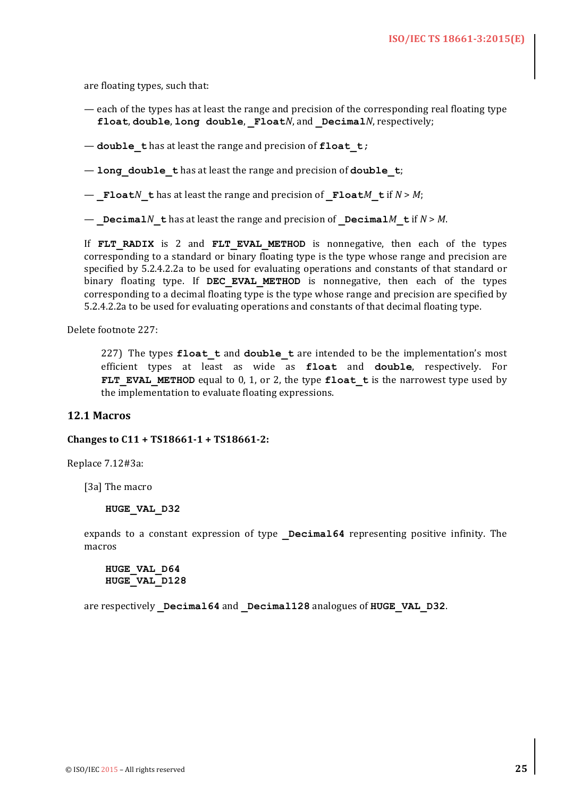are floating types, such that:

- each of the types has at least the range and precision of the corresponding real floating type **float,** double, long double, Float*N*, and Decimal*N*, respectively;
- $-$  **double t** has at least the range and precision of **float t**;

 $-$  long double thas at least the range and precision of double t;

 $-$  **Float***N* **t** has at least the range and precision of **Float***M* **t** if  $N > M$ ;

 $-$  **Decimal***N* **t** has at least the range and precision of **Decimal***M* **t** if  $N > M$ .

If **FLT RADIX** is 2 and **FLT EVAL METHOD** is nonnegative, then each of the types corresponding to a standard or binary floating type is the type whose range and precision are specified by 5.2.4.2.2a to be used for evaluating operations and constants of that standard or binary floating type. If **DEC EVAL METHOD** is nonnegative, then each of the types corresponding to a decimal floating type is the type whose range and precision are specified by 5.2.4.2.2a to be used for evaluating operations and constants of that decimal floating type.

Delete footnote 227:

227) The types **float t** and **double t** are intended to be the implementation's most efficient types at least as wide as float and double, respectively. For **FLT** EVAL METHOD equal to 0, 1, or 2, the type float t is the narrowest type used by the implementation to evaluate floating expressions.

#### **12.1 Macros**

#### **Changes to C11 + TS18661-1 + TS18661-2:**

Replace 7.12#3a:

[3a] The macro

#### **HUGE\_VAL\_D32**

expands to a constant expression of type **Decimal64** representing positive infinity. The macros

**HUGE\_VAL\_D64 HUGE\_VAL\_D128**

are respectively **Decimal64** and **Decimal128** analogues of **HUGE** VAL D32.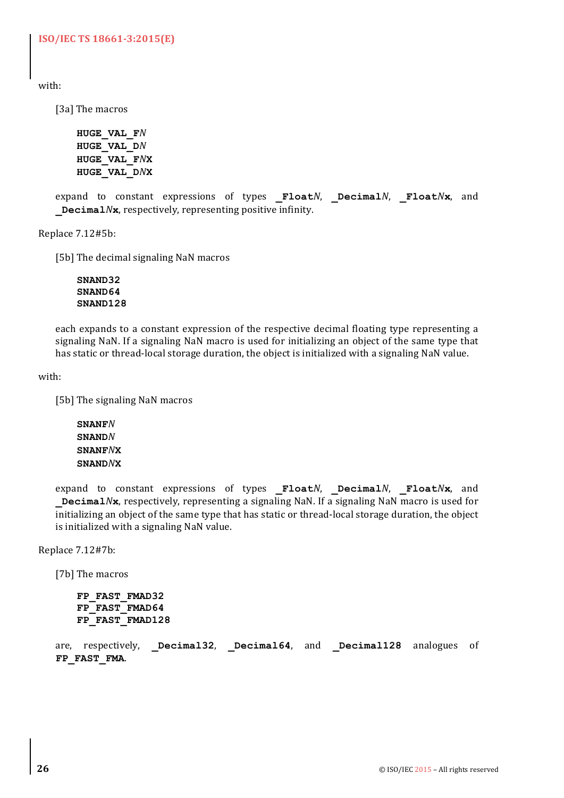**ISO/IEC TS 18661-3:2015(E)**

with:

[3a] The macros

**HUGE\_VAL\_F***N* **HUGE\_VAL\_D***N* **HUGE\_VAL\_F***N***X HUGE\_VAL\_D***N***X**

expand to constant expressions of types **\_Float***N*, **\_Decimal***N*, **\_Float***N***x**, and **Decimal** $N$ **x**, respectively, representing positive infinity.

Replace 7.12#5b:

[5b] The decimal signaling NaN macros

**SNAND32 SNAND64 SNAND128**

each expands to a constant expression of the respective decimal floating type representing a signaling NaN. If a signaling NaN macro is used for initializing an object of the same type that has static or thread-local storage duration, the object is initialized with a signaling NaN value.

with:

[5b] The signaling NaN macros

**SNANF***N* **SNAND***N* **SNANF***N***X SNAND***N***X**

expand to constant expressions of types **\_Float***N*, **\_Decimal***N*, **\_Float***N***x**, and **Decimal***N***x**, respectively, representing a signaling NaN. If a signaling NaN macro is used for initializing an object of the same type that has static or thread-local storage duration, the object is initialized with a signaling NaN value.

Replace 7.12#7b:

[7b] The macros

```
FP_FAST_FMAD32
FP_FAST_FMAD64
FP_FAST_FMAD128
```
are, respectively, **Decimal32**, **Decimal64**, and **Decimal128** analogues of **FP\_FAST\_FMA**.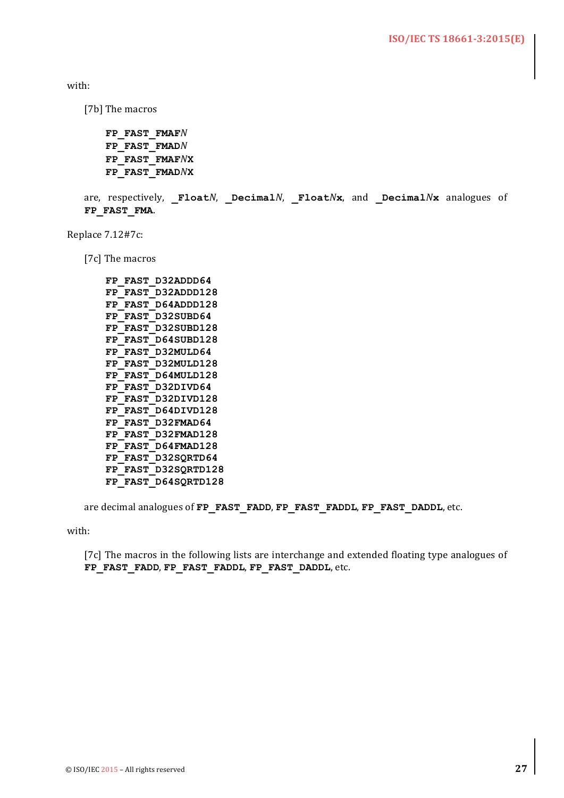with:

[7b] The macros

```
FP_FAST_FMAFN
FP_FAST_FMADN
FP_FAST_FMAFNX
FP_FAST_FMADNX
```

```
are, respectively, FloatN, DecimalN, FloatNx, and DecimalNx analogues of
FP_FAST_FMA.
```
Replace 7.12#7c:

[7c] The macros

```
FP_FAST_D32ADDD64
FP_FAST_D32ADDD128
FP_FAST_D64ADDD128
FP_FAST_D32SUBD64
FP_FAST_D32SUBD128
FP_FAST_D64SUBD128
FP_FAST_D32MULD64
FP_FAST_D32MULD128
FP_FAST_D64MULD128
FP_FAST_D32DIVD64
FP_FAST_D32DIVD128
FP_FAST_D64DIVD128
FP_FAST_D32FMAD64
FP_FAST_D32FMAD128
FP_FAST_D64FMAD128
FP_FAST_D32SQRTD64
FP_FAST_D32SQRTD128
FP_FAST_D64SQRTD128
```
are decimal analogues of **FP\_FAST\_FADD**, **FP\_FAST\_FADDL**, **FP\_FAST\_DADDL**, etc.

with:

[7c] The macros in the following lists are interchange and extended floating type analogues of **FP\_FAST\_FADD**, **FP\_FAST\_FADDL**, **FP\_FAST\_DADDL**, etc.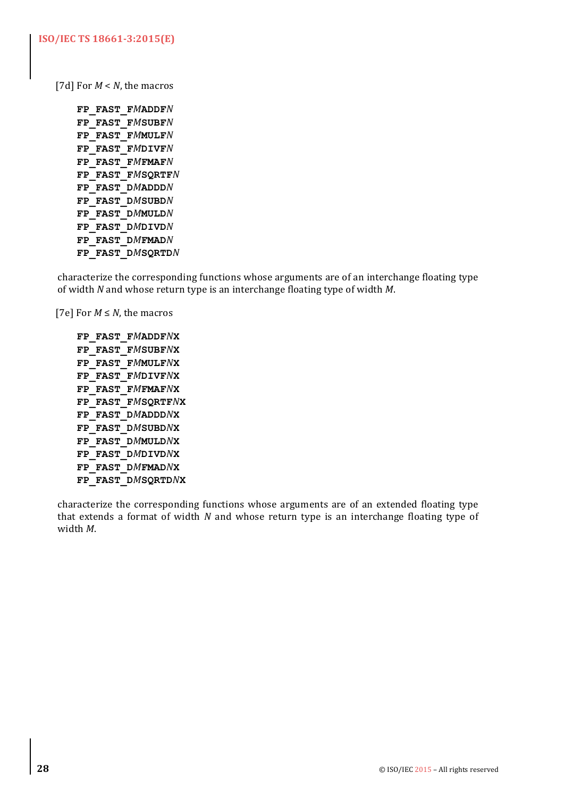[7d] For  $M < N$ , the macros

**FP\_FAST\_F***M***ADDF***N* **FP\_FAST\_F***M***SUBF***N* **FP\_FAST\_F***M***MULF***N* **FP\_FAST\_F***M***DIVF***N* **FP\_FAST\_F***M***FMAF***N* **FP\_FAST\_F***M***SQRTF***N* **FP\_FAST\_D***M***ADDD***N* **FP\_FAST\_D***M***SUBD***N* **FP\_FAST\_D***M***MULD***N* **FP\_FAST\_D***M***DIVD***N* **FP\_FAST\_D***M***FMAD***N* **FP\_FAST\_D***M***SQRTD***N*

characterize the corresponding functions whose arguments are of an interchange floating type of width *N* and whose return type is an interchange floating type of width *M*.

[7e] For  $M \leq N$ , the macros

**FP\_FAST\_F***M***ADDF***N***X FP\_FAST\_F***M***SUBF***N***X FP\_FAST\_F***M***MULF***N***X FP\_FAST\_F***M***DIVF***N***X FP\_FAST\_F***M***FMAF***N***X FP\_FAST\_F***M***SQRTF***N***X FP\_FAST\_D***M***ADDD***N***X FP\_FAST\_D***M***SUBD***N***X FP\_FAST\_D***M***MULD***N***X FP\_FAST\_D***M***DIVD***N***X FP\_FAST\_D***M***FMAD***N***X FP\_FAST\_D***M***SQRTD***N***X**

characterize the corresponding functions whose arguments are of an extended floating type that extends a format of width *N* and whose return type is an interchange floating type of width *M*.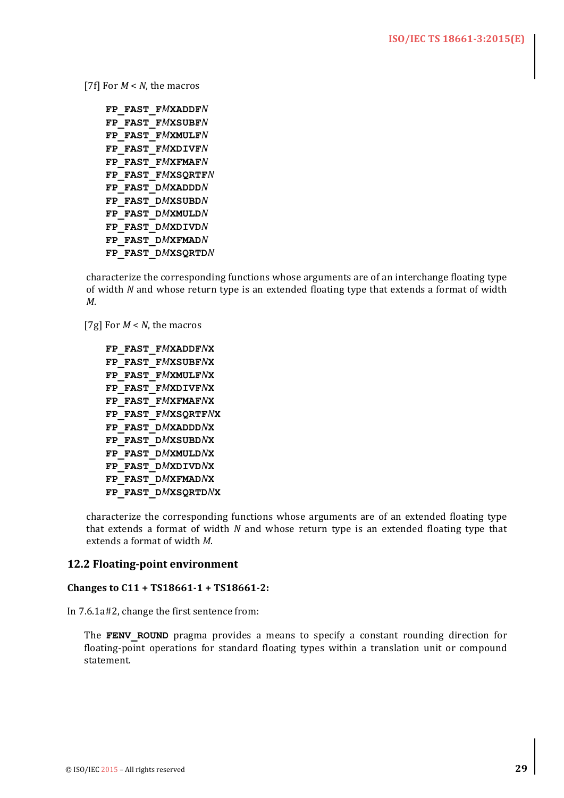[7f] For  $M < N$ , the macros

**FP\_FAST\_F***M***XADDF***N* **FP\_FAST\_F***M***XSUBF***N* **FP\_FAST\_F***M***XMULF***N* **FP\_FAST\_F***M***XDIVF***N* **FP\_FAST\_F***M***XFMAF***N* **FP\_FAST\_F***M***XSQRTF***N* **FP\_FAST\_D***M***XADDD***N* **FP\_FAST\_D***M***XSUBD***N* **FP\_FAST\_D***M***XMULD***N* **FP\_FAST\_D***M***XDIVD***N* **FP\_FAST\_D***M***XFMAD***N* **FP\_FAST\_D***M***XSQRTD***N*

characterize the corresponding functions whose arguments are of an interchange floating type of width *N* and whose return type is an extended floating type that extends a format of width *M*.

[7g] For  $M < N$ , the macros

```
FP_FAST_FMXADDFNX
FP_FAST_FMXSUBFNX
FP_FAST_FMXMULFNX
FP_FAST_FMXDIVFNX
FP_FAST_FMXFMAFNX
FP_FAST_FMXSQRTFNX
FP_FAST_DMXADDDNX
FP_FAST_DMXSUBDNX
FP_FAST_DMXMULDNX
FP_FAST_DMXDIVDNX
FP_FAST_DMXFMADNX
FP_FAST_DMXSQRTDNX
```
characterize the corresponding functions whose arguments are of an extended floating type that extends a format of width *N* and whose return type is an extended floating type that extends a format of width *M*.

#### **12.2 Floating-point environment**

#### **Changes to C11 + TS18661-1 + TS18661-2:**

In  $7.6.1a\#2$ , change the first sentence from:

The **FENV** ROUND pragma provides a means to specify a constant rounding direction for floating-point operations for standard floating types within a translation unit or compound statement.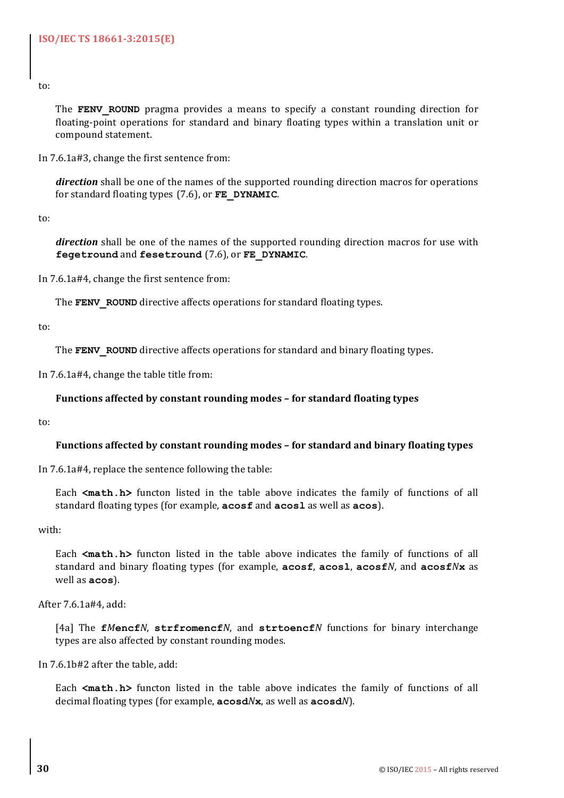to:

The **FENV** ROUND pragma provides a means to specify a constant rounding direction for floating-point operations for standard and binary floating types within a translation unit or compound statement.

In 7.6.1a#3, change the first sentence from:

*direction* shall be one of the names of the supported rounding direction macros for operations for standard floating types (7.6), or **FE\_DYNAMIC**.

to:

*direction* shall be one of the names of the supported rounding direction macros for use with **fegetround** and **fesetround** (7.6), or **FE\_DYNAMIC**.

In  $7.6.1a\#4$ , change the first sentence from:

The **FENV** ROUND directive affects operations for standard floating types.

to:

The **FENV** ROUND directive affects operations for standard and binary floating types.

In 7.6.1a#4, change the table title from:

# Functions affected by constant rounding modes – for standard floating types

to:

#### Functions affected by constant rounding modes – for standard and binary floating types

In  $7.6.1a\#4$ , replace the sentence following the table:

Each <math.h> functon listed in the table above indicates the family of functions of all standard floating types (for example, **acosf** and **acosl** as well as **acos**).

with:

Each <math.h> functon listed in the table above indicates the family of functions of all standard and binary floating types (for example, **acosf**, **acosl**, **acosf***N*, and **acosf***N***x** as well as **acos**).

After 7.6.1a#4, add:

[4a] The fMencfN, strfromencfN, and strtoencfN functions for binary interchange types are also affected by constant rounding modes.

In 7.6.1b#2 after the table, add:

Each <math.h> functon listed in the table above indicates the family of functions of all decimal floating types (for example, **acosd***N***x**, as well as **acosd***N*).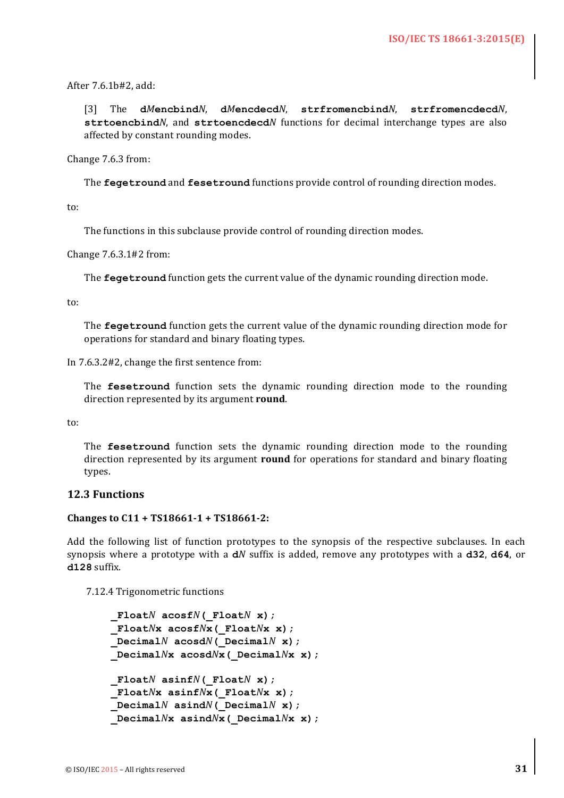After 7.6.1b#2, add:

[3] The dMencbindN, dMencdecdN, strfromencbindN, strfromencdecdN, strtoencbind<sup>*N*</sup>, and strtoencdecd*N* functions for decimal interchange types are also affected by constant rounding modes.

Change 7.6.3 from:

The **fegetround** and **fesetround** functions provide control of rounding direction modes.

to:

The functions in this subclause provide control of rounding direction modes.

Change  $7.6.3.1\#2$  from:

The **fegetround** function gets the current value of the dynamic rounding direction mode.

to:

The **fegetround** function gets the current value of the dynamic rounding direction mode for operations for standard and binary floating types.

In 7.6.3.2#2, change the first sentence from:

The **fesetround** function sets the dynamic rounding direction mode to the rounding direction represented by its argument **round**.

to:

The **fesetround** function sets the dynamic rounding direction mode to the rounding direction represented by its argument **round** for operations for standard and binary floating types. 

#### **12.3 Functions**

#### **Changes to C11 + TS18661-1 + TS18661-2:**

Add the following list of function prototypes to the synopsis of the respective subclauses. In each synopsis where a prototype with a  $dN$  suffix is added, remove any prototypes with a  $d32$ ,  $d64$ , or **d128** suffix.

7.12.4 Trigonometric functions

```
 _FloatN acosfN(_FloatN x);
 _FloatNx acosfNx(_FloatNx x);
DecimalN acosdN (DecimalNx);
 _DecimalNx acosdNx(_DecimalNx x);
 _FloatN asinfN(_FloatN x);
 _FloatNx asinfNx(_FloatNx x);
DecimalN asind<sup>N</sup> ( DecimalN x);
 _DecimalNx asindNx(_DecimalNx x);
```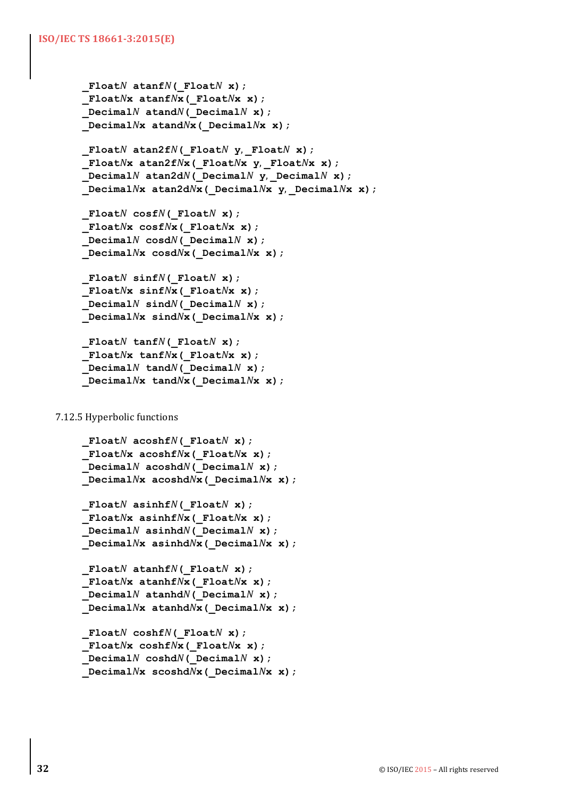```
FloatN atanfN(FloatN x);
 _FloatNx atanfNx(_FloatNx x);
 _DecimalN atandN(_DecimalN x);
 _DecimalNx atandNx(_DecimalNx x);
```

```
 _FloatN atan2fN(_FloatN y,	_FloatN x);
 _FloatNx atan2fNx(_FloatNx y,	_FloatNx x);
 _DecimalN atan2dN(_DecimalN y,	_DecimalN x);
 _DecimalNx atan2dNx(_DecimalNx y,	_DecimalNx x);
```

```
FloatN cosfN(FloatN x);
 _FloatNx cosfNx(_FloatNx x);
DecimalN \cos dN( DecimalN \times);
 _DecimalNx cosdNx(_DecimalNx x);
```

```
FloatN sinfN(FloatN x);
 _FloatNx sinfNx(_FloatNx x);
DecimalN sin dN (DecimalNx);
 _DecimalNx sindNx(_DecimalNx x);
```

```
 _FloatN tanfN(_FloatN x);
 _FloatNx tanfNx(_FloatNx x);
 _DecimalN tandN(_DecimalN x);
 _DecimalNx tandNx(_DecimalNx x);
```
# 7.12.5 Hyperbolic functions

```
 _FloatN acoshfN(_FloatN x);
 _FloatNx acoshfNx(_FloatNx x);
 _DecimalN acoshdN(_DecimalN x);
 _DecimalNx acoshdNx(_DecimalNx x);
```

```
 _FloatN asinhfN(_FloatN x);
 _FloatNx asinhfNx(_FloatNx x);
\Delta P Decimal<sup>N</sup> asinhd<sup>N</sup> ( Decimal<sup>N</sup> x);
 _DecimalNx asinhdNx(_DecimalNx x);
```

```
 _FloatN atanhfN(_FloatN x);
 _FloatNx atanhfNx(_FloatNx x);
\BoxDecimalN atanhdN( DecimalN x);
 _DecimalNx atanhdNx(_DecimalNx x);
```

```
 _FloatN coshfN(_FloatN x);
 _FloatNx coshfNx(_FloatNx x);
 _DecimalN coshdN(_DecimalN x);
 _DecimalNx scoshdNx(_DecimalNx x);
```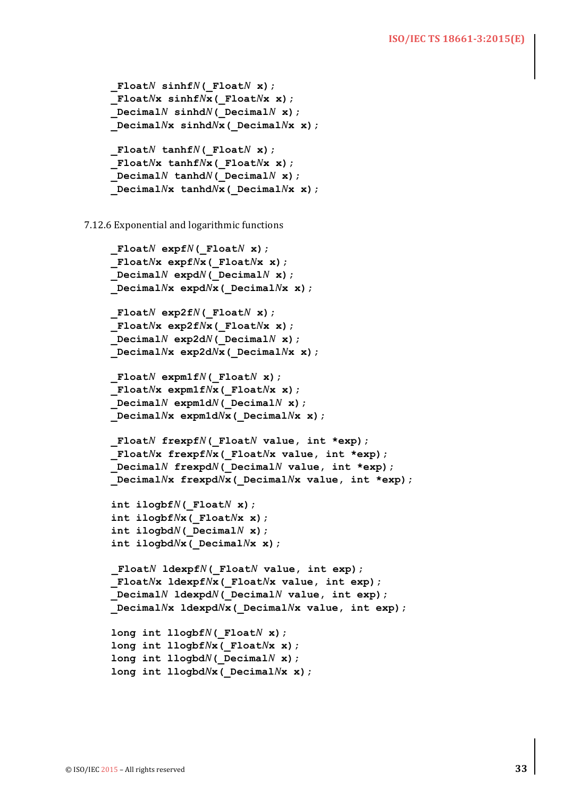```
 _FloatN sinhfN(_FloatN x);
 _FloatNx sinhfNx(_FloatNx x);
DecimalN sinhdN (DecimalNx);
 _DecimalNx sinhdNx(_DecimalNx x);
 _FloatN tanhfN(_FloatN x);
 _FloatNx tanhfNx(_FloatNx x);
 _DecimalN tanhdN(_DecimalN x);
 _DecimalNx tanhdNx(_DecimalNx x);
```
7.12.6 Exponential and logarithmic functions

```
 _FloatN expfN(_FloatN x);
 _FloatNx expfNx(_FloatNx x);
DecimalN expdN (DecimalNx);
 _DecimalNx expdNx(_DecimalNx x);
 _FloatN exp2fN(_FloatN x);
 _FloatNx exp2fNx(_FloatNx x);
DecimalN exp2dN (DecimalNx);
 _DecimalNx exp2dNx(_DecimalNx x);
 _FloatN expm1fN(_FloatN x);
 _FloatNx expm1fNx(_FloatNx x);
DecimalN expm1dN ( DecimalN x);
 _DecimalNx expm1dNx(_DecimalNx x);
 _FloatN frexpfN(_FloatN value, int *exp);
 _FloatNx frexpfNx(_FloatNx value, int *exp);
 _DecimalN frexpdN(_DecimalN value, int *exp);
 _DecimalNx frexpdNx(_DecimalNx value, int *exp);
 int ilogbfN(_FloatN x);
 int ilogbfNx(_FloatNx x);
 int ilogbdN(_DecimalN x);
 int ilogbdNx(_DecimalNx x);
_FloatN ldexpfN(_FloatN value, int exp);
 _FloatNx ldexpfNx(_FloatNx value, int exp);
 _DecimalN ldexpdN(_DecimalN value, int exp);
 _DecimalNx ldexpdNx(_DecimalNx value, int exp);
 long int llogbfN(_FloatN x);
 long int llogbfNx(_FloatNx x);
 long int llogbdN(_DecimalN x);
 long int llogbdNx(_DecimalNx x);
```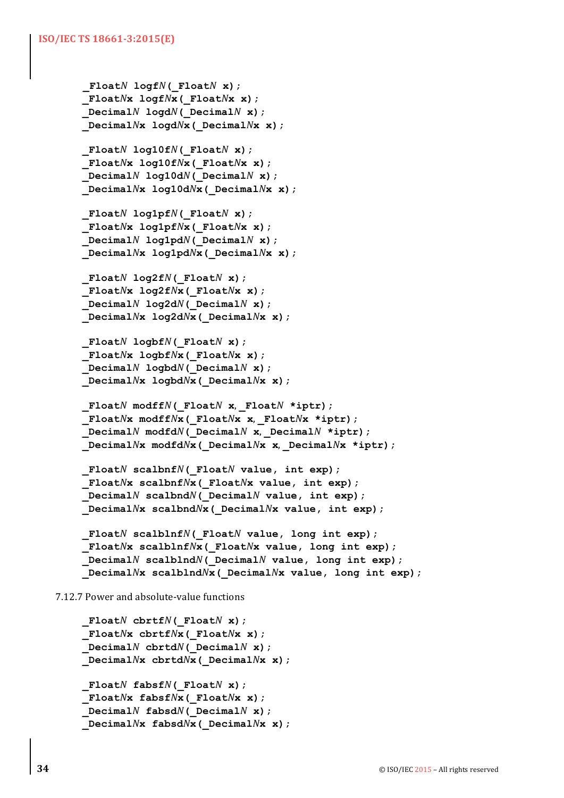```
FloatN logfN(FloatN x);
 _FloatNx logfNx(_FloatNx x);
DecimalN log dN(DecimalNx);
 _DecimalNx logdNx(_DecimalNx x);
```

```
 _FloatN log10fN(_FloatN x);
 _FloatNx log10fNx(_FloatNx x);
DecimalN log10dN (DecimalNx);
 _DecimalNx log10dNx(_DecimalNx x);
```
 $F$ loat $N$  log1pf $N$ ( $F$ loat $N$  **x**);  **\_Float***N***x log1pf***N***x(\_Float***N***x x);**  $DecimalN$   $log1pdN$  ( $DecimalN$ **x**);  **\_Decimal***N***x log1pd***N***x(\_Decimal***N***x x);**

```
FloatN log2fN(FloatN x);
 _FloatNx log2fNx(_FloatNx x);
DecimalN log2dN (DecimalNx);
 _DecimalNx log2dNx(_DecimalNx x);
```

```
 _FloatN logbfN(_FloatN x);
 _FloatNx logbfNx(_FloatNx x);
 _DecimalN logbdN(_DecimalN x);
 _DecimalNx logbdNx(_DecimalNx x);
```

```
 _FloatN modffN(_FloatN x,	_FloatN *iptr);
 _FloatNx modffNx(_FloatNx x,	_FloatNx *iptr);
DecimalN modfdN( DecimalN x, DecimalN *iptr);
 _DecimalNx modfdNx(_DecimalNx x,	_DecimalNx *iptr);
```

```
 _FloatN scalbnfN(_FloatN value, int exp);
 _FloatNx scalbnfNx(_FloatNx value, int exp);
 _DecimalN scalbndN(_DecimalN value, int exp);
 _DecimalNx scalbndNx(_DecimalNx value, int exp);
```

```
 _FloatN scalblnfN(_FloatN value, long int exp);
 _FloatNx scalblnfNx(_FloatNx value, long int exp);
 _DecimalN scalblndN(_DecimalN value, long int exp);
 _DecimalNx scalblndNx(_DecimalNx value, long int exp);
```
7.12.7 Power and absolute-value functions

```
FloatN cbrtfN(FloatN x);
 _FloatNx cbrtfNx(_FloatNx x);
DecimalN chrtdN (DecimalNx);
 _DecimalNx cbrtdNx(_DecimalNx x);
 _FloatN fabsfN(_FloatN x);
 _FloatNx fabsfNx(_FloatNx x);
DecimalN fabsdN (DecimalNx);
 _DecimalNx fabsdNx(_DecimalNx x);
```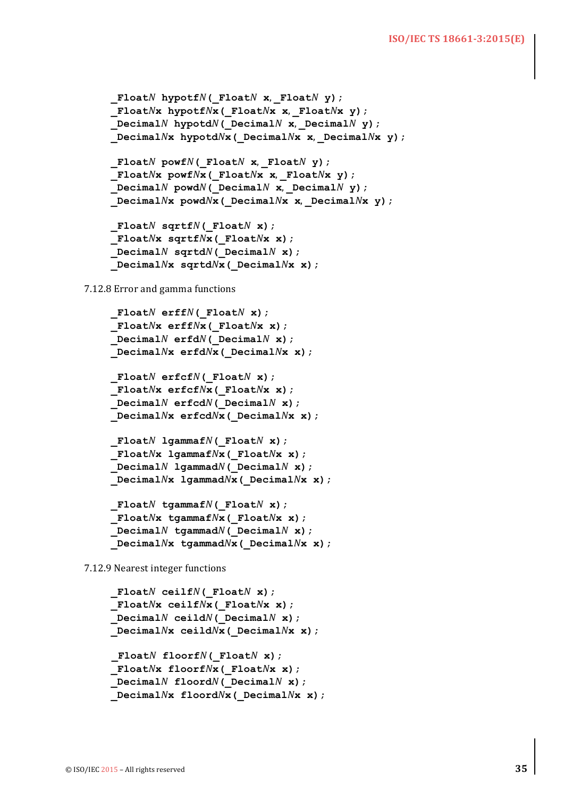#### **ISO/IEC TS 18661-3:2015(E)**

```
 _FloatN hypotfN(_FloatN x,	_FloatN y);
FloatNx hypotfNx (FloatNx x, FloatNx y);
 _DecimalN hypotdN(_DecimalN x,	_DecimalN y);
 _DecimalNx hypotdNx(_DecimalNx x,	_DecimalNx y);
 FloatN powfN( FloatN x, FloatN y);
 _FloatNx powfNx(_FloatNx x,	_FloatNx y);
DecimalN powdN(DecimalN x, DecimalN y);
 _DecimalNx powdNx(_DecimalNx x,	_DecimalNx y);
 _FloatN sqrtfN(_FloatN x);
 _FloatNx sqrtfNx(_FloatNx x);
DecimalN sqrtdN( DecimalN x);
 _DecimalNx sqrtdNx(_DecimalNx x);
```
7.12.8 Error and gamma functions

```
 _FloatN erffN(_FloatN x);
 _FloatNx erffNx(_FloatNx x);
DecimalN erfdN( DecimalN x);
 _DecimalNx erfdNx(_DecimalNx x);
 _FloatN erfcfN(_FloatN x);
 _FloatNx erfcfNx(_FloatNx x);
DecimalN erfcdN(DecimalNx);
 _DecimalNx erfcdNx(_DecimalNx x);
 _FloatN lgammafN(_FloatN x);
 _FloatNx lgammafNx(_FloatNx x);
DecimalN 1gammadN( DecimalN x);
 _DecimalNx lgammadNx(_DecimalNx x);
 _FloatN tgammafN(_FloatN x);
 _FloatNx tgammafNx(_FloatNx x);
DecimalN tgammadN( DecimalNx);
 _DecimalNx tgammadNx(_DecimalNx x);
```
7.12.9 Nearest integer functions

```
 _FloatN ceilfN(_FloatN x);
 _FloatNx ceilfNx(_FloatNx x);
DecimalN ceil dN (DecimalNx);
 _DecimalNx ceildNx(_DecimalNx x);
_FloatN floorfN(_FloatN x);
 _FloatNx floorfNx(_FloatNx x);
DecimalN floordN( DecimalN x);
 _DecimalNx floordNx(_DecimalNx x);
```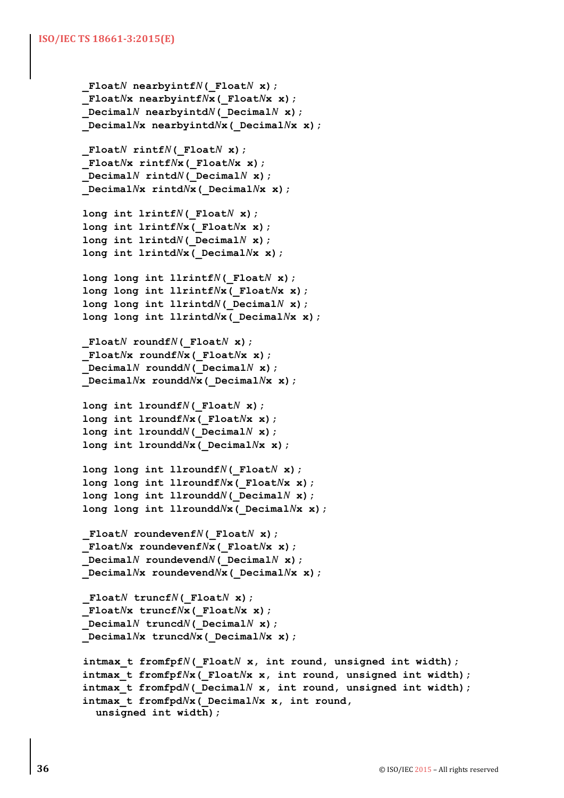```
FloatN nearbyintfN(FloatN x);
 _FloatNx nearbyintfNx(_FloatNx x);
DecimalN nearbyintdN( DecimalN x);
 _DecimalNx nearbyintdNx(_DecimalNx x);
 _FloatN rintfN(_FloatN x);
 _FloatNx rintfNx(_FloatNx x);
DecimalN rintdN( DecimalN x);
 _DecimalNx rintdNx(_DecimalNx x);
 long int lrintfN(_FloatN x);
 long int lrintfNx(_FloatNx x);
 long int lrintdN(_DecimalN x);
 long int lrintdNx(_DecimalNx x);
 long long int llrintfN(_FloatN x);
 long long int llrintfNx(_FloatNx x);
 long long int llrintdN(_DecimalN x);
 long long int llrintdNx(_DecimalNx x);
FloatN roundfN(FloatN x);
 _FloatNx roundfNx(_FloatNx x);
 _DecimalN rounddN(_DecimalN x);
 _DecimalNx rounddNx(_DecimalNx x);
 long int lroundfN(_FloatN x);
 long int lroundfNx(_FloatNx x);
 long int lrounddN(_DecimalN x);
 long int lrounddNx(_DecimalNx x);
 long long int llroundfN(_FloatN x);
 long long int llroundfNx(_FloatNx x);
long long int llrounddN( DecimalN x);
 long long int llrounddNx(_DecimalNx x);
_FloatN roundevenfN(_FloatN x);
 _FloatNx roundevenfNx(_FloatNx x);
DecimalN roundevendN( DecimalNx);
 _DecimalNx roundevendNx(_DecimalNx x);
_FloatN truncfN(_FloatN x);
 _FloatNx truncfNx(_FloatNx x);
DecimalN truncdN( DecimalNx);
 _DecimalNx truncdNx(_DecimalNx x);
intmax_t fromfpfN(_FloatN x, int round, unsigned int width);
 intmax_t fromfpfNx(_FloatNx x, int round, unsigned int width);
 intmax_t fromfpdN(_DecimalN x, int round, unsigned int width);
 intmax_t fromfpdNx(_DecimalNx x, int round,
  unsigned int width);
```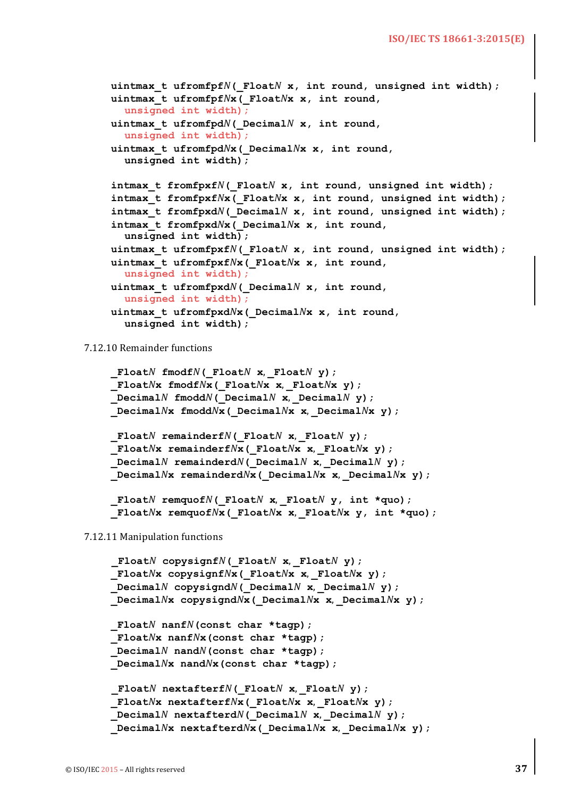```
 uintmax_t ufromfpfN(_FloatN x, int round, unsigned int width);
 uintmax_t ufromfpfNx(_FloatNx x, int round,
  unsigned int width);
 uintmax_t ufromfpdN(_DecimalN x, int round,
  unsigned int width);
 uintmax_t ufromfpdNx(_DecimalNx x, int round, 
  unsigned int width);
 intmax_t fromfpxfN(_FloatN x, int round, unsigned int width);
 intmax_t fromfpxfNx(_FloatNx x, int round, unsigned int width);
 intmax_t fromfpxdN(_DecimalN x, int round, unsigned int width);
 intmax_t fromfpxdNx(_DecimalNx x, int round, 
  unsigned int width);
 uintmax_t ufromfpxfN(_FloatN x, int round, unsigned int width);
 uintmax_t ufromfpxfNx(_FloatNx x, int round, 
  unsigned int width);
 uintmax_t ufromfpxdN(_DecimalN x, int round, 
  unsigned int width);
 uintmax_t ufromfpxdNx(_DecimalNx x, int round, 
  unsigned int width);
```
7.12.10 Remainder functions

```
 _FloatN fmodfN(_FloatN x,	_FloatN y);
 _FloatNx fmodfNx(_FloatNx x,	_FloatNx y);
DecimalN fmoddN( DecimalN x, DecimalN y);
 _DecimalNx fmoddNx(_DecimalNx x,	_DecimalNx y);
 _FloatN remainderfN(_FloatN x,	_FloatN y);
```

```
 _FloatNx remainderfNx(_FloatNx x,	_FloatNx y);
DecimalN remainderdN( DecimalN x, DecimalN y);
 _DecimalNx remainderdNx(_DecimalNx x,	_DecimalNx y);
```

```
 _FloatN remquofN(_FloatN x,	_FloatN y, int *quo);
 _FloatNx remquofNx(_FloatNx x,	_FloatNx y, int *quo);
```
7.12.11 Manipulation functions

```
_FloatN copysignfN(_FloatN x,	_FloatN y);
 _FloatNx copysignfNx(_FloatNx x,	_FloatNx y);
DecimalN copysignd<sup>N</sup>( DecimalN x, DecimalN y);
 _DecimalNx copysigndNx(_DecimalNx x,	_DecimalNx y);
 _FloatN nanfN(const char *tagp);
 _FloatNx nanfNx(const char *tagp);
 _DecimalN nandN(const char *tagp);
 _DecimalNx nandNx(const char *tagp);
_FloatN nextafterfN(_FloatN x,	_FloatN y);
 _FloatNx nextafterfNx(_FloatNx x,	_FloatNx y);
DecimalN nextafterdN( DecimalN x, DecimalN y);
 _DecimalNx nextafterdNx(_DecimalNx x,	_DecimalNx y);
```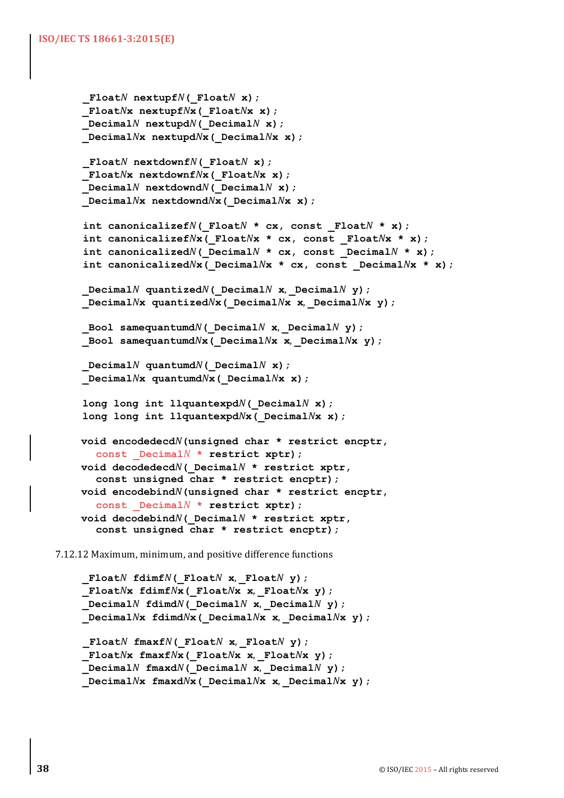```
_FloatN nextupfN(_FloatN x);
 _FloatNx nextupfNx(_FloatNx x);
DecimalN nextupdN( DecimalN x);
 _DecimalNx nextupdNx(_DecimalNx x);
_FloatN nextdownfN(_FloatN x);
 _FloatNx nextdownfNx(_FloatNx x);
DecimalN nextdowndN( DecimalN x);
 _DecimalNx nextdowndNx(_DecimalNx x);
int canonicalizefN(_FloatN * cx, const _FloatN * x);
int canonicalizefNx(_FloatNx * cx, const _FloatNx * x);
int canonicalized<sup>N</sup> ( Decimal<sup>N</sup> * cx, const Decimal<sup>N</sup> * x);
int canonicalizedNx(_DecimalNx * cx, const _DecimalNx * x);
 DecimalN quantized<sup>N</sup> ( Decimal<sup>N</sup> x, Decimal<sup>N</sup> y);
 _DecimalNx quantizedNx(_DecimalNx x,	_DecimalNx y);
Bool samequantumdN( DecimalN x, DecimalN y);
 _Bool samequantumdNx(_DecimalNx x,	_DecimalNx y);
DecimalN quantumdN(DecimalNx);
 _DecimalNx quantumdNx(_DecimalNx x);
 long long int llquantexpdN(_DecimalN x);
 long long int llquantexpdNx(_DecimalNx x);
void encodedecdN(unsigned char * restrict encptr,
  const _DecimalN * restrict xptr);
void decodedecdN(_DecimalN * restrict xptr,
  const unsigned char * restrict encptr);
void encodebindN(unsigned char * restrict encptr,
  const _DecimalN * restrict xptr);
void decodebindN(_DecimalN * restrict xptr,
  const unsigned char * restrict encptr);
```
7.12.12 Maximum, minimum, and positive difference functions

```
 _FloatN fdimfN(_FloatN x,	_FloatN y);
 _FloatNx fdimfNx(_FloatNx x,	_FloatNx y);
DecimalN fdimdN( DecimalN x, DecimalN y);
 _DecimalNx fdimdNx(_DecimalNx x,	_DecimalNx y);
```

```
_FloatN fmaxfN(_FloatN x,	_FloatN y);
 _FloatNx fmaxfNx(_FloatNx x,	_FloatNx y);
 _DecimalN fmaxdN(_DecimalN x,	_DecimalN y);
 _DecimalNx fmaxdNx(_DecimalNx x,	_DecimalNx y);
```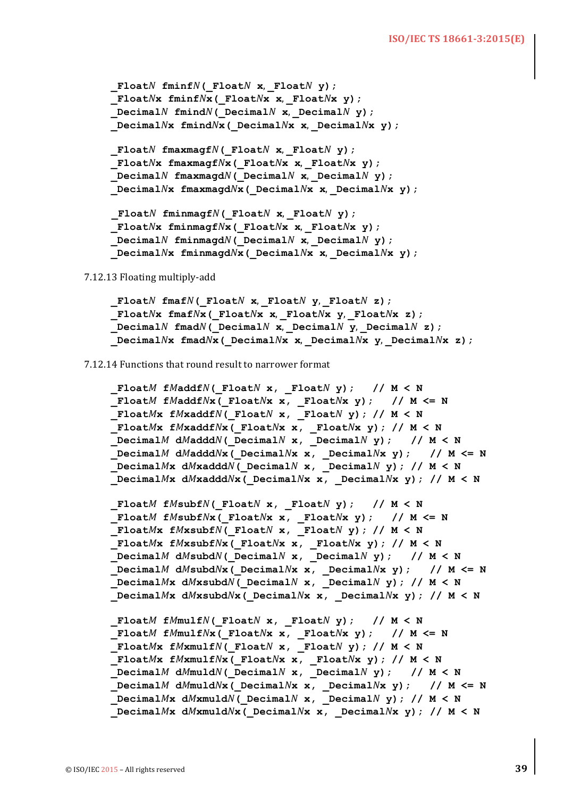```
FloatN fminfN(FloatN x, FloatN y);
 _FloatNx fminfNx(_FloatNx x,	_FloatNx y);
DecimalN fmind<sup>N</sup> ( DecimalN x, DecimalN y);
 _DecimalNx fmindNx(_DecimalNx x,	_DecimalNx y);
 _FloatN fmaxmagfN(_FloatN x,	_FloatN y);
 _FloatNx fmaxmagfNx(_FloatNx x,	_FloatNx y);
DecimalN fmaxmagd<sup>N</sup> ( DecimalN x, DecimalN y);
 _DecimalNx fmaxmagdNx(_DecimalNx x,	_DecimalNx y);
FloatN fminmagfN( FloatN x, FloatN y);
 _FloatNx fminmagfNx(_FloatNx x,	_FloatNx y);
 _DecimalN fminmagdN(_DecimalN x,	_DecimalN y);
 _DecimalNx fminmagdNx(_DecimalNx x,	_DecimalNx y);
```
7.12.13 Floating multiply-add

 **\_Float***N* **fmaf***N***(\_Float***N* **x**, **\_Float***N* **y**, **\_Float***N* **z); \_Float***N***x fmaf***N***x(\_Float***N***x x**, **\_Float***N***x y**, **\_Float***N***x z);**  $DecimalN$  **fmad**<sup> $N$ </sup> ( $DecimalN$  **x**,  $DecimalN$  **y**,  $DecimalN$  **z**);  **\_Decimal***N***x fmad***N***x(\_Decimal***N***x x**, **\_Decimal***N***x y**, **\_Decimal***N***x z);**

7.12.14 Functions that round result to narrower format

```
 _FloatM fMaddfN(_FloatN x, _FloatN y); // M < N
 _FloatM fMaddfNx(_FloatNx x, _FloatNx y); // M <= N
 _FloatMx fMxaddfN(_FloatN x, _FloatN y); // M < N
 _FloatMx fMxaddfNx(_FloatNx x, _FloatNx y); // M < N
DecimalM dMaddN (DecimalN x, DecimalN y); // M < N
 _DecimalM dMadddNx(_DecimalNx x, _DecimalNx y); // M <= N
 _DecimalMx dMxadddN(_DecimalN x, _DecimalN y); // M < N
 _DecimalMx dMxadddNx(_DecimalNx x, _DecimalNx y); // M < N
 _FloatM fMsubfN(_FloatN x, _FloatN y); // M < N
FloatM fMsubfNx ( FloatNx x, FloatNx y); // M <= N
 _FloatMx fMxsubfN(_FloatN x, _FloatN y); // M < N
 _FloatMx fMxsubfNx(_FloatNx x, _FloatNx y); // M < N
 _DecimalM dMsubdN(_DecimalN x, _DecimalN y); // M < N
 _DecimalM dMsubdNx(_DecimalNx x, _DecimalNx y); // M <= N
\Delta MX \Delta MMx \Delta M( \Delta M DecimalN \Delta M); \Delta MM \Delta M<b>1
 _DecimalMx dMxsubdNx(_DecimalNx x, _DecimalNx y); // M < N
FloatM fMmulfN( FloatN x, FloatN y); // M < N
 _FloatM fMmulfNx(_FloatNx x, _FloatNx y); // M <= N
 FloatMx fMxmulfN(FloatN <b>x, FloatN y); // M < N
 _FloatMx fMxmulfNx(_FloatNx x, _FloatNx y); // M < N
DecimalM dMmuldN( DecimalN x, DecimalN y); // M < N
 _DecimalM dMmuldNx(_DecimalNx x, _DecimalNx y); // M <= N
\Delta MX \Delta Mx \Delta M( \Delta M \Delta M \Delta M, \Delta M \Delta M \Delta M \Delta M \Delta M _DecimalMx dMxmuldNx(_DecimalNx x, _DecimalNx y); // M < N
```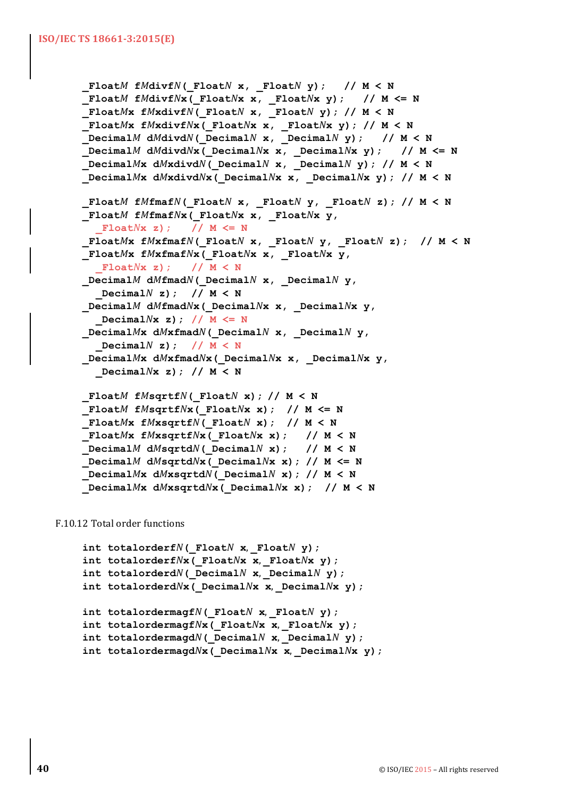```
FloatM fMdivfN( FloatN x, FloatN y); // M < N
FloatM fMdivfNx (FloatNx x, FloatNx y); // M <= N
 FloatMx fMxdivfN( FloatN x, FloatN y); // M < N
FloatMx fMxdivfNx( FloatNx x, FloatNx y); // M < N
 _DecimalM dMdivdN(_DecimalN x, _DecimalN y); // M < N
 _DecimalM dMdivdNx(_DecimalNx x, _DecimalNx y); // M <= N
 _DecimalMx dMxdivdN(_DecimalN x, _DecimalN y); // M < N
 _DecimalMx dMxdivdNx(_DecimalNx x, _DecimalNx y); // M < N
 FloatM fMfmafN(FloatN x, FloatN y, FloatN z); // M < N
 _FloatM fMfmafNx(_FloatNx x, _FloatNx y,
  _FloatNx z); // M <= N
 _FloatMx fMxfmafN(_FloatN x, _FloatN y, _FloatN z); // M < N
 _FloatMx fMxfmafNx(_FloatNx x, _FloatNx y,
  _FloatNx z); // M < N
 _DecimalM dMfmadN(_DecimalN x, _DecimalN y,
  _DecimalN z); // M < N
 _DecimalM dMfmadNx(_DecimalNx x, _DecimalNx y,
  _DecimalNx z); // M <= N
 _DecimalMx dMxfmadN(_DecimalN x, _DecimalN y,
  _DecimalN z); // M < N
 _DecimalMx dMxfmadNx(_DecimalNx x, _DecimalNx y, 
  _DecimalNx z); // M < N
 _FloatM fMsqrtfN(_FloatN x); // M < N
 _FloatM fMsqrtfNx(_FloatNx x); // M <= N
 _FloatMx fMxsqrtfN(_FloatN x); // M < N
 _FloatMx fMxsqrtfNx(_FloatNx x); // M < N
 _DecimalM dMsqrtdN(_DecimalN x); // M < N
 _DecimalM dMsqrtdNx(_DecimalNx x); // M <= N
DecimalMx dMxsqrtM( DecimalN x); // M < N _DecimalMx dMxsqrtdNx(_DecimalNx x); // M < N
```
F.10.12 Total order functions

```
 int totalorderfN(_FloatN x,	_FloatN y);
 int totalorderfNx(_FloatNx x,	_FloatNx y);
 int totalorderdN(_DecimalN x,	_DecimalN y);
 int totalorderdNx(_DecimalNx x,	_DecimalNx y);
 int totalordermagfN(_FloatN x,	_FloatN y);
 int totalordermagfNx(_FloatNx x,	_FloatNx y);
 int totalordermagdN(_DecimalN x,	_DecimalN y);
 int totalordermagdNx(_DecimalNx x,	_DecimalNx y);
```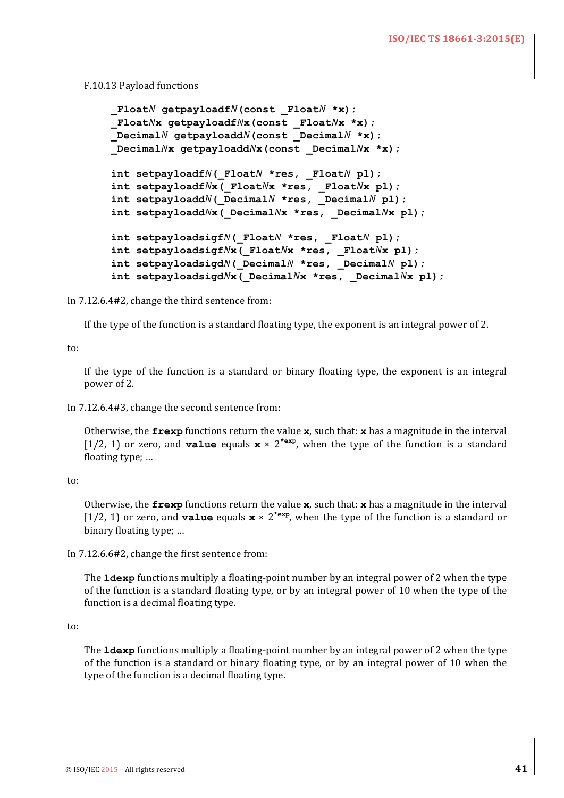#### F.10.13 Payload functions

```
FloatN qetpayloadfN(const FloatN *x);
 _FloatNx getpayloadfNx(const _FloatNx *x);
 _DecimalN getpayloaddN(const _DecimalN *x);
 _DecimalNx getpayloaddNx(const _DecimalNx *x);
 int setpayloadfN(_FloatN *res, _FloatN pl);
 int setpayloadfNx(_FloatNx *res, _FloatNx pl);
 int setpayloaddN(_DecimalN *res, _DecimalN pl);
 int setpayloaddNx(_DecimalNx *res, _DecimalNx pl);
 int setpayloadsigfN(_FloatN *res, _FloatN pl);
 int setpayloadsigfNx(_FloatNx *res, _FloatNx pl);
 int setpayloadsigdN(_DecimalN *res, _DecimalN pl);
 int setpayloadsigdNx(_DecimalNx *res, _DecimalNx pl);
```
In  $7.12.6.4\#2$ , change the third sentence from:

If the type of the function is a standard floating type, the exponent is an integral power of 2.

to:

If the type of the function is a standard or binary floating type, the exponent is an integral power of 2.

In 7.12.6.4#3, change the second sentence from:

Otherwise, the  $f_{\text{rev}}$  functions return the value  $\mathbf{x}$ , such that:  $\mathbf{x}$  has a magnitude in the interval [1/2, 1] or zero, and **value** equals  $\mathbf{x} \times 2^{*\exp}$ , when the type of the function is a standard floating type; ...

to:

Otherwise, the  $f_{\text{resp}}$  functions return the value  $\mathbf{x}$ , such that:  $\mathbf{x}$  has a magnitude in the interval [1/2, 1] or zero, and **value** equals  $\mathbf{x} \times 2^{*\exp}$ , when the type of the function is a standard or binary floating type; ...

In  $7.12.6.6\#2$ , change the first sentence from:

The **ldexp** functions multiply a floating-point number by an integral power of 2 when the type of the function is a standard floating type, or by an integral power of 10 when the type of the function is a decimal floating type.

to:

The **ldexp** functions multiply a floating-point number by an integral power of 2 when the type of the function is a standard or binary floating type, or by an integral power of 10 when the type of the function is a decimal floating type.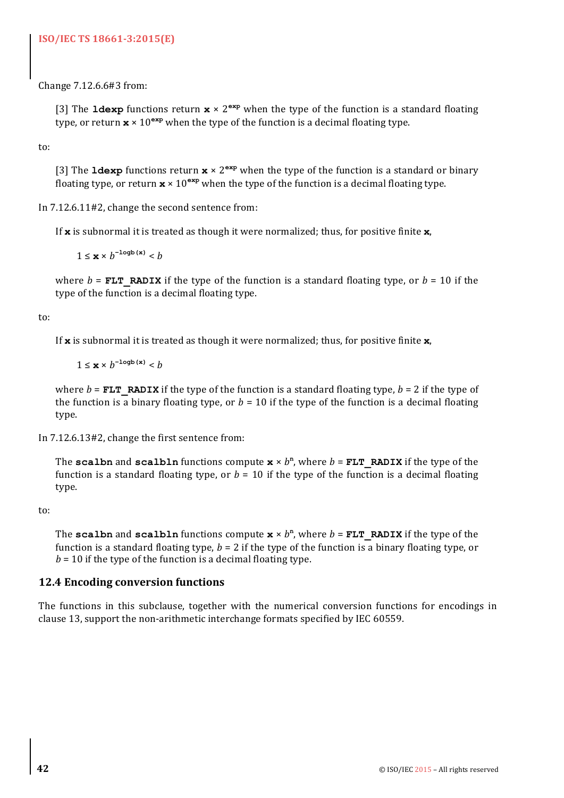# **ISO/IEC TS 18661-3:2015(E)**

Change 7.12.6.6#3 from:

[3] The **ldexp** functions return  $\mathbf{x} \times 2^{\exp}$  when the type of the function is a standard floating type, or return  $\mathbf{x} \times 10^{\text{exp}}$  when the type of the function is a decimal floating type.

to:

[3] The **ldexp** functions return  $\mathbf{x} \times 2^{\exp}$  when the type of the function is a standard or binary floating type, or return  $\mathbf{x} \times 10^{exp}$  when the type of the function is a decimal floating type.

In  $7.12.6.11\text{\#2}$ , change the second sentence from:

If  $\boldsymbol{x}$  is subnormal it is treated as though it were normalized; thus, for positive finite  $\boldsymbol{x}$ ,

 $1 ≤ x × b^{-logb(x)} < b$ 

where  $b =$ **FLT** RADIX if the type of the function is a standard floating type, or  $b = 10$  if the type of the function is a decimal floating type.

#### to:

If  $\boldsymbol{x}$  is subnormal it is treated as though it were normalized; thus, for positive finite  $\boldsymbol{x}$ ,

 $1 ≤ x × b^{-logb(x)} < b$ 

where  $b =$ **FLT** RADIX if the type of the function is a standard floating type,  $b = 2$  if the type of the function is a binary floating type, or  $b = 10$  if the type of the function is a decimal floating type.

In  $7.12.6.13\#2$ , change the first sentence from:

The **scalbn** and **scalbln** functions compute  $\mathbf{x} \times b^n$ , where  $b = \text{FLT}$  **RADIX** if the type of the function is a standard floating type, or  $b = 10$  if the type of the function is a decimal floating type.

to:

The **scalbn** and **scalbln** functions compute  $\mathbf{x} \times b^n$ , where  $b = \mathbf{FLT}$  **RADIX** if the type of the function is a standard floating type,  $b = 2$  if the type of the function is a binary floating type, or  $b = 10$  if the type of the function is a decimal floating type.

# **12.4 Encoding conversion functions**

The functions in this subclause, together with the numerical conversion functions for encodings in clause 13, support the non-arithmetic interchange formats specified by IEC 60559.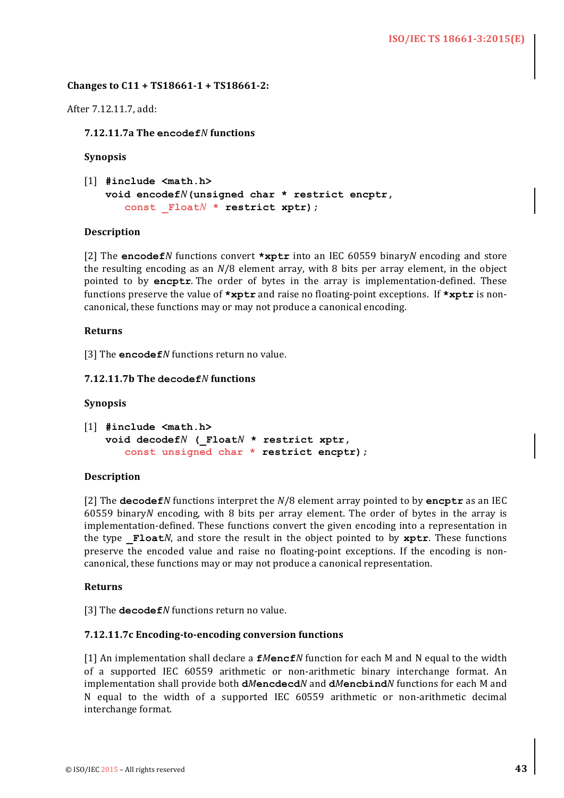#### **Changes to C11 + TS18661-1 + TS18661-2:**

After 7.12.11.7, add:

**7.12.11.7a The encodef***N* **functions**

**Synopsis**

```
[1] #include <math.h>
   void encodefN(unsigned char * restrict encptr,
      const _FloatN * restrict xptr);
```
#### **Description**

[2] The encodef*N* functions convert \*xptr into an IEC 60559 binary*N* encoding and store the resulting encoding as an  $N/8$  element array, with 8 bits per array element, in the object pointed to by **encptr**. The order of bytes in the array is implementation-defined. These functions preserve the value of **\*xptr** and raise no floating-point exceptions. If **\*xptr** is noncanonical, these functions may or may not produce a canonical encoding.

#### **Returns**

[3] The **encodef***N* functions return no value.

#### **7.12.11.7b The decodef***N* **functions**

#### **Synopsis**

```
[1] #include <math.h>
   void decodefN (_FloatN * restrict xptr, 
      const unsigned char * restrict encptr);
```
#### **Description**

[2] The **decodef***N* functions interpret the  $N/8$  element array pointed to by encptr as an IEC 60559 binary*N* encoding, with 8 bits per array element. The order of bytes in the array is implementation-defined. These functions convert the given encoding into a representation in the type  $\textbf{Fload}$ *N*, and store the result in the object pointed to by  $\textbf{xptr}$ . These functions preserve the encoded value and raise no floating-point exceptions. If the encoding is noncanonical, these functions may or may not produce a canonical representation.

#### **Returns**

[3] The **decodef** *N* functions return no value.

### **7.12.11.7c Encoding-to-encoding conversion functions**

[1] An implementation shall declare a  $fM$ encf*N* function for each M and N equal to the width of a supported IEC 60559 arithmetic or non-arithmetic binary interchange format. An implementation shall provide both **dMencdecd**N and **dMencbind**N functions for each M and N equal to the width of a supported IEC 60559 arithmetic or non-arithmetic decimal interchange format.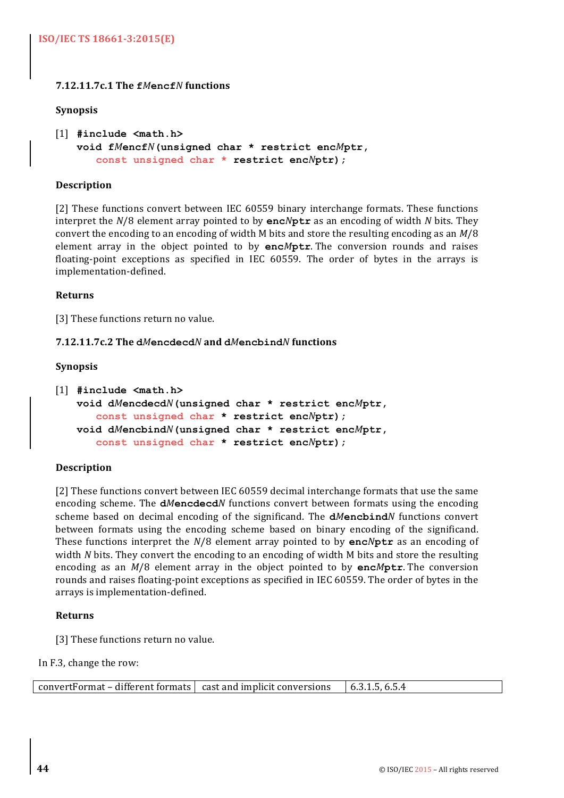# **7.12.11.7c.1 The f***M***encf***N* **functions**

#### **Synopsis**

```
[1] #include <math.h>
   void fMencfN(unsigned char * restrict encMptr, 
      const unsigned char * restrict encNptr);
```
#### **Description**

[2] These functions convert between IEC 60559 binary interchange formats. These functions interpret the  $N/8$  element array pointed to by enc*N*ptr as an encoding of width *N* bits. They convert the encoding to an encoding of width M bits and store the resulting encoding as an  $M/8$ element array in the object pointed to by **enc***M***ptr**. The conversion rounds and raises floating-point exceptions as specified in IEC 60559. The order of bytes in the arrays is implementation-defined.

#### **Returns**

[3] These functions return no value.

#### **7.12.11.7c.2 The d***M***encdecd***N* **and d***M***encbind***N* **functions**

#### **Synopsis**

```
[1] #include <math.h>
   void dMencdecdN(unsigned char * restrict encMptr, 
      const unsigned char * restrict encNptr);
   void dMencbindN(unsigned char * restrict encMptr, 
      const unsigned char * restrict encNptr);
```
#### **Description**

[2] These functions convert between IEC 60559 decimal interchange formats that use the same encoding scheme. The **dMencdecd***N* functions convert between formats using the encoding scheme based on decimal encoding of the significand. The **dMencbind**N functions convert between formats using the encoding scheme based on binary encoding of the significand. These functions interpret the  $N/8$  element array pointed to by  $\mathbf{enc}N\mathbf{ptr}$  as an encoding of width *N* bits. They convert the encoding to an encoding of width *M* bits and store the resulting encoding as an  $M/8$  element array in the object pointed to by encMptr. The conversion rounds and raises floating-point exceptions as specified in IEC 60559. The order of bytes in the arrays is implementation-defined.

#### **Returns**

[3] These functions return no value.

In F.3, change the row:

| $convertFormat - different formats \mid cast and implicit conversions$ | 6.3.1.5, 6.5.4 |
|------------------------------------------------------------------------|----------------|
|------------------------------------------------------------------------|----------------|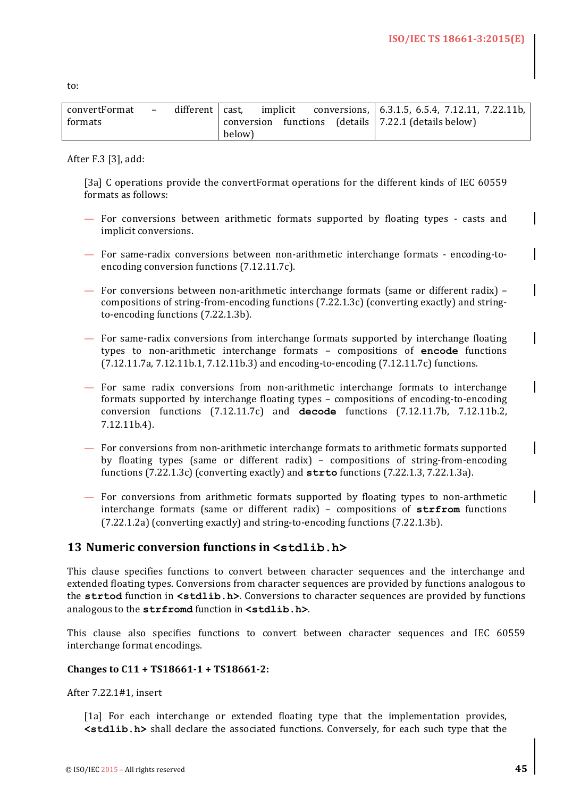to:

| convertFormat | $\overline{\phantom{0}}$ | different cast. |        |  |  | implicit conversions, 6.3.1.5, 6.5.4, 7.12.11, 7.22.11b,                           |
|---------------|--------------------------|-----------------|--------|--|--|------------------------------------------------------------------------------------|
| formats       |                          |                 |        |  |  | $\frac{1}{2}$ conversion functions (details $\frac{1}{2}$ , 7.22.1 (details below) |
|               |                          |                 | below) |  |  |                                                                                    |

After F.3 [3], add:

[3a] C operations provide the convertFormat operations for the different kinds of IEC 60559 formats as follows:

- For conversions between arithmetic formats supported by floating types casts and implicit conversions.
- For same-radix conversions between non-arithmetic interchange formats encoding-toencoding conversion functions  $(7.12.11.7c)$ .
- $-$  For conversions between non-arithmetic interchange formats (same or different radix) compositions of string-from-encoding functions  $(7.22.1.3c)$  (converting exactly) and stringto-encoding functions (7.22.1.3b).
- For same-radix conversions from interchange formats supported by interchange floating types to non-arithmetic interchange formats - compositions of encode functions  $(7.12.11.7a, 7.12.11b.1, 7.12.11b.3)$  and encoding-to-encoding  $(7.12.11.7c)$  functions.
- For same radix conversions from non-arithmetic interchange formats to interchange formats supported by interchange floating types - compositions of encoding-to-encoding conversion functions (7.12.11.7c) and **decode** functions (7.12.11.7b, 7.12.11b.2, 7.12.11b.4).
- $-$  For conversions from non-arithmetic interchange formats to arithmetic formats supported by floating types (same or different radix) – compositions of string-from-encoding functions  $(7.22.1.3c)$  (converting exactly) and  $\text{stro}$  functions  $(7.22.1.3, 7.22.1.3a)$ .
- $-$  For conversions from arithmetic formats supported by floating types to non-arthmetic interchange formats (same or different radix) – compositions of strfrom functions (7.22.1.2a) (converting exactly) and string-to-encoding functions (7.22.1.3b).

# 13 Numeric conversion functions in  $\leq$  stdlib.h>

This clause specifies functions to convert between character sequences and the interchange and extended floating types. Conversions from character sequences are provided by functions analogous to the **strtod** function in  $\text{stdlib.h}$ . Conversions to character sequences are provided by functions analogous to the strfromd function in  $\leq$  stdlib.h>.

This clause also specifies functions to convert between character sequences and IEC 60559 interchange format encodings.

#### **Changes to C11 + TS18661-1 + TS18661-2:**

After 7.22.1#1, insert

[1a] For each interchange or extended floating type that the implementation provides,  $\le$ **stdlib.h>** shall declare the associated functions. Conversely, for each such type that the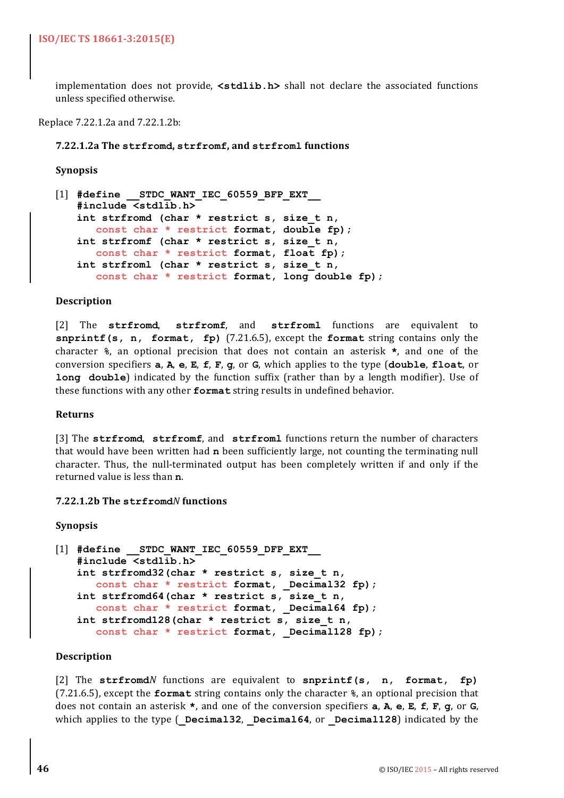implementation does not provide,  $\leq$ **tdlib.h>** shall not declare the associated functions unless specified otherwise.

#### Replace 7.22.1.2a and 7.22.1.2b:

#### **7.22.1.2a The strfromd, strfromf, and strfroml functions**

#### **Synopsis**

```
[1] #define __STDC_WANT_IEC_60559_BFP_EXT__
   #include <stdlib.h>
   int strfromd (char * restrict s, size_t n, 
      const char * restrict format, double fp);
   int strfromf (char * restrict s, size_t n, 
      const char * restrict format, float fp);
   int strfroml (char * restrict s, size_t n, 
      const char * restrict format, long double fp);
```
#### **Description**

[2] The strfromd, strfromf, and strfroml functions are equivalent to **snprintf(s, n, format, fp)** (7.21.6.5), except the **format** string contains only the character  $\frac{1}{2}$ , an optional precision that does not contain an asterisk **\***, and one of the conversion specifiers  $a$ ,  $A$ ,  $e$ ,  $E$ ,  $E$ ,  $F$ ,  $g$ , or  $G$ , which applies to the type  $(double, float, or)$ **long** double) indicated by the function suffix (rather than by a length modifier). Use of these functions with any other **format** string results in undefined behavior.

#### **Returns**

[3] The **strfromd**, **strfromf**, and **strfroml** functions return the number of characters that would have been written had **n** been sufficiently large, not counting the terminating null character. Thus, the null-terminated output has been completely written if and only if the returned value is less than **n**.

#### **7.22.1.2b The strfromd***N* **functions**

#### **Synopsis**

```
[1] #define STDC WANT IEC 60559 DFP EXT
   #include <stdlib.h>
   int strfromd32(char * restrict s, size_t n, 
      const char * restrict format, _Decimal32 fp);
   int strfromd64(char * restrict s, size_t n, 
      const char * restrict format, Decimal64 fp);
   int strfromd128(char * restrict s, size_t n, 
      const char * restrict format, Decimal128 fp);
```
#### **Description**

[2] The strfromd*N* functions are equivalent to snprintf(s, n, format, fp) (7.21.6.5), except the **format** string contains only the character  $\hat{\mathbf{r}}$ , an optional precision that does not contain an asterisk  $*$ , and one of the conversion specifiers **a**, **A**, **e**, **E**, **F**, **c**, or **G**, which applies to the type ( Decimal32, Decimal64, or Decimal128) indicated by the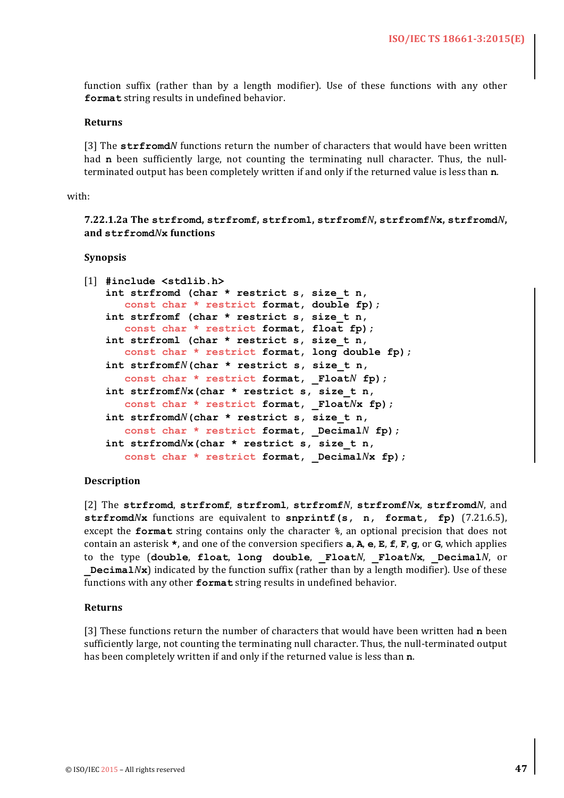function suffix (rather than by a length modifier). Use of these functions with any other format string results in undefined behavior.

#### **Returns**

[3] The **strfromd***N* functions return the number of characters that would have been written had **n** been sufficiently large, not counting the terminating null character. Thus, the nullterminated output has been completely written if and only if the returned value is less than n.

#### with:

**7.22.1.2a The strfromd, strfromf, strfroml, strfromf***N***, strfromf***N***x, strfromd***N***, and strfromd***N***x functions**

#### **Synopsis**

```
[1] #include <stdlib.h>
   int strfromd (char * restrict s, size_t n,
      const char * restrict format, double fp);
   int strfromf (char * restrict s, size_t n,
      const char * restrict format, float fp);
   int strfroml (char * restrict s, size_t n,
      const char * restrict format, long double fp);
   int strfromfN(char * restrict s, size_t n,
      const char * restrict format, _FloatN fp);
   int strfromfNx(char * restrict s, size_t n,
      const char * restrict format, _FloatNx fp);
   int strfromdN(char * restrict s, size_t n,
      const char * restrict format, _DecimalN fp);
   int strfromdNx(char * restrict s, size_t n,
      const char * restrict format, DecimalNx fp);
```
#### **Description**

[2] The **strfromd**, **strfromf**, **strfroml**, **strfromf***N*, **strfromf***N***x**, **strfromd***N*, and **strfromd** $N$ **x** functions are equivalent to **snprintf**(s, n, format, fp)  $(7.21.6.5)$ , except the **format** string contains only the character  $\hat{\mathbf{r}}$ , an optional precision that does not contain an asterisk  $*$ , and one of the conversion specifiers **a**, **A**, **e**, **E**, **F**, **g**, or **G**, which applies to the type (double, float, long double, Float*N*, Float*N***x**, Decimal*N*, or **Decimal**/ $N$ **x**) indicated by the function suffix (rather than by a length modifier). Use of these functions with any other **format** string results in undefined behavior.

#### **Returns**

[3] These functions return the number of characters that would have been written had **n** been sufficiently large, not counting the terminating null character. Thus, the null-terminated output has been completely written if and only if the returned value is less than **n**.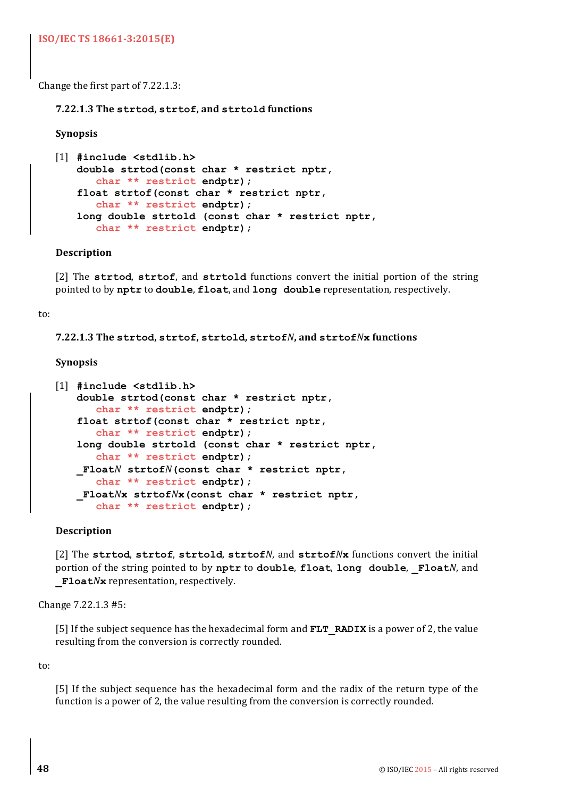Change the first part of  $7.22.1.3$ :

**7.22.1.3 The strtod, strtof, and strtold functions**

#### **Synopsis**

```
[1] #include <stdlib.h>
   double strtod(const char * restrict nptr,
      char ** restrict endptr);
   float strtof(const char * restrict nptr,
      char ** restrict endptr);
   long double strtold (const char * restrict nptr,
      char ** restrict endptr);
```
#### **Description**

[2] The strtod, strtof, and strtold functions convert the initial portion of the string pointed to by nptr to double, float, and long double representation, respectively.

#### to:

**7.22.1.3 The strtod, strtof, strtold, strtof***N***, and strtof***N***x functions**

#### **Synopsis**

```
[1] #include <stdlib.h>
   double strtod(const char * restrict nptr,
      char ** restrict endptr);
   float strtof(const char * restrict nptr,
      char ** restrict endptr);
   long double strtold (const char * restrict nptr,
      char ** restrict endptr);
   _FloatN strtofN(const char * restrict nptr,
      char ** restrict endptr);
   _FloatNx strtofNx(const char * restrict nptr,
      char ** restrict endptr);
```
#### **Description**

[2] The strtod, strtof, strtold, strtofN, and strtofNx functions convert the initial portion of the string pointed to by nptr to double, float, long double, FloatN, and **Float***N***x** representation, respectively.

Change 7.22.1.3 #5:

[5] If the subject sequence has the hexadecimal form and **FLT** RADIX is a power of 2, the value resulting from the conversion is correctly rounded.

to:

[5] If the subject sequence has the hexadecimal form and the radix of the return type of the function is a power of 2, the value resulting from the conversion is correctly rounded.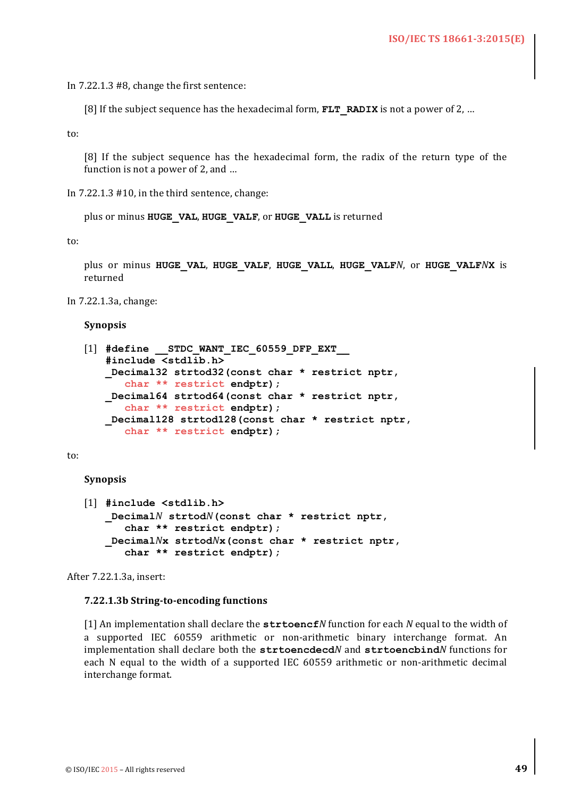In  $7.22.1.3$  #8, change the first sentence:

[8] If the subject sequence has the hexadecimal form, **FLT** RADIX is not a power of 2, ...

to:

[8] If the subject sequence has the hexadecimal form, the radix of the return type of the function is not a power of 2, and  $\dots$ 

In  $7.22.1.3$  #10, in the third sentence, change:

plus or minus **HUGE** VAL, HUGE VALF, or HUGE VALL is returned

to:

plus or minus **HUGE\_VAL**, **HUGE\_VALF**, **HUGE\_VALL**, **HUGE\_VALF***N*, or **HUGE\_VALF***N***X** is returned

In 7.22.1.3a, change:

#### **Synopsis**

```
[1] #define __STDC_WANT_IEC_60559_DFP_EXT__
   #include <stdlib.h>
   _Decimal32 strtod32(const char * restrict nptr,
      char ** restrict endptr);
   _Decimal64 strtod64(const char * restrict nptr,
      char ** restrict endptr);
   _Decimal128 strtod128(const char * restrict nptr,
      char ** restrict endptr);
```
to:

**Synopsis**

```
[1] #include <stdlib.h>
   _DecimalN strtodN(const char * restrict nptr,
      char ** restrict endptr);
   _DecimalNx strtodNx(const char * restrict nptr,
      char ** restrict endptr);
```
After 7.22.1.3a, insert:

#### **7.22.1.3b String-to-encoding functions**

[1] An implementation shall declare the **strtoencf***N* function for each *N* equal to the width of a supported IEC 60559 arithmetic or non-arithmetic binary interchange format. An implementation shall declare both the strtoencdecd*N* and strtoencbind*N* functions for each N equal to the width of a supported IEC 60559 arithmetic or non-arithmetic decimal interchange format.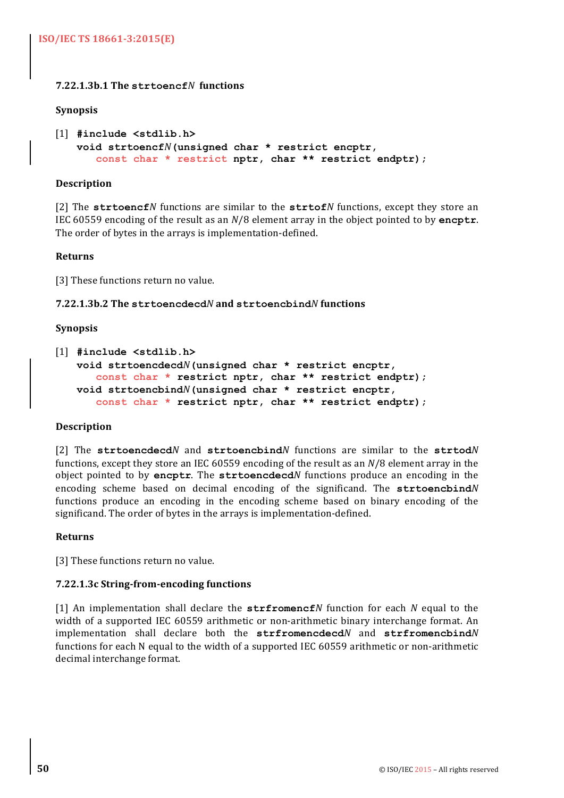# **7.22.1.3b.1 The strtoencf***N* **functions**

#### **Synopsis**

```
[1] #include <stdlib.h>
   void strtoencfN(unsigned char * restrict encptr,
      const char * restrict nptr, char ** restrict endptr);
```
#### **Description**

[2] The **strtoencf***N* functions are similar to the **strtof***N* functions, except they store an IEC 60559 encoding of the result as an *N*/8 element array in the object pointed to by **encptr**. The order of bytes in the arrays is implementation-defined.

### **Returns**

[3] These functions return no value.

### **7.22.1.3b.2 The strtoencdecd***N* **and strtoencbind***N* **functions**

### **Synopsis**

```
[1] #include <stdlib.h>
   void strtoencdecdN(unsigned char * restrict encptr,
      const char * restrict nptr, char ** restrict endptr);
   void strtoencbindN(unsigned char * restrict encptr,
      const char * restrict nptr, char ** restrict endptr);
```
# **Description**

[2] The strtoencdecdN and strtoencbindN functions are similar to the strtodN functions, except they store an IEC 60559 encoding of the result as an  $N/8$  element array in the object pointed to by encptr. The strtoencdecd*N* functions produce an encoding in the encoding scheme based on decimal encoding of the significand. The strtoencbindN functions produce an encoding in the encoding scheme based on binary encoding of the significand. The order of bytes in the arrays is implementation-defined.

#### **Returns**

[3] These functions return no value.

#### **7.22.1.3c String-from-encoding functions**

[1] An implementation shall declare the  $\text{strfromencf}N$  function for each N equal to the width of a supported IEC 60559 arithmetic or non-arithmetic binary interchange format. An implementation shall declare both the **strfromencdecd***N* and **strfromencbind***N* functions for each N equal to the width of a supported IEC 60559 arithmetic or non-arithmetic decimal interchange format.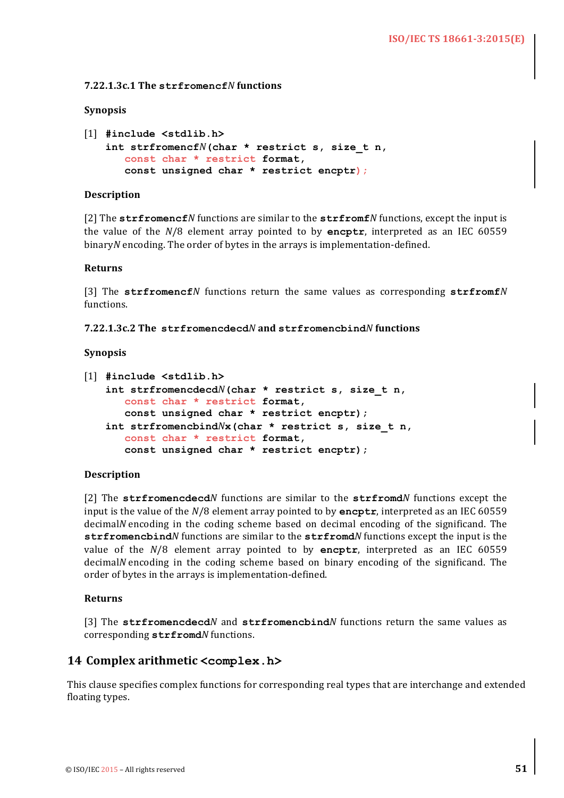#### **7.22.1.3c.1 The strfromencf***N* **functions**

#### **Synopsis**

```
[1] #include <stdlib.h>
   int strfromencfN(char * restrict s, size_t n,
      const char * restrict format,
      const unsigned char * restrict encptr);
```
#### **Description**

[2] The strfromencf*N* functions are similar to the strfromf*N* functions, except the input is the value of the  $N/8$  element array pointed to by **encptr**, interpreted as an IEC 60559 binary*N* encoding. The order of bytes in the arrays is implementation-defined.

#### **Returns**

[3] The strfromencf*N* functions return the same values as corresponding strfromf*N* functions.

**7.22.1.3c.2 The strfromencdecd***N* **and strfromencbind***N* **functions**

#### **Synopsis**

```
[1] #include <stdlib.h>
   int strfromencdecdN(char * restrict s, size_t n,
      const char * restrict format,
      const unsigned char * restrict encptr);
   int strfromencbindNx(char * restrict s, size_t n,
      const char * restrict format,
      const unsigned char * restrict encptr);
```
#### **Description**

[2] The strfromencdecd*N* functions are similar to the strfromd*N* functions except the input is the value of the  $N/8$  element array pointed to by **encptr**, interpreted as an IEC 60559 decimal*N* encoding in the coding scheme based on decimal encoding of the significand. The **strfromencbind***N* functions are similar to the **strfromd***N* functions except the input is the value of the  $N/8$  element array pointed to by encptr, interpreted as an IEC 60559 decimal*N* encoding in the coding scheme based on binary encoding of the significand. The order of bytes in the arrays is implementation-defined.

#### **Returns**

[3] The strfromencdecd*N* and strfromencbind*N* functions return the same values as corresponding  $\texttt{strfromd}N$  functions.

#### **14 Complex arithmetic <complex.h>**

This clause specifies complex functions for corresponding real types that are interchange and extended floating types.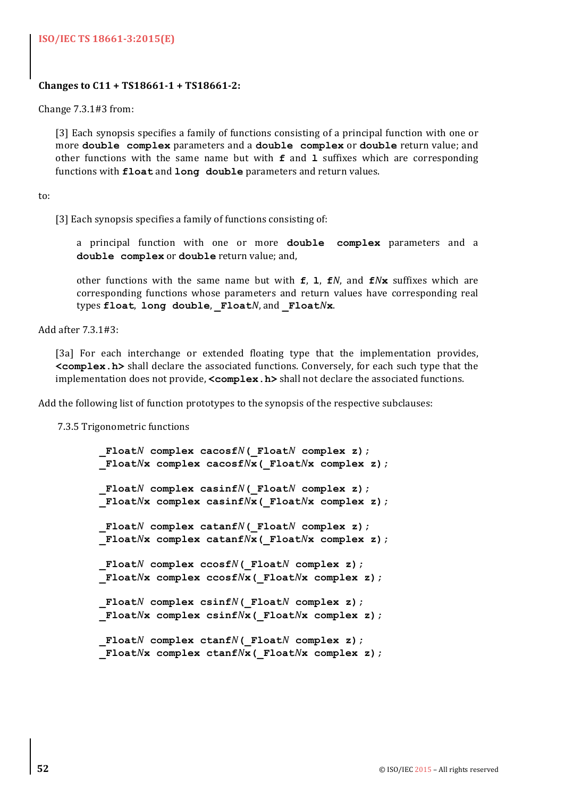#### **ISO/IEC TS 18661-3:2015(E)**

#### **Changes to C11 + TS18661-1 + TS18661-2:**

Change  $7.3.1#3$  from:

[3] Each synopsis specifies a family of functions consisting of a principal function with one or more **double** complex parameters and a **double** complex or **double** return value; and other functions with the same name but with  $f$  and  $\bf{l}$  suffixes which are corresponding functions with **float** and **long** double parameters and return values.

to:

[3] Each synopsis specifies a family of functions consisting of:

a principal function with one or more **double complex** parameters and a double complex or double return value; and,

other functions with the same name but with  $f$ , **l**,  $f$ *N*, and  $f$ *N***x** suffixes which are corresponding functions whose parameters and return values have corresponding real types **float**, **long double**, **\_Float***N*, and **\_Float***N***x**. 

Add after 7.3.1#3:

[3a] For each interchange or extended floating type that the implementation provides. **<complex.h>** shall declare the associated functions. Conversely, for each such type that the implementation does not provide, **<complex.h>** shall not declare the associated functions.

Add the following list of function prototypes to the synopsis of the respective subclauses:

7.3.5 Trigonometric functions

```
 _FloatN complex cacosfN(_FloatN complex z);
 _FloatNx complex cacosfNx(_FloatNx complex z);
 _FloatN complex casinfN(_FloatN complex z);
 _FloatNx complex casinfNx(_FloatNx complex z);
 _FloatN complex catanfN(_FloatN complex z);
 _FloatNx complex catanfNx(_FloatNx complex z);
 _FloatN complex ccosfN(_FloatN complex z);
 _FloatNx complex ccosfNx(_FloatNx complex z);
 _FloatN complex csinfN(_FloatN complex z);
 _FloatNx complex csinfNx(_FloatNx complex z);
 _FloatN complex ctanfN(_FloatN complex z);
 _FloatNx complex ctanfNx(_FloatNx complex z);
```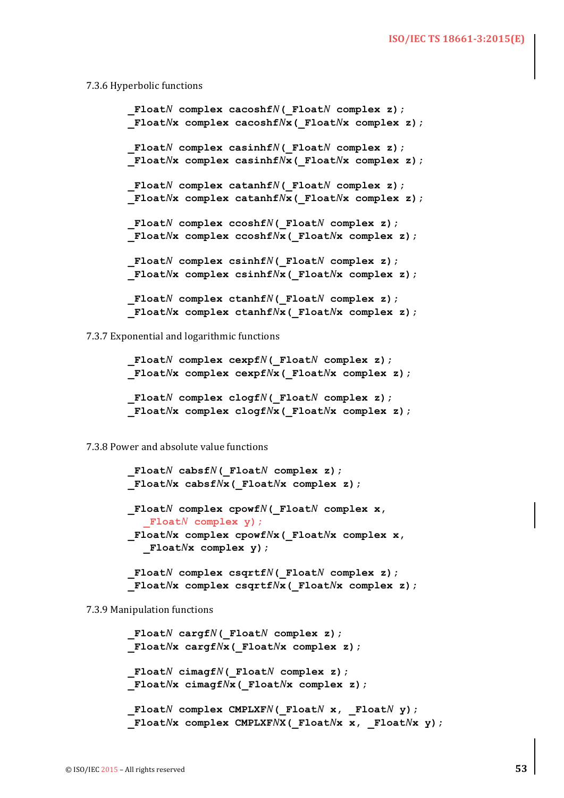#### 7.3.6 Hyperbolic functions

```
 _FloatN complex cacoshfN(_FloatN complex z);
 _FloatNx complex cacoshfNx(_FloatNx complex z);
 _FloatN complex casinhfN(_FloatN complex z);
 _FloatNx complex casinhfNx(_FloatNx complex z);
 _FloatN complex catanhfN(_FloatN complex z);
 _FloatNx complex catanhfNx(_FloatNx complex z);
 _FloatN complex ccoshfN(_FloatN complex z);
 _FloatNx complex ccoshfNx(_FloatNx complex z);
 _FloatN complex csinhfN(_FloatN complex z);
 _FloatNx complex csinhfNx(_FloatNx complex z);
 _FloatN complex ctanhfN(_FloatN complex z);
 _FloatNx complex ctanhfNx(_FloatNx complex z);
```
7.3.7 Exponential and logarithmic functions

 **\_Float***N* **complex cexpf***N***(\_Float***N* **complex z); \_Float***N***x complex cexpf***N***x(\_Float***N***x complex z); \_Float***N* **complex clogf***N***(\_Float***N* **complex z); \_Float***N***x complex clogf***N***x(\_Float***N***x complex z);**

7.3.8 Power and absolute value functions

 **\_Float***N* **cabsf***N***(\_Float***N* **complex z); \_Float***N***x cabsf***N***x(\_Float***N***x complex z); \_Float***N* **complex cpowf***N***(\_Float***N* **complex x, \_Float***N* **complex y); \_Float***N***x complex cpowf***N***x(\_Float***N***x complex x, \_Float***N***x complex y); \_Float***N* **complex csqrtf***N***(\_Float***N* **complex z);**

 **\_Float***N***x complex csqrtf***N***x(\_Float***N***x complex z);**

7.3.9 Manipulation functions

```
 _FloatN cargfN(_FloatN complex z);
 _FloatNx cargfNx(_FloatNx complex z);
 _FloatN cimagfN(_FloatN complex z);
 _FloatNx cimagfNx(_FloatNx complex z);
Float<sup>N</sup> complex CMPLXF<sup>N</sup>(Float<sup>N</sup> x, Float<sup>N</sup> y);
 _FloatNx complex CMPLXFNX(_FloatNx x, _FloatNx y);
```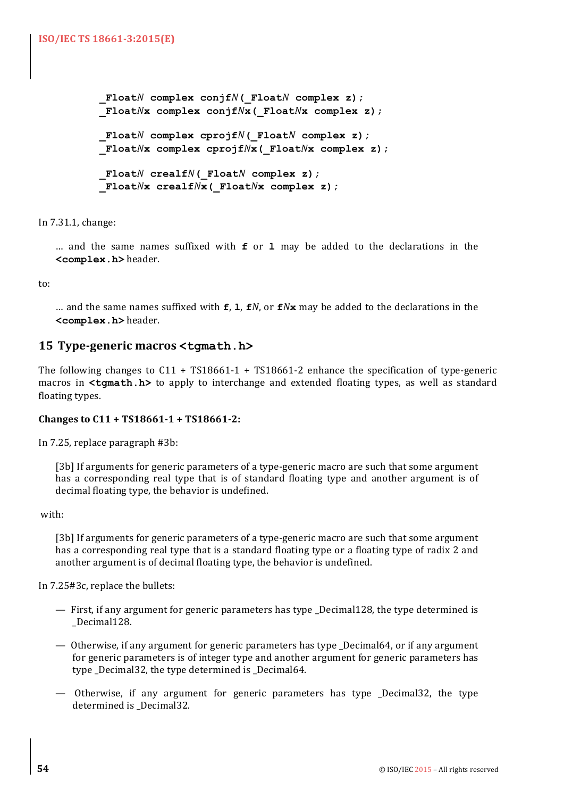```
 _FloatN complex conjfN(_FloatN complex z);
 _FloatNx complex conjfNx(_FloatNx complex z);
 _FloatN complex cprojfN(_FloatN complex z);
 _FloatNx complex cprojfNx(_FloatNx complex z);
 _FloatN crealfN(_FloatN complex z);
 _FloatNx crealfNx(_FloatNx complex z);
```
In 7.31.1, change:

... and the same names suffixed with **f** or **1** may be added to the declarations in the **<complex.h>** header.

to:

… and the same names suffixed with  $f$ , **l**,  $f$ *N*, or  $f$ *N***x** may be added to the declarations in the **<complex.h>** header.

# **15 Type-generic macros <tgmath.h>**

The following changes to  $C11$  + TS18661-1 + TS18661-2 enhance the specification of type-generic macros in  $\epsilon$ **tgmath.h>** to apply to interchange and extended floating types, as well as standard floating types.

#### Changes to C11 + TS18661-1 + TS18661-2:

In 7.25, replace paragraph #3b:

[3b] If arguments for generic parameters of a type-generic macro are such that some argument has a corresponding real type that is of standard floating type and another argument is of decimal floating type, the behavior is undefined.

with:

[3b] If arguments for generic parameters of a type-generic macro are such that some argument has a corresponding real type that is a standard floating type or a floating type of radix 2 and another argument is of decimal floating type, the behavior is undefined.

In 7.25#3c, replace the bullets:

- $-$  First, if any argument for generic parameters has type  $\Delta$ Decimal128, the type determined is \_Decimal128.
- Otherwise, if any argument for generic parameters has type \_Decimal64, or if any argument for generic parameters is of integer type and another argument for generic parameters has type Decimal32, the type determined is Decimal64.
- Otherwise, if any argument for generic parameters has type \_Decimal32, the type determined is \_Decimal32.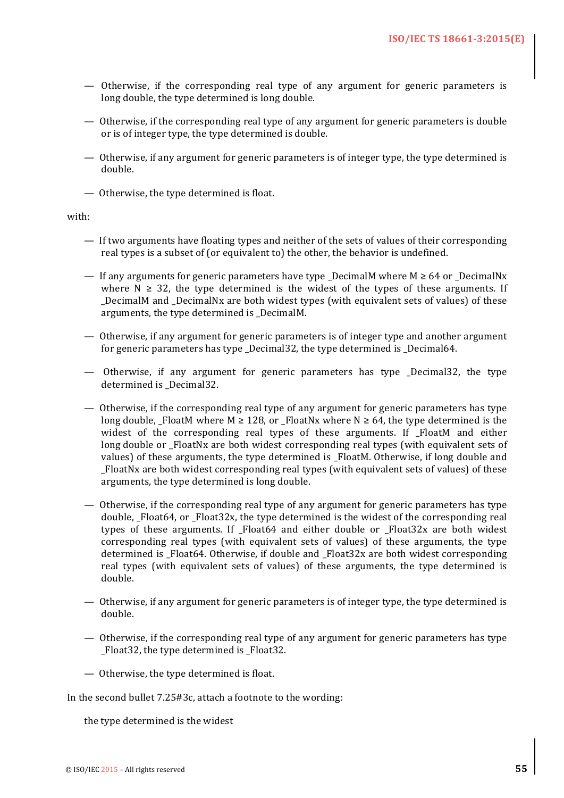- $-$  Otherwise, if the corresponding real type of any argument for generic parameters is long double, the type determined is long double.
- Otherwise, if the corresponding real type of any argument for generic parameters is double or is of integer type, the type determined is double.
- Otherwise, if any argument for generic parameters is of integer type, the type determined is double.
- Otherwise, the type determined is float.

#### with:

- If two arguments have floating types and neither of the sets of values of their corresponding real types is a subset of (or equivalent to) the other, the behavior is undefined.
- If any arguments for generic parameters have type DecimalM where  $M \geq 64$  or DecimalNx where  $N \geq 32$ , the type determined is the widest of the types of these arguments. If DecimalM and DecimalNx are both widest types (with equivalent sets of values) of these arguments, the type determined is \_DecimalM.
- Otherwise, if any argument for generic parameters is of integer type and another argument for generic parameters has type Decimal32, the type determined is Decimal64.
- $-$  Otherwise, if any argument for generic parameters has type  $\Delta$  Decimal32, the type determined is \_Decimal32.
- Otherwise, if the corresponding real type of any argument for generic parameters has type long double, FloatM where M  $\geq$  128, or FloatNx where N  $\geq$  64, the type determined is the widest of the corresponding real types of these arguments. If FloatM and either long double or FloatNx are both widest corresponding real types (with equivalent sets of values) of these arguments, the type determined is FloatM. Otherwise, if long double and \_FloatNx are both widest corresponding real types (with equivalent sets of values) of these arguments, the type determined is long double.
- $-$  Otherwise, if the corresponding real type of any argument for generic parameters has type double, Float64, or Float32x, the type determined is the widest of the corresponding real types of these arguments. If Float64 and either double or Float32x are both widest corresponding real types (with equivalent sets of values) of these arguments, the type determined is \_Float64. Otherwise, if double and \_Float32x are both widest corresponding real types (with equivalent sets of values) of these arguments, the type determined is double.
- Otherwise, if any argument for generic parameters is of integer type, the type determined is double.
- Otherwise, if the corresponding real type of any argument for generic parameters has type Float 32, the type determined is Float 32.
- Otherwise, the type determined is float.

In the second bullet  $7.25#3c$ , attach a footnote to the wording:

the type determined is the widest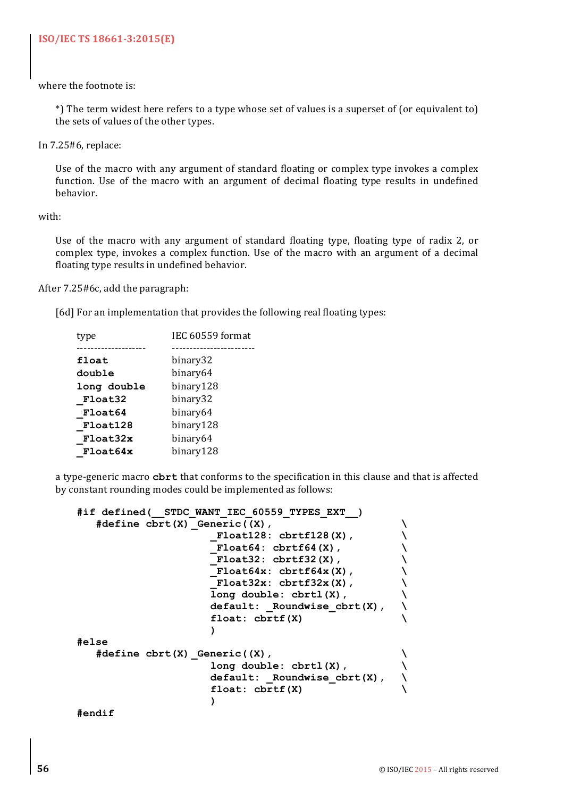where the footnote is:

\*) The term widest here refers to a type whose set of values is a superset of (or equivalent to) the sets of values of the other types.

In  $7.25#6$ , replace:

Use of the macro with any argument of standard floating or complex type invokes a complex function. Use of the macro with an argument of decimal floating type results in undefined behavior.

with:

Use of the macro with any argument of standard floating type, floating type of radix 2, or complex type, invokes a complex function. Use of the macro with an argument of a decimal floating type results in undefined behavior.

After 7.25#6c, add the paragraph:

[6d] For an implementation that provides the following real floating types:

| tvpe        | IEC 60559 format |
|-------------|------------------|
|             |                  |
| float       | binary32         |
| double      | binary64         |
| long double | binary128        |
| Float32     | binary32         |
| Float64     | binary64         |
| Float128    | binary128        |
| Float32x    | binary64         |
| Float64x    | binary128        |

a type-generic macro **cbrt** that conforms to the specification in this clause and that is affected by constant rounding modes could be implemented as follows:

```
#if defined(__STDC_WANT_IEC_60559_TYPES_EXT__) 
  \# \text{define chrt}(X) Generic((X),
                   _Float128: cbrtf128(X), \
                   _Float64: cbrtf64(X), \
                   _Float32: cbrtf32(X), \
                   \overline{\text{Float64x: chrtf64x(X)}, \setminus_Float32x: cbrtf32x(X), \
                   long double: cbrtl(X), \
                   default: _Roundwise_cbrt(X), \
                   float: cbrtf(X) \
                   )
#else
  #define cbrt(X) _Generic((X), \
                   long double: cbrtl(X), \
                   default: _Roundwise_cbrt(X), \
                   float: cbrtf(X) \
                   )
#endif
```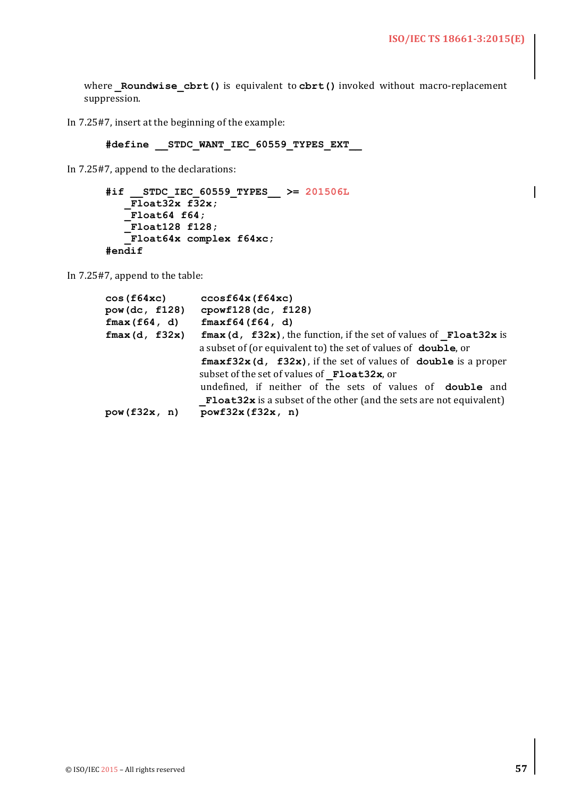where Roundwise cbrt() is equivalent to cbrt() invoked without macro-replacement suppression.

In 7.25#7, insert at the beginning of the example:

**#define \_\_STDC\_WANT\_IEC\_60559\_TYPES\_EXT\_\_**

In 7.25#7, append to the declarations:

```
#if __STDC_IEC_60559_TYPES__ >= 201506L
   \overline{F1}oat32x f32x;
   _Float64 f64;
   _Float128 f128;
    _Float64x complex f64xc;
#endif
```
In  $7.25#7$ , append to the table:

| cos(f64xc)    | ccosf64x(f64xc)                                                                                                                                |
|---------------|------------------------------------------------------------------------------------------------------------------------------------------------|
| pow(dc, f128) | cpowf128(dc, f128)                                                                                                                             |
| fmax(f64, d)  | fmaxf64(f64, d)                                                                                                                                |
| fmax(d, f32x) | $\mathbf{f}$ max (d, $\mathbf{f}$ 32x), the function, if the set of values of $\mathbf{F}$ loat32x is                                          |
|               | a subset of (or equivalent to) the set of values of <b>double</b> , or                                                                         |
|               | $\texttt{fmaxf32x}$ (d, $\texttt{f32x}$ ), if the set of values of double is a proper<br>subset of the set of values of Float32x, or           |
|               | undefined, if neither of the sets of values of <b>double</b> and<br><b>Float32x</b> is a subset of the other (and the sets are not equivalent) |
| pow(f32x, n)  | powf32x(f32x, n)                                                                                                                               |